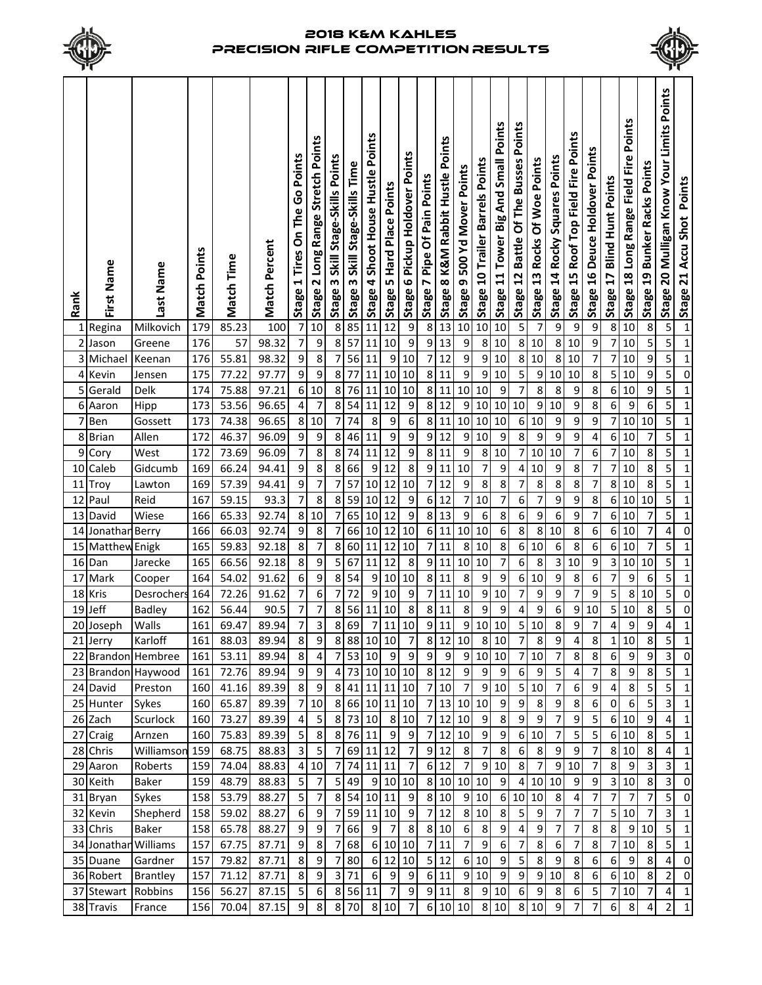



| Rank     | First Name           | Last Name          | <b>Match Points</b> | Match Time     | <b>Match Percent</b> | Stage 1 Tires On The Go Points | Long Range Stretch Points<br>ี<br>Stage | Skill Stage-Skills Points<br>Stage 3 | <u>္က</u> Stage 3 Skill Stage-Skills Time | Points<br>Stage 4 Shoot House Hustle | Stage 5 Hard Place Points | Pickup Holdover Points<br>Stage 6 | Stage 7 Pipe Of Pain Points | Stage 8 K&M Rabbit Hustle Points | Stage 9 500 Yd Mover Points | Stage 10 Trailer Barrels Points | Small Points<br>Stage 11 Tower Big And | Points<br><b>Battle Of The Busses</b><br>$\overline{12}$<br><b>Stage</b> | Rocks Of Woe Points<br>Stage 13 | Stage 14 Rocky Squares Points | Stage 15 Roof Top Field Fire Points | Stage 16 Deuce Holdover Points | <b>Blind Hunt Points</b><br>Stage 17 | Points<br>Long Range Field Fire<br>Stage 18 | <b>Bunker Racks Points</b><br>Stage 19 | Stage 20 Mulligan Know Your Limits Points | $\overline{ }$ Stage 21 Accu Shot Points |
|----------|----------------------|--------------------|---------------------|----------------|----------------------|--------------------------------|-----------------------------------------|--------------------------------------|-------------------------------------------|--------------------------------------|---------------------------|-----------------------------------|-----------------------------|----------------------------------|-----------------------------|---------------------------------|----------------------------------------|--------------------------------------------------------------------------|---------------------------------|-------------------------------|-------------------------------------|--------------------------------|--------------------------------------|---------------------------------------------|----------------------------------------|-------------------------------------------|------------------------------------------|
|          | 1 Regina             | Milkovich          | 179                 | 85.23          | 100                  | 7                              | 10                                      | 8                                    |                                           | $\overline{11}$                      | 12                        | 9                                 | $\bf 8$                     | 13                               | 10                          | 10                              | 10                                     | 5                                                                        | $\overline{7}$                  | 9                             | $\overline{9}$                      | 9                              | 8                                    | 10                                          | 8                                      | 5                                         |                                          |
|          | 2 Jason              | Greene             | 176                 | 57             | 98.32                | 7                              | $\overline{9}$                          | 8                                    | 57                                        | 11                                   | 10                        | $\overline{9}$                    | $\boldsymbol{9}$            | 13                               | 9                           | 8                               | 10                                     | $\overline{8}$                                                           | 10                              | 8                             | 10                                  | 9                              | 7                                    | 10                                          | 5                                      | $\overline{\mathbf{5}}$                   | $\mathbf 1$                              |
|          | 3 Michael            | Keenan             | 176                 | 55.81          | 98.32                | $\overline{9}$                 | $\bf 8$                                 | $\overline{7}$                       | 56                                        | 11                                   | $\boldsymbol{9}$          | 10                                | $\overline{1}$              | 12                               | 9                           | 9                               | 10                                     |                                                                          | 8 10                            | 8                             | 10                                  | 7                              | 7                                    | 10                                          | 9                                      | $\overline{\mathbf{5}}$                   | $\mathbf 1$                              |
|          | 4 Kevin              | Jensen             | 175                 | 77.22          | 97.77                | 9                              | $\overline{9}$                          | 8                                    | 77                                        | 11                                   | 10                        | 10                                | $\infty$                    | 11                               | 9                           | $\boldsymbol{9}$                | 10                                     | 5                                                                        | 9                               | 10                            | 10                                  | 8                              | 5                                    | 10                                          | 9                                      | 5                                         | $\pmb{0}$                                |
| 5        | Gerald               | Delk               | 174                 | 75.88          | 97.21                | 6                              | 10                                      | 8                                    | 76                                        | 11                                   | 10                        | 10                                | 8 <sup>1</sup>              | 11                               | 10                          | 10                              | 9                                      | $\overline{7}$                                                           | 8                               | 8                             | 9                                   | 8                              | 6                                    | 10                                          | 9                                      | 5                                         | $\mathbf 1$                              |
| 6<br>7   | Aaron                | Hipp               | 173<br>173          | 53.56<br>74.38 | 96.65<br>96.65       | 4                              | $\overline{7}$<br>$10\,$                | 8                                    | 54                                        | 11<br>8                              | 12                        | 9<br>6                            | $\mathbf{8}$<br>$\bf 8$     | 12                               | 9<br>10                     | 10                              | 10<br>10                               | 10                                                                       | 9<br>10                         | 10                            | 9                                   | 8                              | 6                                    | 9                                           | 6<br>10                                | 5<br>5                                    | $\mathbf 1$                              |
|          | Ben                  | Gossett            | 172                 | 46.37          | 96.09                | 8<br>9                         |                                         | 7                                    | 74                                        |                                      | 9                         | $\boldsymbol{9}$                  | $\boldsymbol{9}$            | 11                               |                             | 10<br>10                        |                                        | $\boldsymbol{6}$<br>$\bf 8$                                              |                                 | 9                             | 9                                   | 9                              | 7                                    | 10                                          |                                        | 5                                         | $\mathbf 1$                              |
| 8        | <b>Brian</b>         | Allen              | 172                 |                |                      | 7                              | 9<br>$\overline{\bf 8}$                 | 8<br>8                               | 46                                        | 11<br>11                             | 9<br>12                   | 9                                 | $\bf 8$                     | 12<br>11                         | 9<br>9                      |                                 | 9<br>10                                | 7                                                                        | 9                               | 9<br>10                       | 9<br>$\overline{7}$                 | 4                              | 6                                    | 10                                          | 7<br>8                                 | 5                                         | $\mathbf 1$                              |
| 9        | Cory                 | West               |                     | 73.69          | 96.09                |                                |                                         |                                      | 74                                        |                                      |                           |                                   |                             |                                  |                             | 8                               |                                        |                                                                          | 10                              |                               |                                     | 6                              | 7                                    | 10                                          |                                        |                                           | $\mathbf 1$                              |
| 10       | Caleb                | Gidcumb            | 169                 | 66.24          | 94.41                | 9                              | $\bf 8$<br>$\overline{7}$               | 8                                    | 66                                        | 9                                    | 12                        | 8                                 | $\overline{9}$              | 11                               | 10                          | 7                               | 9                                      | 4                                                                        | 10                              | 9                             | 8                                   | 7                              | 7                                    | 10                                          | 8                                      | 5                                         | $\mathbf 1$                              |
| 11       | Troy                 | Lawton             | 169                 | 57.39          | 94.41                | 9<br>$\overline{\mathcal{I}}$  |                                         | 7                                    | 57                                        | 10                                   | 12                        | $10\,$                            | $\overline{7}$              | 12                               | 9                           | 8                               | 8                                      | 7                                                                        | 8                               | 8                             | 8                                   | 7                              | 8                                    | 10                                          | 8                                      | 5                                         | $\mathbf 1$                              |
| 12       | Paul                 | Reid               | 167                 | 59.15          | 93.3<br>92.74        |                                | $\bf 8$<br>8 10                         | 8                                    | 59<br>65                                  | 10                                   | 12                        | 9<br>$\overline{9}$               | $\boldsymbol{6}$<br>$\bf 8$ | 12<br>13                         | 7<br>9                      | 10                              | 7<br>8                                 | 6<br>6                                                                   | $\overline{7}$<br>9             | 9                             | 9<br>9                              | 8                              | 6<br>6                               | 10                                          | 10<br>$\overline{\phantom{a}}$         | 5<br>5                                    | $\mathbf 1$                              |
| 13<br>14 | David                | Wiese              | 166<br>166          | 65.33<br>66.03 | 92.74                | 9                              | 8                                       | 7<br>$\overline{7}$                  | 66                                        | 10<br>10                             | 12<br>12                  | 10                                | $6 \mid$                    | 11                               | 10                          | 6<br>10                         | $\overline{6}$                         | $\overline{8}$                                                           | $\bf 8$                         | 6<br>10                       | 8                                   | 7<br>6                         | 6                                    | 10<br>10                                    | 7                                      | 4                                         | $\mathbf 1$<br>$\pmb{0}$                 |
| 15       | Jonathan             | Berry              | 165                 | 59.83          | 92.18                | 8                              | $\overline{\mathbf{z}}$                 | 8                                    | 60                                        | 11                                   | 12                        | 10                                | $\overline{7}$              | 11                               | 8                           | 10                              | $\bf 8$                                | $6\vert$                                                                 | 10                              | 6                             | 8                                   | 6                              | 6                                    | 10                                          | 7                                      | 5                                         | $\mathbf 1$                              |
| 16       | Matthew<br>Dan       | Enigk<br>Jarecke   | 165                 | 66.56          | 92.18                | 8                              | $\boldsymbol{9}$                        | 5                                    | 67                                        | 11                                   | 12                        | 8                                 | $\boldsymbol{9}$            | 11                               | 10                          | 10                              | $\overline{7}$                         | $\boldsymbol{6}$                                                         | 8                               | 3                             | 10                                  | 9                              | 3                                    | 10                                          | 10                                     | 5                                         | $\mathbf 1$                              |
| 17       | Mark                 | Cooper             | 164                 | 54.02          | 91.62                | 6                              | $\overline{9}$                          | 8                                    | 54                                        | 9                                    | $10\,$                    | 10                                | $\bf 8$                     | 11                               | 8                           | 9                               | 9                                      | 6                                                                        | 10                              | 9                             | 8                                   | 6                              | 7                                    | 9                                           | 6                                      | 5                                         | $\mathbf 1$                              |
| 18       | Kris                 | Desrochers         | 164                 | 72.26          | 91.62                | $\overline{\mathcal{I}}$       | 6                                       | 7                                    | 72                                        | 9                                    | 10                        | 9                                 | $\boldsymbol{7}$            | 11                               | 10                          | 9                               | 10                                     | 7                                                                        | 9                               | 9                             | $\overline{7}$                      | 9                              | 5                                    | 8                                           | 10                                     | 5                                         | $\pmb{0}$                                |
| 19       | Jeff                 | <b>Badley</b>      | 162                 | 56.44          | 90.5                 | 7                              | $\overline{\mathcal{I}}$                | 8                                    | 56                                        | 11                                   | 10                        | 8                                 | 8                           | 11                               | 8                           | 9                               | 9                                      | 4                                                                        | 9                               | 6                             | 9                                   | 10                             | 5                                    | 10                                          | 8                                      | 5                                         | $\pmb{0}$                                |
|          | 20 Joseph            | Walls              | 161                 | 69.47          | 89.94                | 7                              | $\overline{\mathbf{3}}$                 | 8                                    | 69                                        | 7                                    | 11                        | 10                                | $\boldsymbol{9}$            | 11                               | 9                           | $10\,$                          | 10                                     | 5 <sup>1</sup>                                                           | 10                              | 8                             | 9                                   | 7                              | 4                                    | 9                                           | 9                                      | 4                                         | $\mathbf 1$                              |
|          | 21 Jerry             | Karloff            | 161                 | 88.03          | 89.94                | 8 <sup>1</sup>                 | 9                                       |                                      |                                           | 8 88 10 10                           |                           | 7                                 |                             |                                  |                             |                                 | 8 12 10 8 10                           | 7                                                                        | 8 <sup>1</sup>                  | $\overline{9}$                | 4                                   | 8 <sup>1</sup>                 |                                      | 1 10                                        | 8 <sup>1</sup>                         | $\mathbf{5}$                              | 1                                        |
|          |                      | 22 Brandon Hembree | 161                 | 53.11          | 89.94                | 8 <sup>1</sup>                 | $\overline{4}$                          | $\overline{7}$                       | 53                                        | 10                                   | 9                         | $\overline{9}$                    | $\overline{9}$              | $\overline{9}$                   | 9                           |                                 | 10 10                                  |                                                                          | 710                             | $\overline{7}$                | $8\phantom{1}$                      | 8                              | $6 \mid$                             | 9                                           | 9                                      | $\mathsf 3$                               | $\mathsf 0$                              |
|          |                      | 23 Brandon Haywood | 161                 | 72.76          | 89.94                | 9                              | 9                                       |                                      |                                           |                                      |                           | 4 73 10 10 10                     |                             | 8 1 2                            | $\overline{9}$              |                                 | 9 9                                    |                                                                          | $6 \overline{9}$                | 5                             | 4                                   | 7                              | 8 <sup>1</sup>                       | $\overline{9}$                              | 8                                      | 5 <sup>1</sup>                            | $\mathbf{1}$                             |
|          | 24 David             | Preston            | 160                 | 41.16          | 89.39                | $\overline{8}$                 | و                                       |                                      |                                           |                                      |                           | 8 41 11 11 10                     |                             | 7 10                             | $\overline{7}$              |                                 | 9 10                                   |                                                                          | 5 10                            | $\overline{\mathcal{I}}$      | $\boldsymbol{6}$                    | 9                              | $\overline{\mathbf{r}}$              | $\infty$                                    | 5                                      | 5 <sup>1</sup>                            | $\mathbf{1}$                             |
|          | 25 Hunter            | Sykes              | 160                 | 65.87          | 89.39                | $7\vert$                       | 10                                      |                                      |                                           |                                      |                           | 8 66 10 11 10                     | 7                           |                                  | 13 10 10                    |                                 | $\boldsymbol{9}$                       | $\overline{9}$                                                           | $\,8$                           | 9                             | 8 <sup>1</sup>                      | $\boldsymbol{6}$               | $\overline{0}$                       | 6 <sup>1</sup>                              | 5                                      | 3                                         | $\mathbf{1}$                             |
|          | 26 Zach              | Scurlock           | 160                 | 73.27          | 89.39                | $\overline{4}$                 | $\overline{\mathbf{5}}$                 |                                      |                                           | 8 73 10                              |                           | 8 10                              | 7                           |                                  | $12$ 10                     | 9                               | 8 <sup>1</sup>                         | $\overline{9}$                                                           | $\boldsymbol{9}$                | $\boldsymbol{7}$              | $\boldsymbol{9}$                    | 5                              |                                      | 6 10                                        | $\boldsymbol{9}$                       | $\pmb{4}$                                 | $\mathbf{1}$                             |
|          | 27 Craig             | Arnzen             | 160                 | 75.83          | 89.39                | 5 <sup>1</sup>                 | $\boldsymbol{8}$                        |                                      | 8 76 11                                   |                                      | 9                         | 9                                 | 7                           | 12                               | 10                          | $\boldsymbol{9}$                | $\overline{9}$                         |                                                                          | 6 10                            | $\boldsymbol{7}$              | 5                                   | 5                              |                                      | 6 10                                        | 8                                      | 5                                         | $\mathbf{1}$                             |
|          | 28 Chris             | Williamson         | 159                 | 68.75          | 88.83                | $\overline{3}$                 | 5                                       | 7                                    |                                           | 69 11 12                             |                           | 7                                 | 9                           | 12                               | 8                           | $\overline{7}$                  | 8                                      | $6\vert$                                                                 | 8                               | 9                             | $\boldsymbol{9}$                    | 7                              |                                      | 8 10                                        | 8                                      | 4                                         | $\mathbf{1}$                             |
|          | 29 Aaron             | Roberts            | 159                 | 74.04          | 88.83                |                                | 4 10                                    | 7                                    |                                           | 74 11 11                             |                           | 7                                 | $6 \mid$                    | 12                               | $\overline{7}$              |                                 | 9 10                                   | $\infty$                                                                 | $\overline{7}$                  | 9                             | 10                                  | 7                              | 8                                    | 9                                           | 3                                      | 3                                         | $\mathbf{1}$                             |
|          | 30 Keith             | <b>Baker</b>       | 159                 | 48.79          | 88.83                | 5 <sub>1</sub>                 | $\overline{7}$                          | $\overline{5}$                       | 49                                        |                                      |                           | 9 10 10                           |                             |                                  | 8 10 10 10                  |                                 | 9                                      | $\overline{4}$                                                           | 10                              | 10                            | $\mathsf g$                         | 9                              |                                      | 3 10                                        | $\bf 8$                                | 3                                         | 0                                        |
|          | 31 Bryan             | Sykes              | 158                 | 53.79          | 88.27                | $\overline{5}$                 | $\overline{7}$                          |                                      |                                           | 8 54 10 11                           |                           | 9                                 |                             | 8 10                             | 9                           | 10                              |                                        | 6 10 10                                                                  |                                 | 8                             | $\sqrt{4}$                          | 7                              | $\overline{7}$                       | $\overline{7}$                              | $\overline{7}$                         | 5                                         | $\mathsf 0$                              |
|          | 32 Kevin             | Shepherd           | 158                 | 59.02          | 88.27                | $6 \mid$                       | $\overline{9}$                          | $\overline{7}$                       | 59                                        | 11 10                                |                           | 9                                 |                             | $\overline{7}$ 12                | $\,8\,$                     | 10                              | 8 <sup>1</sup>                         | 5 <sub>l</sub>                                                           | $\boldsymbol{9}$                | $\overline{7}$                | $\overline{7}$                      | $\overline{7}$                 |                                      | 5 10                                        | $\overline{7}$                         | 3                                         | $\mathbf{1}$                             |
|          | 33 Chris             | Baker              | 158                 | 65.78          | 88.27                | 9 <sup>1</sup>                 | $\overline{9}$                          | $\boldsymbol{7}$                     | 66                                        | 9                                    | $\overline{7}$            | 8                                 |                             | 8 10                             | $6 \overline{6}$            | 8                               | $\overline{9}$                         | $\overline{4}$                                                           | $\boldsymbol{9}$                | $\overline{7}$                | $\overline{7}$                      | 8                              | $\mathbf{8}$                         | 9                                           | 10                                     | 5                                         | $\mathbf{1}$                             |
|          | 34 Jonathan Williams |                    | 157                 | 67.75          | 87.71                | $\overline{9}$                 | $\infty$                                | 7                                    | 68                                        |                                      |                           | 6 10 10                           |                             | $\overline{7}$ 11                | $\overline{7}$              | 9                               | 6                                      | $\overline{7}$                                                           | 8                               | 6                             | $\overline{7}$                      | 8                              |                                      | $\overline{7}$ 10                           | 8                                      | 5                                         | $\mathbf{1}$                             |
|          | 35 Duane             | Gardner            | 157                 | 79.82          | 87.71                | 8 <sup>1</sup>                 | $\overline{9}$                          | 7                                    | 80                                        |                                      |                           | 6 12 10                           |                             | 5 12                             |                             | 6 10                            | $\overline{9}$                         | 5 <sup>1</sup>                                                           | $\bf 8$                         | 9                             | 8 <sup>1</sup>                      | $6 \mid$                       | $6 \mid$                             | 9                                           | 8                                      | 4                                         | 0                                        |
|          | 36 Robert            | <b>Brantley</b>    | 157                 | 71.12          | 87.71                | 8 <sup>1</sup>                 | $\overline{9}$                          | 3                                    | 71                                        | $\,$ 6                               | $\boldsymbol{9}$          | 9                                 |                             | 6 11                             | $\boldsymbol{9}$            | 10                              | 9                                      | $\overline{9}$                                                           | $\overline{9}$                  | 10                            | $\bf 8$                             | 6                              |                                      | 6 10                                        | 8                                      | $\overline{2}$                            | $\mathbf 0$                              |
|          | 37 Stewart           | Robbins            | 156                 | 56.27          | 87.15                | 5 <sub>l</sub>                 | $\boldsymbol{6}$                        | 8 <sup>1</sup>                       | 56 11                                     |                                      | 7                         | $\overline{9}$                    |                             | 9 11                             | 8                           |                                 | 9 10                                   | 6                                                                        | 9                               | 8                             | 6                                   | 5                              |                                      | 710                                         | 7                                      | 4                                         | $\mathbf{1}$                             |
|          | 38 Travis            | France             | 156                 | 70.04          | 87.15                | 9                              | $\bf 8$                                 | 8 <sup>1</sup>                       | 70                                        |                                      | 8 10                      | 7 <sup>1</sup>                    |                             |                                  | 6 10 10                     |                                 | 8 10                                   |                                                                          | 8 10                            | 9                             | $\boldsymbol{7}$                    | 7                              | $6 \mid$                             | 8 <sup>1</sup>                              | 4                                      | $\mathbf 2$                               | $1\vert$                                 |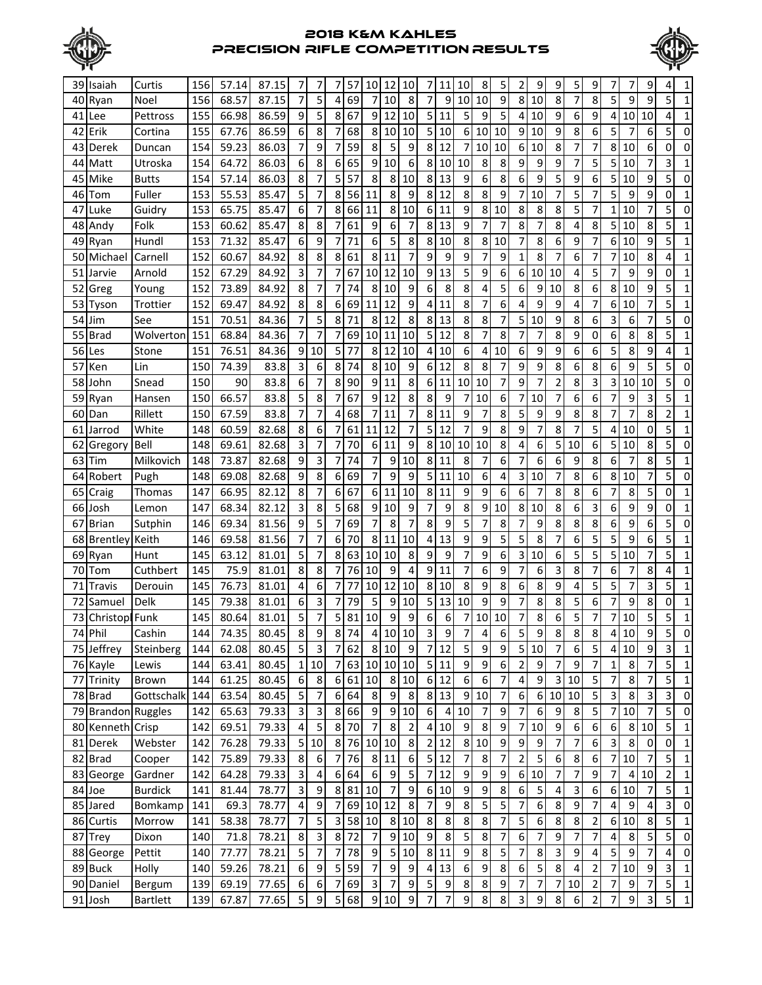



|    | 39 Isaiah           | Curtis          | 156              | 57.14 | 87.15 | 7                        | 7                | 7                        | -57             | 10                      | 12               | 10                    | 7                           | 11             | 10               | 8     | 5                       | 2                        | 9                        | 9                        | 5                | 9                | 7                                |         | 9              |                         |                |
|----|---------------------|-----------------|------------------|-------|-------|--------------------------|------------------|--------------------------|-----------------|-------------------------|------------------|-----------------------|-----------------------------|----------------|------------------|-------|-------------------------|--------------------------|--------------------------|--------------------------|------------------|------------------|----------------------------------|---------|----------------|-------------------------|----------------|
| 40 | Ryan                | Noel            | 156              | 68.57 | 87.15 | 7                        | 5                | 4                        | 69              |                         | 10               | 8                     | 7                           | 9              | 10               | 10    | 9                       | 8 <sup>1</sup>           | 10                       | 8                        | 7                | 8                | 5                                | 9       | 9              | 5                       | 1              |
| 41 | Lee                 | Pettross        | 155              | 66.98 | 86.59 | 9                        | 5                | 8                        | 67              | 9                       | 12               | 10                    | 5                           | 11             | 5                | 9     | 5                       | $\overline{4}$           | 10                       | 9                        | 6                | 9                | $\overline{4}$                   | 10      | 10             | 4                       | 1              |
| 42 |                     |                 | 155              | 67.76 | 86.59 | 6                        | 8                | 7                        | 68              | 8                       | 10               | 10                    | 5                           | 10             | 6                | 10    | 10                      | 9                        | 10                       | 9                        | 8                | 6                | 5                                | 7       | 6              | 5                       | 0              |
|    | Erik                | Cortina         |                  |       |       | 7                        | 9                |                          |                 |                         | 5                |                       |                             |                |                  |       |                         |                          |                          |                          |                  | 7                |                                  |         |                | 0                       |                |
| 43 | Derek               | Duncan          | 154              | 59.23 | 86.03 |                          |                  | 7                        | 59              | 8<br>9                  |                  | 9<br>$\boldsymbol{6}$ | 8                           | 12             | 7                | 10    | 10                      | $6 \mid$                 | 10                       | 8                        | 7                | 5                | 8 <sup>1</sup><br>5 <sup>1</sup> | 10      | 6              |                         | 0              |
| 44 | Matt                | Utroska         | 154              | 64.72 | 86.03 | 6                        | 8                | 6                        | 65              |                         | 10               |                       | 8                           | 10             | 10               | 8     | 8                       | 9                        | 9                        | 9                        | 7                |                  |                                  | 10      | 7              | 3                       | $\mathbf{1}$   |
| 45 | Mike                | <b>Butts</b>    | 154              | 57.14 | 86.03 | 8                        | 7                | 5                        | 57              | 8                       | 8                | 10                    | 8                           | 13             | 9                | 6     | 8                       | 6                        | 9                        | 5                        | 9                | 6                | 5                                | 10      | 9              | 5                       | 0              |
| 46 | Tom                 | Fuller          | 153              | 55.53 | 85.47 | 5                        | 7                | 8                        | 56              | 11                      | 8                | 9                     | 8                           | 12             | 8                | 8     | 9                       | $\overline{7}$           | 10                       | 7                        | 5                | 7                | 5                                | 9       | 9              | 0                       | 1              |
| 47 | Luke                | Guidry          | 153              | 65.75 | 85.47 | 6                        | 7                | 8                        | 66              | 11                      | 8                | 10                    | 6                           | 11             | 9                | 8     | 10                      | 8                        | 8                        | 8                        | 5                | 7                | 1                                | 10      | 7              | 5                       | 0              |
| 48 | Andy                | Folk            | 153              | 60.62 | 85.47 | 8                        | 8                | 7                        | 61              | 9                       | 6                | 7                     | 8                           | 13             | 9                | 7     | 7                       | 8                        | 7                        | 8                        | 4                | 8                | 5                                | 10      | 8              | 5                       | 1              |
| 49 | Ryan                | Hundl           | 153              | 71.32 | 85.47 | 6                        | 9                | 7                        | 71              | 6                       | 5                | 8                     | 8                           | 10             | 8                | 8     | 10                      | 7                        | 8                        | 6                        | 9                | 7                | 6                                | 10      | 9              | 5                       | 1              |
| 50 | Michael             | Carnell         | 152              | 60.67 | 84.92 | 8                        | 8                | 8                        | 61              | 8                       | 11               | 7                     | 9                           | 9              | 9                | 7     | 9                       | $\mathbf{1}$             | 8                        | 7                        | 6                | 7                | 7                                | 10      | 8              | 4                       | 1              |
| 51 | Jarvie              | Arnold          | 152              | 67.29 | 84.92 | 3                        | 7                | 7                        | 67              | 10                      | 12               | 10                    | 9                           | 13             | 5                | 9     | 6                       | 6                        | 10                       | 10                       | 4                | 5                | 7                                | 9       | 9              | 0                       | 1              |
| 52 | Greg                | Young           | 152              | 73.89 | 84.92 | 8                        | $\overline{7}$   | 7                        | 74              | 8                       | 10               | 9                     | 6                           | 8              | 8                | 4     | 5                       | 6                        | 9                        | 10                       | 8                | 6                | 8 <sup>1</sup>                   | 10      | 9              | 5                       | $\mathbf{1}$   |
| 53 | Tyson               | Trottier        | 152              | 69.47 | 84.92 | 8                        | 8                | 6                        | 69              | 11                      | 12               | 9                     | 4                           | 11             | 8                | 7     | 6                       | 4                        | 9                        | 9                        | 4                | 7                | $6 \mid$                         | 10      | 7              | 5                       | 1              |
| 54 | Jim                 | See             | 151              | 70.51 | 84.36 | $\overline{7}$           | 5                | 8                        | 71              | 8                       | 12               | 8                     | 8                           | 13             | 8                | 8     | 7                       | 5                        | 10                       | 9                        | 8                | 6                | 3                                | 6       | 7              | 5                       | 0              |
| 55 | <b>Brad</b>         | Wolverton       | 151              | 68.84 | 84.36 | 7                        | $\overline{7}$   | 7                        | 69              | 10                      | 11               | 10                    | 5                           | 12             | 8                | 7     | 8                       | 7                        | 7                        | 8                        | 9                | 0                | 6                                | 8       | 8              | 5                       | $\mathbf{1}$   |
| 56 | Les                 | Stone           | 151              | 76.51 | 84.36 | 9                        | 10               | 5                        | 77              | 8                       | 12               | 10                    | 4                           | 10             | 6                | 4     | 10                      | 6                        | 9                        | 9                        | 6                | 6                | 5                                | 8       | 9              | 4                       | 1              |
| 57 | Ken                 | Lin             | 150              | 74.39 | 83.8  | $\overline{\mathbf{3}}$  | 6                | 8                        | 74              | 8                       | 10               | 9                     | 6                           | 12             | 8                | 8     | 7                       | 9                        | 9                        | 8                        | 6                | 8                | 6                                | 9       | 5              | 5                       | 0              |
| 58 | John                | Snead           | 150              | 90    | 83.8  | 6                        | 7                | 8                        | 90              | 9                       | 11               | 8                     | 6                           | 11             | 10               | 10    | 7                       | 9                        | 7                        | 2                        | 8                | 3                | 3                                | 10      | 10             | 5                       | 0              |
| 59 | Ryan                | Hansen          | 150              | 66.57 | 83.8  | $\overline{5}$           | 8                | 7                        | 67              | 9                       | 12               | 8                     | 8                           | 9              | 7                | 10    | 6                       | 7                        | 10                       | 7                        | 6                | 6                | 7                                | 9       | 3              | 5                       | 1              |
| 60 | Dan                 | Rillett         | 150              | 67.59 | 83.8  | 7                        | $\overline{7}$   | 4                        | 68              |                         | 11               | 7                     | 8                           | 11             | 9                | 7     | 8                       | 5                        | 9                        | 9                        | 8                | 8                | 7                                | 7       | 8              | 2                       | 1              |
| 61 | Jarrod              | White           | 148              | 60.59 | 82.68 | 8                        | 6                | 7                        | 61              | 11                      | 12               | 7                     | 5                           | 12             | 7                | 9     | 8                       | 9                        | 7                        | 8                        | 7                | 5                | 4                                | 10      | 0              | 5                       | 1              |
| 62 | Gregory             | Bell            | 148              | 69.61 | 82.68 | 3                        | $\overline{7}$   | 7                        | 70              | 6                       | 11               | 9                     | 8                           | 10             | 10 <sup>1</sup>  | 10    | 8                       | 4                        | 6                        | 5                        | 10               | 6                | 5 <sub>l</sub>                   | 10      | 8              | 5                       | 0              |
| 63 | Tim                 | Milkovich       | 148              | 73.87 | 82.68 | 9                        | 3                | 7                        | 74              | 7                       | 9                | 10                    | 8                           | 11             | 8                | 7     | 6                       | $\overline{7}$           | 6                        | 6                        | 9                | 8                | 6                                | 7       | 8              | 5                       | 1              |
| 64 | Robert              | Pugh            | 148              | 69.08 | 82.68 | 9                        | 8                | 6                        | 69              | 7                       | 9                | 9                     | 5                           | 11             | 10               | 6     | 4                       | $\overline{\mathbf{3}}$  | 10                       | 7                        | 8                | 6                | 8                                | 10      | 7              | 5                       | 0              |
| 65 | Craig               | Thomas          | 147              | 66.95 | 82.12 | 8                        | 7                | 6                        | 67              | 6                       | 11               | 10                    | 8                           | 11             | 9                | 9     | 6                       | 6                        | 7                        | 8                        | 8                | 6                | 7                                | 8       | 5              | 0                       |                |
| 66 | Josh                | Lemon           | 147              | 68.34 | 82.12 | 3                        | 8                | 5                        | 68              | 9                       | 10               | 9                     | 7                           | 9              | 8                | 9     | 10                      | 8                        | 10                       | 8                        | 6                | 3                | 6                                | 9       | 9              | 0                       | 1              |
| 67 | <b>Brian</b>        | Sutphin         | 146              | 69.34 | 81.56 | 9                        | 5                | 7                        | 69              |                         | 8                | 7                     | 8                           | 9              | 5                | 7     | 8                       | 7                        | 9                        | 8                        | 8                | 8                | 6                                | 9       | 6              | 5                       | 0              |
| 68 | Brentley            | Keith           | 146              | 69.58 | 81.56 | 7                        | 7                | 6                        | 70              | 8                       | 11               | 10                    | 4                           | 13             | 9                | 9     | 5                       | 5                        | 8                        | 7                        | 6                | 5                | 5                                | 9       | 6              | 5                       | 1              |
| 69 | Ryan                | Hunt            | 145              | 63.12 | 81.01 | 5                        | 7                | 8                        | 63              | 10                      | 10               | 8                     | 9                           | 9              | 7                | 9     | 6                       | 3                        | 10                       | 6                        | 5                | 5                | 5                                | 10      | 7              | 5                       | $\mathbf{1}$   |
| 70 | Tom                 | Cuthbert        | 145              | 75.9  | 81.01 | 8                        | 8                | 7                        | 76              | 10                      | 9                | 4                     | 9                           | 11             | 7                | 6     | 9                       | 7                        | 6                        | 3                        | 8                | 7                | 6                                | 7       | 8              | 4                       | 1              |
| 71 | Travis              | Derouin         | 145              | 76.73 | 81.01 | 4                        | 6                | 7                        | 77              | 10                      | 12               | 10                    | 8                           | 10             | 8                | 9     | 8                       | 6                        | 8                        | 9                        | 4                | 5                | 5                                | 7       | 3              | 5                       | 1              |
| 72 | Samuel              | Delk            | 145              | 79.38 | 81.01 | 6                        | 3                | 7                        | 79              | 5                       | 9                | 10                    | 5                           | 13             | 10               | 9     | 9                       | 7                        | 8                        | 8                        | 5                | 6                | $\overline{7}$                   | 9       | 8              | 0                       | 1              |
| 73 | Christopl Funk      |                 | 145              | 80.64 | 81.01 | $\overline{5}$           | $\overline{7}$   | 5                        | 81              | 10                      | 9                | 9                     | 6                           | 6              | $\overline{7}$   | 10    | 10                      | 7                        | 8                        | 6                        | 5                | 7                | 7                                | 10      | 5              | 5                       | 1              |
|    | 74 Phil             | Cashin          | $\overline{144}$ | 74.35 | 80.45 | $\mathbf{8}$             | $\boldsymbol{9}$ | 8 <sup>1</sup>           | $\overline{74}$ | $\overline{\mathbf{4}}$ | 10               | 10                    | $\mathbf{3}$                | 9              | 7                | 4     | 6                       | $\mathsf{5}$             | 9                        | 8                        | 8                | 8                | 4 <sub>1</sub>                   | 10      | 9              | 5                       | 0              |
|    | 75 Jeffrey          | Steinberg       | 144              | 62.08 | 80.45 | $\overline{\phantom{a}}$ | 3                | 7                        | 62              |                         | 8 10             | $\boldsymbol{9}$      | $\overline{7}$              | 12             | 5                | 9     | $\overline{9}$          | $\overline{\phantom{a}}$ | 10                       | $\overline{7}$           | $\boldsymbol{6}$ | 5                | $\overline{4}$                   | 10      | 9              | 3                       | $\mathbf{1}$   |
|    | 76 Kayle            | Lewis           | 144              | 63.41 | 80.45 | $1\vert$                 | 10               | 7                        | 63              | 10                      |                  | 10 10                 | $\mathsf S$                 | 11             | $\boldsymbol{9}$ | 9     | $\,$ 6 $\,$             | $\overline{2}$           | 9                        | 7                        | 9                | 7                | $\mathbf{1}$                     | 8       | 7              | 5                       | $\mathbf{1}$   |
|    | 77 Trinity          | Brown           | 144              | 61.25 | 80.45 | $6 \mid$                 | 8                | 6                        | 61              | 10                      |                  | 8 10                  | $\boldsymbol{6}$            | 12             | $\boldsymbol{6}$ | 6     | $\boldsymbol{7}$        | 4                        | 9                        | 3                        | 10               | 5                | 7                                | 8       | 7              | 5                       | $\mathbf{1}$   |
|    | 78 Brad             | Gottschalk      | 144              | 63.54 | 80.45 | $\overline{5}$           | 7                | 6                        | 64              | 8                       | $\boldsymbol{9}$ | $\bf 8$               | 8                           | 13             | 9                | 10    | 7                       | 6                        | 6                        | 10                       | 10               | $\overline{5}$   | $\overline{\mathbf{3}}$          | 8       | 3              | 3                       | 0              |
|    | 79 Brandon Ruggles  |                 | 142              | 65.63 | 79.33 | $\overline{3}$           | $\mathbf{3}$     | 8                        | 66              | 9                       | 9                | 10                    | $\boldsymbol{6}$            | 4              | 10               | 7     | $\boldsymbol{9}$        | $\overline{7}$           | 6                        | 9                        | 8                | $\overline{5}$   | 7                                | 10      | 7              | 5                       | 0              |
|    | 80 Kenneth Crisp    |                 | 142              | 69.51 | 79.33 | 4                        | 5                | 8                        | 70              | $\overline{7}$          | 8                | $\overline{2}$        | $\pmb{4}$                   | 10             | $\overline{9}$   | 8     | $\overline{9}$          | $\overline{7}$           | 10                       | 9                        | $\boldsymbol{6}$ | $\boldsymbol{6}$ | $6 \mid$                         | $\,8\,$ | 10             | 5                       | $\mathbf{1}$   |
|    | 81 Derek            | Webster         | 142              | 76.28 | 79.33 |                          | 5 10             | 8                        | 76              | 10                      | $10\,$           | $\boldsymbol{8}$      | $\overline{\mathbf{c}}$     | 12             | 8                | 10    | $\boldsymbol{9}$        | 9                        | $\boldsymbol{9}$         | $\overline{\phantom{a}}$ | 7                | 6                | $\overline{3}$                   | 8       | 0              | 0                       | $\mathbf 1$    |
|    | 82 Brad             | Cooper          | 142              | 75.89 | 79.33 | 8                        | 6                | $\overline{\phantom{a}}$ | 76              | 8 <sup>°</sup>          | 11               | 6                     | $\overline{\mathbf{5}}$     | 12             | $\boldsymbol{7}$ | $\,8$ | $\overline{1}$          | $\overline{2}$           | 5                        | 6                        | 8                | 6                | $\frac{1}{2}$                    | 10      | $\overline{7}$ | 5                       | $\mathbf{1}$   |
|    |                     | Gardner         | 142              | 64.28 | 79.33 | $\vert$ 3                | $\overline{a}$   | $\boldsymbol{6}$         | 64              | $\boldsymbol{6}$        | 9                | 5                     | $\overline{7}$              | 12             | $\boldsymbol{9}$ | 9     | $\boldsymbol{9}$        | 6                        | 10                       | 7                        | $\overline{7}$   | 9                | $\overline{7}$                   | 4       | 10             | 2                       | $\mathbf 1$    |
|    | 83 George<br>84 Joe | <b>Burdick</b>  | 141              | 81.44 | 78.77 | $\overline{3}$           | $\overline{9}$   | 8 <sup>1</sup>           | 81              | 10                      | $\overline{7}$   | 9                     | $\boldsymbol{6}$            | 10             | $\boldsymbol{9}$ | 9     | $\bf 8$                 | $\boldsymbol{6}$         | 5                        | 4                        | 3                | 6                | $6\vert$                         | 10      | 7              | 5                       | $\mathbf{1}$   |
|    | 85 Jared            | Bomkamp         | 141              | 69.3  | 78.77 | $\overline{4}$           | $\boldsymbol{9}$ | $\overline{\phantom{a}}$ |                 | 69 10                   | 12               | $\bf 8$               | $\boldsymbol{7}$            | 9              | $\bf 8$          | 5     | $\overline{\mathbf{5}}$ | $\overline{7}$           | 6                        | 8                        | 9                | $\overline{7}$   | $\vert$                          | 9       | 4              | 3                       | $\mathbf 0$    |
|    |                     |                 |                  |       |       |                          |                  |                          |                 |                         |                  |                       |                             |                |                  |       |                         |                          |                          |                          |                  |                  |                                  |         |                |                         |                |
|    | 86 Curtis           | Morrow          | 141              | 58.38 | 78.77 | $\overline{7}$<br>8      | 5                | 3                        | 58              | 10                      | $\bf 8$<br>9     | 10                    | $\bf 8$<br>$\boldsymbol{9}$ | 8              | 8                | 8     | $\boldsymbol{7}$        | $\mathsf S$              | 6                        | 8                        | 8                | 2                | $6 \mid$                         | 10      | 8              | 5                       | $\mathbf{1}$   |
|    | 87 Trey             | Dixon           | 140              | 71.8  | 78.21 |                          | $\mathbf{3}$     | 8                        | 72              | $\overline{7}$          |                  | 10                    |                             | 8              | 5                | 8     | 7                       | 6                        | 7                        | 9                        | $\overline{7}$   | 7                | 4                                | 8       | 5              | 5                       | 0              |
|    | 88 George           | Pettit          | 140              | 77.77 | 78.21 | 5                        | 7                | 7                        | 78              | 9                       | 5                | 10                    | 8                           | 11             | 9                | 8     | 5                       | 7                        | 8                        | 3                        | 9                | 4                | 5 <sup>1</sup>                   | 9       | 7              | 4                       | 0              |
|    | 89 Buck             | Holly           | 140              | 59.26 | 78.21 | $\overline{6}$           | $\boldsymbol{9}$ | 5                        | 59              | $\overline{7}$          | 9                | $\boldsymbol{9}$      | 4                           | 13             | $\boldsymbol{6}$ | 9     | $\infty$                | $\boldsymbol{6}$         | 5                        | 8                        | 4                | $\mathbf{2}$     | 7                                | 10      | 9              | 3                       | $\mathbf 1$    |
|    | 90 Daniel           | Bergum          | 139              | 69.19 | 77.65 | $6 \mid$                 | $\boldsymbol{6}$ | 7                        | 69              | $\mathbf{3}$            | 7                | $\boldsymbol{9}$      | 5                           | 9              | $\bf 8$          | 8     | $\overline{9}$          | $\overline{7}$           | $\overline{\phantom{a}}$ | 7                        | 10               | $\overline{2}$   | 7                                | 9       | $\overline{7}$ | $\overline{\mathbf{5}}$ | $\overline{1}$ |
|    | 91 Josh             | <b>Bartlett</b> | 139              | 67.87 | 77.65 | $\overline{\mathbf{5}}$  | $\overline{9}$   | 5 <sub>l</sub>           | 68              |                         | 9 10             | $\boldsymbol{9}$      | $\overline{7}$              | $\overline{7}$ | 9                | 8     | 8 <sup>1</sup>          | $\mathbf{3}$             | 9                        | 8 <sup>1</sup>           | $\boldsymbol{6}$ | $\overline{c}$   | $\boldsymbol{7}$                 | 9       | 3              | 5                       | $\mathbf{1}$   |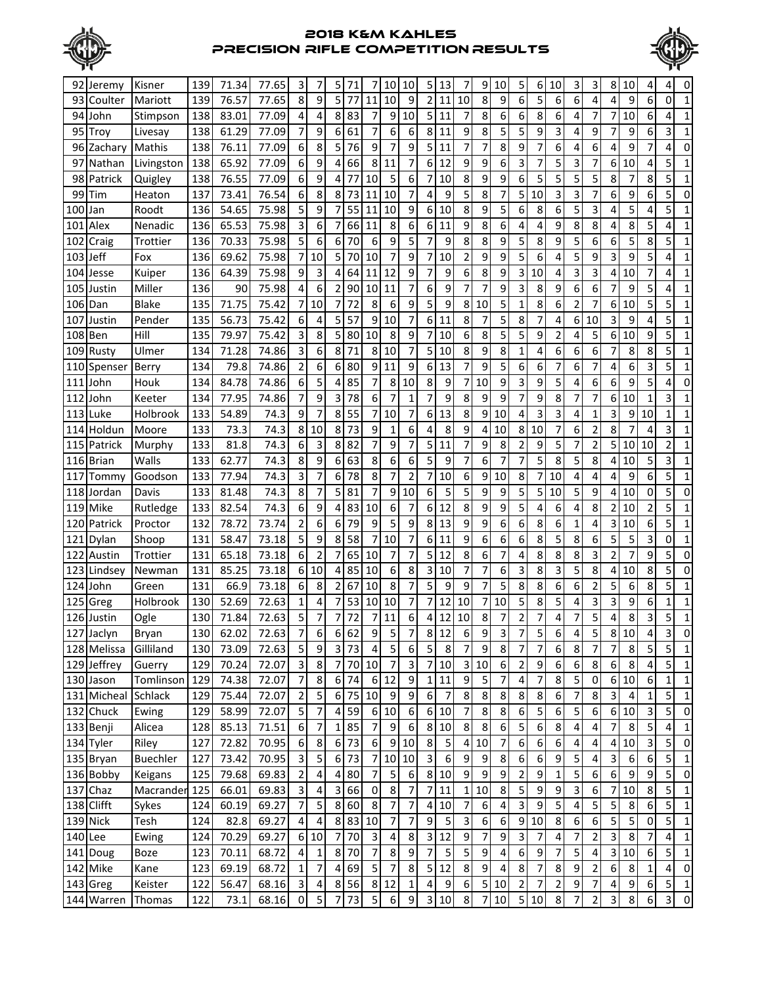



|          | 92 Jeremy            | Kisner          | 139        | 71.34 | 77.65          | 3                       | 7                                | 5              | 71            |                                           | 10                                        | 10               | 5                | 13                      |                  | 9                | 10               | 5                | 6              | 10                      | 3      | 3                       | 8                       | 10               | 4              | 4                       | 0                          |
|----------|----------------------|-----------------|------------|-------|----------------|-------------------------|----------------------------------|----------------|---------------|-------------------------------------------|-------------------------------------------|------------------|------------------|-------------------------|------------------|------------------|------------------|------------------|----------------|-------------------------|--------|-------------------------|-------------------------|------------------|----------------|-------------------------|----------------------------|
|          | 93 Coulter           | Mariott         | 139        | 76.57 | 77.65          | 8                       | 9                                | 5              | 77            | 11                                        | 10                                        | 9                | $\overline{2}$   | 11                      | 10               | 8                | 9                | 6                | 5              | 6                       | 6      | 4                       | $\overline{4}$          | 9                | 6              | 0                       | 1                          |
|          | 94 John              | Stimpson        | 138        | 83.01 | 77.09          | 4                       | 4                                | 8              | 83            | 7                                         | 9                                         | 10               | 5                | 11                      | 7                | 8                | 6                | 6                | 8              | 6                       | 4      | 7                       | $\overline{7}$          | 10               | 6              | 4                       | 1                          |
|          | 95 Trov              | Livesay         | 138        | 61.29 | 77.09          | $\overline{7}$          | 9                                | 6              | 61            | 7                                         | 6                                         | 6                | 8                | 11                      | 9                | 8                | 5                | 5                | 9              | 3                       | 4      | 9                       | 7                       | 9                | 6              | 3                       | 1                          |
|          | 96 Zachary           | Mathis          | 138        | 76.11 | 77.09          | 6                       | 8                                | 5              | 76            | 9                                         | 7                                         | 9                | 5                | 11                      |                  | 7                | 8                | 9                | 7              | 6                       | 4      | 6                       | 4                       | 9                |                | 4                       | 0                          |
| 97       | Nathan               | Livingston      | 138        | 65.92 | 77.09          | 6                       | 9                                | 4              | 66            | 8                                         | 11                                        | 7                | 6                | 12                      | 9                | 9                | 6                | 3                |                | 5                       | 3      | 7                       | 6 <sup>1</sup>          | 10               | 4              | 5                       |                            |
| 98       | Patrick              | Quigley         | 138        | 76.55 | 77.09          | 6                       | 9                                | 4              | 77            | 10                                        | 5                                         | 6                | 7                | 10                      | 8                | 9                | 9                | 6                | 5              | 5                       | 5      | 5                       | 8                       | 7                | 8              | 5                       | 1                          |
| 99       | Tim                  | Heaton          | 137        | 73.41 | 76.54          | 6                       | 8                                | 8              | 73            | 11                                        | 10                                        | 7                | 4                | 9                       | 5                | 8                | 7                | 5                | 10             | 3                       | 3      | 7                       | 6                       | 9                | 6              | 5                       | 0                          |
| 100      |                      | Roodt           | 136        | 54.65 | 75.98          | 5                       | 9                                | 7              | 55            | 11                                        | 10                                        | 9                | 6                | 10                      | 8                | 9                | 5                | 6                | 8              | 6                       | 5      | 3                       | 4                       | 5                | 4              | 5                       | 1                          |
|          | Jan                  |                 |            |       |                | 3                       |                                  |                |               | 11                                        |                                           | 6                |                  | 11                      | 9                |                  |                  |                  | 4              | 9                       |        |                         |                         |                  | 5              | 4                       |                            |
| 101      | Alex                 | Nenadic         | 136        | 65.53 | 75.98          | 5                       | 6                                | 7<br>6         | 66<br>70      |                                           | 8                                         | 5                | 6<br>7           | 9                       |                  | 8                | 6<br>9           | 4                |                | 9                       | 8<br>5 | 8                       | 4                       | 8                |                | 5                       | 1                          |
| 102      | Craig                | Trottier        | 136        | 70.33 | 75.98          |                         | 6                                |                |               | 6                                         | 9                                         |                  |                  |                         | 8                | 8                |                  | 5                | 8              |                         |        | 6                       | 6                       | 5                | 8              |                         | 1                          |
| 103 Jeff |                      | Fox             | 136        | 69.62 | 75.98          | $\overline{7}$          | 10                               | 5              | 70            | 10                                        | $\overline{7}$                            | 9                | 7                | 10                      | $\overline{2}$   | 9                | 9                | 5                | 6              | 4                       | 5      | 9                       | 3                       | 9                | 5              | 4                       | 1                          |
|          | 104 Jesse            | Kuiper          | 136        | 64.39 | 75.98          | 9                       | 3                                | 4              | 64            | 11                                        | 12                                        | 9                | 7                | 9                       | 6                | 8                | 9                | 3                | 10             | 4                       | 3      | 3                       | $\overline{a}$          | 10               | 7              | 4                       | 1                          |
| 105      | Justin               | Miller          | 136        | 90    | 75.98          | 4                       | 6                                | $\overline{2}$ | 90            | 10                                        | 11                                        | $\overline{7}$   | 6                | 9                       | 7                | 7                | 9                | 3                | 8              | 9                       | 6      | 6                       | 7                       | 9                | 5              | 4                       | $\mathbf 1$                |
|          | 106 Dan              | <b>Blake</b>    | 135        | 71.75 | 75.42          | 7                       | 10                               | 7              | 72            | 8                                         | 6                                         | 9                | 5                | 9                       | 8                | 10               | 5                | 1                | 8              | 6                       | 2      | 7                       | 6 <sup>1</sup>          | 10               | 5              | 5                       | 1                          |
| 107      | Justin               | Pender          | 135        | 56.73 | 75.42          | 6                       | 4                                | 5              | 57            | 9                                         | 10                                        | 7                | 6                | 11                      | 8                | 7                | 5                | 8                | 7              | 4                       | 6      | 10                      | 3                       | 9                | 4              | 5                       | 1                          |
| 108      | Ben                  | Hill            | 135        | 79.97 | 75.42          | 3                       | 8                                | 5              | 80            | 10                                        | 8                                         | 9                | 7                | 10                      | 6                | 8                | 5                | 5                | 9              | 2                       | 4      | 5                       | 6                       | 10               | 9              | 5                       | 1                          |
| 109      | Rusty                | Ulmer           | 134        | 71.28 | 74.86          | 3                       | 6                                | 8              | 71            | 8                                         | 10                                        | 7                | 5                | 10                      | 8                | 9                | 8                | 1                | 4              | 6                       | 6      | 6                       | 7                       | 8                | 8              | 5                       | 1                          |
| 110      | Spenser              | <b>Berry</b>    | 134        | 79.8  | 74.86          | $\overline{2}$          | 6                                | 6              | 80            | 9                                         | 11                                        | 9                | 6                | 13                      | 7                | 9                | 5                | 6                | 6              | 7                       | 6      | 7                       | 4                       | 6                | 3              | 5                       | 1                          |
| 111      | John                 | Houk            | 134        | 84.78 | 74.86          | 6                       | 5                                | 4              | 85            | 7                                         | 8                                         | 10               | 8                | 9                       | 7                | 10               | 9                | 3                | 9              | 5                       | 4      | 6                       | 6                       | 9                | 5              | 4                       | 0                          |
| 112      | John                 | Keeter          | 134        | 77.95 | 74.86          | 7                       | 9                                | 3              | 78            | 6                                         | 7                                         | $\mathbf{1}$     | 7                | 9                       | 8                | 9                | 9                | 7                | 9              | 8                       | 7      | 7                       | $6 \mid$                | 10               | 1              | 3                       | 1                          |
| 113      | Luke                 | Holbrook        | 133        | 54.89 | 74.3           | 9                       | $\overline{7}$                   | 8              | 55            | 7                                         | 10                                        | 7                | 6                | 13                      | 8                | 9                | 10               | 4                | 3              | 3                       | 4      | 1                       | 3                       | 9                | 10             | 1                       | 1                          |
|          | 114 Holdun           | Moore           | 133        | 73.3  | 74.3           | 8 <sup>1</sup>          | 10                               | 8              | 73            | 9                                         | 1                                         | 6                | 4                | 8                       | 9                | 4                | 10               | 8                | 10             | 7                       | 6      | $\overline{2}$          | 8                       | 7                | 4              | 3                       | 1                          |
| 115      | Patrick              | Murphy          | 133        | 81.8  | 74.3           | 6                       | 3                                | 8              | 82            | 7                                         | 9                                         | 7                | 5                | 11                      | 7                | 9                | 8                | 2                | 9              | 5                       | 7      | $\overline{2}$          | 5 <sup>1</sup>          | 10               | 10             | $\overline{2}$          | 1                          |
|          | 116 Brian            | Walls           | 133        | 62.77 | 74.3           | 8                       | 9                                | 6              | 63            | 8                                         | 6                                         | 6                | 5                | 9                       |                  | 6                | 7                | 7                | 5              | 8                       | 5      | 8                       | $\overline{4}$          | 10               | 5              | 3                       |                            |
| 117      | Tommy                | Goodson         | 133        | 77.94 | 74.3           | 3                       | 7                                | 6              | 78            | 8                                         | 7                                         | $\overline{2}$   | 7                | 10                      | 6                | 9                | 10               | 8                | 7              | 10                      | 4      | 4                       | $\overline{4}$          | 9                | 6              | 5                       |                            |
| 118      | Jordan               | Davis           | 133        | 81.48 | 74.3           | 8                       | 7                                | 5              | 81            | 7                                         | 9                                         | 10               | 6                | 5                       | 5                | 9                | 9                | 5                | 5              | 10                      | 5      | 9                       | $\overline{4}$          | 10               | 0              | 5                       | 0                          |
| 119      | Mike                 | Rutledge        | 133        | 82.54 | 74.3           | 6                       | 9                                | 4              | 83            | 10                                        | 6                                         | 7                | 6                | 12                      | 8                | 9                | 9                | 5                | 4              | 6                       | 4      | 8                       | 2                       | 10               | $\overline{2}$ | 5                       | 1                          |
| 120      | Patrick              | Proctor         | 132        | 78.72 | 73.74          | $\overline{2}$          | 6                                | 6              | 79            | 9                                         | 5                                         | 9                | 8                | 13                      | 9                | 9                | 6                | 6                | 8              | 6                       | 1      | 4                       | 3 <sup>1</sup>          | 10               | 6              | 5                       | 1                          |
| 121      | Dylan                | Shoop           | 131        | 58.47 | 73.18          | 5                       | 9                                | 8              | 58            | 7                                         | 10                                        | 7                | 6                | 11                      | 9                | 6                | 6                | 6                | 8              | 5                       | 8      | 6                       | 5                       | 5                | 3              | 0                       | 1                          |
| 122      | Austin               | Trottier        | 131        | 65.18 | 73.18          | 6                       | $\overline{c}$                   | 7              | 65            | 10                                        | $\overline{7}$                            | 7                | 5                | 12                      | 8                | 6                | 7                | 4                | 8              | 8                       | 8      | 3                       | $\overline{2}$          | 7                | 9              | 5                       | 0                          |
|          | 123 Lindsey          | Newman          | 131        | 85.25 | 73.18          | 6 <sup>1</sup>          | 10                               | 4              | 85            | 10                                        | 6                                         | 8                | 3                | 10                      | 7                | 7                | 6                | 3                | 8              | 3                       | 5      | 8                       | $\overline{a}$          | 10               | 8              | 5                       | 0                          |
|          | 124 John             | Green           | 131        | 66.9  | 73.18          | 6                       | 8                                | $\overline{2}$ | 67            | 10                                        | 8                                         | 7                | 5                | 9                       | 9                | 7                | 5                | 8                | 8              | 6                       | 6      | $\overline{\mathbf{c}}$ | 5                       | 6                | 8              | 5                       | 1                          |
| 125      | Greg                 | Holbrook        | 130        | 52.69 | 72.63          | $\mathbf{1}$            | 4                                | 7              | 53            | 10                                        | 10                                        | $\overline{7}$   | $\overline{7}$   | 12                      | 10               | 7                | 10               | 5                | 8              | 5                       | 4      | 3                       | 3                       | 9                | 6              | 1                       | 1                          |
|          | 126 Justin           | Ogle            | 130        | 71.84 | 72.63          | 5                       | 7                                |                | 72            | 7                                         | 11                                        | 6                | 4                | 12                      | 10               | 8                | 7                | 2                |                | 4                       | 7      | 5                       | 4                       | 8                | 3              | 5                       | 1                          |
|          | 127 Jaclyn           | Bryan           | 130        | 62.02 | 72.63          | $\overline{7}$          | 6                                |                | 6 62          | ЭI                                        | 5                                         | $\prime$         | 8 <sup>1</sup>   | $12\,$                  | 61               | У                | اک               | $\prime$         | 5              | b                       | 4      | 5                       | 8                       | ΊÛ               | 4              | $\overline{3}$          | $\boldsymbol{0}$           |
|          | 128 Melissa          | Gilliland       | 130        | 73.09 | 72.63          | $\overline{\mathbf{5}}$ | 9                                |                | 3 73          | $\overline{\mathbf{4}}$                   | $\overline{5}$                            | 6                | 5                | 8                       | 7                | 9                | $\infty$         | $\overline{7}$   | $\overline{7}$ | $\boldsymbol{6}$        | 8      | $\overline{7}$          | $\overline{7}$          | 8                | 5              | 5                       | $\mathbf{1}$               |
|          | 129 Jeffrey          | Guerry          | 129        | 70.24 | 72.07          | $\mathbf{3}$            | 8                                | $\overline{7}$ |               | 70 10                                     | $\overline{7}$                            | $\mathsf 3$      | $\boldsymbol{7}$ | 10                      | $\overline{3}$   | $10\,$           | $6 \mid$         | $\sqrt{2}$       | 9              | $6 \mid$                | 6      | 8 <sup>1</sup>          | $6\overline{6}$         | 8                | 4              | 5                       | $\mathbf{1}$               |
|          | 130 Jason            | Tomlinson       | 129        | 74.38 | 72.07          | $\boldsymbol{7}$        | 8                                | 6              | 74            |                                           | 6 12                                      | $\boldsymbol{9}$ | 1                | 11                      | 9                | 5                | 7 <sup>1</sup>   | $\sqrt{4}$       | 7              | 8                       | 5      | $\overline{0}$          | $6 \mid$                | 10               | 6              | $1\overline{ }$         | $\mathbf{1}$               |
|          | 131 Micheal Schlack  |                 | 129        | 75.44 | 72.07          | $\mathbf 2$             | 5                                | 6              |               | 75 10                                     | $\boldsymbol{9}$                          | $\boldsymbol{9}$ | 6                | $\overline{7}$          | 8                | $\bf 8$          | 8 <sup>1</sup>   | 8                | 8              | 6                       | 7      | 8                       | $\overline{3}$          | 4                | 1              | 5                       | $\mathbf{1}$               |
|          | 132 Chuck            | Ewing           | 129        | 58.99 | 72.07          | 5                       | $\boldsymbol{7}$                 | 4              | 59            |                                           | 6 10                                      | $\boldsymbol{6}$ | $\,$ 6 $\,$      | 10                      | 7                | $\bf 8$          | $\infty$         | $\boldsymbol{6}$ | 5              | $\boldsymbol{6}$        | 5      | $\overline{6}$          | 6                       | 10               | 3              | 5 <sub>l</sub>          | $\mathbf 0$                |
|          | 133 Benji            | Alicea          | 128        | 85.13 | 71.51          | $\boldsymbol{6}$        | $\overline{7}$                   | 1              | 85            | $\overline{7}$                            | $\mathsf g$                               | $\boldsymbol{6}$ | 8                | 10                      | $\bf 8$          | $\bf 8$          | $6 \mid$         | 5                | 6              | 8                       | 4      | 4                       | 7 <sup>1</sup>          | 8                | 5              | $\overline{4}$          | $\mathbf 1$                |
|          | 134 Tyler            | Riley           | 127        | 72.82 | 70.95          | $6 \mid$                | 8                                |                | 6 73          | $6\vert$                                  |                                           | 910              | 8                | $\overline{\mathbf{5}}$ | 4                | $10\,$           | 7                | $\boldsymbol{6}$ | 6              | $\boldsymbol{6}$        | 4      | 4                       | 4                       | 10               | 3              | 5 <sub>l</sub>          | $\mathbf 0$                |
|          | $\sqrt{135}$ Bryan   | <b>Buechler</b> | 127        | 73.42 | 70.95          | $\overline{3}$          | 5                                |                | 6 73          |                                           | 7 10 10                                   |                  | $\overline{3}$   | $\boldsymbol{6}$        | $\boldsymbol{9}$ | $\boldsymbol{9}$ | 8 <sup>1</sup>   | $\boldsymbol{6}$ | 6              | $\boldsymbol{9}$        | 5      | 4                       | $\overline{3}$          | $\boldsymbol{6}$ | 6              | $\overline{5}$          | $\mathbf{1}$               |
|          | 136 Bobby            | Keigans         | 125        | 79.68 | 69.83          | $\mathbf 2$             | $\sqrt{4}$                       | 4              | 80            | $\boldsymbol{7}$                          | $\mathsf S$                               | $\boldsymbol{6}$ | $\mathbf{8}$     | 10                      | $\boldsymbol{9}$ | $\boldsymbol{9}$ | $\boldsymbol{9}$ | $\mathbf{2}$     | 9              | $\mathbf 1$             | 5      | 6                       | 6                       | 9                | 9              | 5 <sub>l</sub>          | $\mathsf 0$                |
|          | 137 Chaz             | Macrander 125   |            | 66.01 | 69.83          | $\overline{\mathbf{3}}$ | $\sqrt{4}$                       |                | 3 66          | $\overline{0}$                            | $\overline{8}$                            | $\boldsymbol{7}$ | 7                | 11                      | $\mathbf 1$      | 10               | 8 <sup>1</sup>   | $\mathsf S$      | 9              | $\boldsymbol{9}$        | 3      | $\boldsymbol{6}$        | 7 <sup>1</sup>          | 10               | 8              | 5                       | $\mathbf{1}$               |
|          | 138 Clifft           | Sykes           |            |       | 69.27          | $\overline{7}$          |                                  |                | 8 60          | $\bf 8$                                   | $\boldsymbol{7}$                          | $\boldsymbol{7}$ |                  | 10                      | $\overline{7}$   | $\boldsymbol{6}$ | $\overline{4}$   | 3                | 9              | $\overline{\mathbf{5}}$ | 4      | 5                       | $\overline{\mathbf{5}}$ |                  |                | 5                       |                            |
|          | <b>139 Nick</b>      | Tesh            | 124        | 60.19 |                | $\overline{\mathbf{4}}$ | 5                                |                |               |                                           |                                           |                  | 4                |                         |                  |                  | $6 \mid$         | $\boldsymbol{9}$ |                |                         |        | $\boldsymbol{6}$        | 5                       | 8                | 6              |                         | $\mathbf{1}$               |
|          |                      |                 | 124<br>124 | 82.8  | 69.27          | $6 \mid$                | 4<br>10                          |                | 8 83 10<br>70 |                                           | $\overline{7}$<br>$\overline{\mathbf{r}}$ | $\boldsymbol{7}$ | 9                | 5<br>12                 | 3<br>9           | 6<br>7           | 9                | 3                | 10             | 8                       | 6      |                         | $\overline{3}$          | 5                | 0              | 5<br>4                  | $\mathbf{1}$               |
| 140 Lee  |                      | Ewing           |            | 70.29 | 69.27          | $\overline{\mathbf{4}}$ |                                  | 7              |               | $\mathbf{3}$                              |                                           | 8                | 3                |                         |                  | $\boldsymbol{9}$ | $\overline{4}$   | $\boldsymbol{6}$ | 7              | 4                       | 7      | 2                       | $\overline{\mathbf{3}}$ | 8                | 7              |                         | $\mathbf{1}$               |
|          | 141 Doug<br>142 Mike | Boze<br>Kane    | 123<br>123 | 70.11 | 68.72<br>68.72 | $\mathbf 1$             | $\mathbf{1}$<br>$\boldsymbol{7}$ | 8              | 70<br>69      | $\overline{7}$<br>$\overline{\mathbf{5}}$ | $\bf 8$<br>$\overline{7}$                 | 9<br>$\bf 8$     | 7<br>5           | 5<br>12                 | 5<br>$\bf 8$     | 9                | $\overline{4}$   | $\,8\,$          | 9<br>7         | 7<br>$\bf 8$            | 5<br>9 | 4                       | $6 \mid$                | 10<br>8          | 6              | 5<br>4                  | $\mathbf 1$<br>$\mathbf 0$ |
|          |                      |                 |            | 69.19 |                |                         |                                  | 4              |               |                                           |                                           |                  |                  |                         |                  |                  |                  | $\mathbf 2$      | $\overline{7}$ |                         |        | 2<br>$\overline{7}$     | $\overline{4}$          |                  | 1              | 5                       |                            |
|          | 143 Greg             | Keister         | 122        | 56.47 | 68.16          | $\overline{\mathbf{3}}$ | 4                                | 8              | 56            |                                           | 8 1 2                                     | $\mathbf 1$      | 4                | 9                       | 6                |                  | 5 10             |                  |                | 2                       | 9      |                         |                         | 9                | 6              |                         | $\mathbf{1}$               |
|          | 144 Warren           | Thomas          | 122        | 73.1  | 68.16          | $\pmb{0}$               | 5                                | 7              | 73            | $\overline{\mathbf{5}}$                   | $\boldsymbol{6}$                          | 9                | $\mathbf{3}$     | 10                      | 8 <sup>1</sup>   |                  | 7 10             | 5 <sub>l</sub>   | 10             | 8                       | 7      | $\overline{2}$          | $\overline{3}$          | 8                | 6              | $\overline{\mathbf{3}}$ | $\overline{0}$             |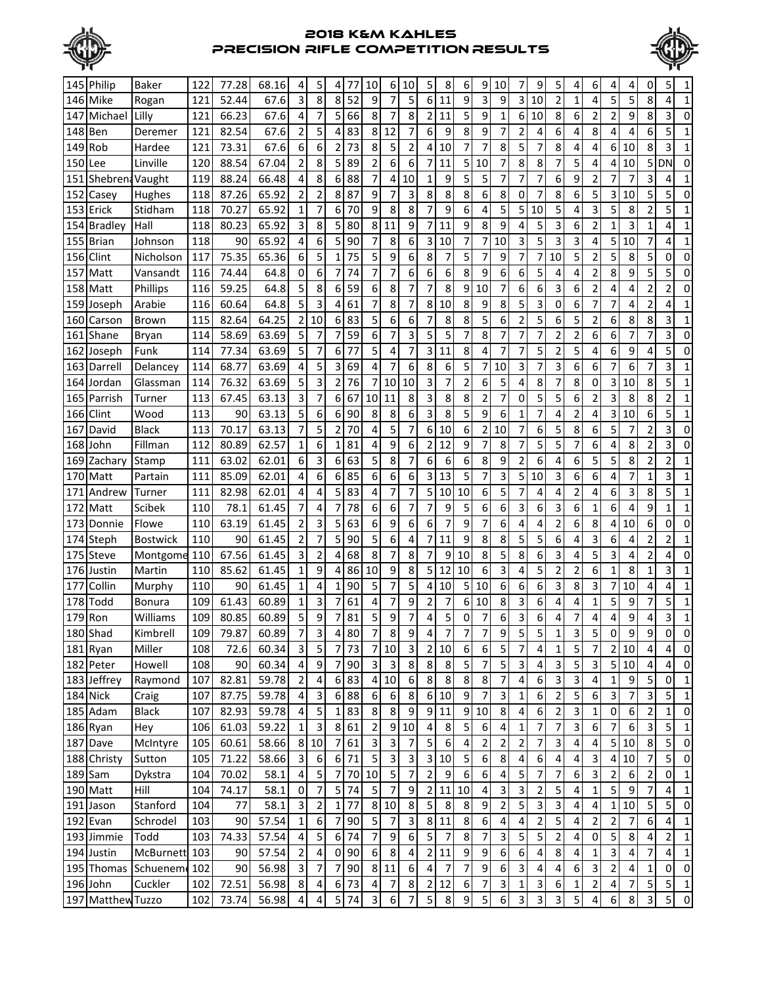



|         | 145 Philip        | Baker           | 122  | 77.28 | 68.16 | 4                       | 5                        | 4                | 77                        | 10               | 6                       | 10                       | 5                             | 8                | 6              | 9                       | 10             | 7                       | 9                         | 5              | 4              | 6                       |                         | 4                | 0              | 5              |                         |
|---------|-------------------|-----------------|------|-------|-------|-------------------------|--------------------------|------------------|---------------------------|------------------|-------------------------|--------------------------|-------------------------------|------------------|----------------|-------------------------|----------------|-------------------------|---------------------------|----------------|----------------|-------------------------|-------------------------|------------------|----------------|----------------|-------------------------|
|         | 146 Mike          | Rogan           | 121  | 52.44 | 67.6  | 3                       | 8                        | 8                | 52                        | 9                | 7                       | 5                        | 6                             | 11               | 9              | 3                       | 9              | 3                       | 10                        | $\overline{2}$ | 1              | 4                       | 5                       | 5                | 8              | 4              | 1                       |
| 147     | Michael           | Lilly           | 121  | 66.23 | 67.6  | 4                       | 7                        | 5                | 66                        | 8                | $\overline{7}$          | 8                        | 2                             | 11               | 5              | 9                       | $\mathbf{1}$   | 6                       | 10                        | 8              | 6              | 2                       | 2                       | 9                | 8              | 3              | 0                       |
| 148     | Ben               | Deremer         | 121  | 82.54 | 67.6  | $\overline{2}$          | 5                        | 4                | 83                        | 8                | 12                      | 7                        | 6                             | 9                | 8              | 9                       | $\overline{7}$ | 2                       | 4                         | 6              | 4              | 8                       | 4                       | 4                | 6              | 5              | 1                       |
| 149     | Rob               | Hardee          | 121  | 73.31 | 67.6  | 6                       | 6                        | 2                | 73                        | 8                | 5                       | $\overline{2}$           | 4                             | 10               | 7              | 7                       | 8              | 5                       | 7                         | 8              | 4              | 4                       | 6                       | 10               | 8              | 3              | 1                       |
| 150     |                   | Linville        | 120  | 88.54 | 67.04 | $\overline{2}$          | 8                        | 5                | 89                        | 2                | 6                       | 6                        | 7                             | 11               | 5              | 10                      | 7              | 8                       | 8                         |                | 5              | 4                       | 4                       | 10               | 5              | DN             | 0                       |
|         | Lee               |                 |      |       |       |                         |                          |                  |                           |                  |                         |                          |                               |                  |                |                         |                |                         |                           |                |                |                         |                         |                  |                |                |                         |
| 151     | Shebrena Vaught   |                 | 119  | 88.24 | 66.48 | 4                       | 8                        | 6                | 88                        | 7                | 4                       | 10                       | 1                             | 9                | 5              | 5                       | 7              | 7                       | 7                         | 6              | 9              | 2                       |                         | 7                | 3              | 4              |                         |
| 152     | Casey             | Hughes          | 118  | 87.26 | 65.92 | 2                       | $\overline{2}$           | 8                | 87                        | 9                | 7                       | 3                        | 8                             | 8                | 8              | 6                       | 8              | 0                       | 7                         | 8              | 6              | 5                       | 3                       | 10               | 5              | 5              | $\Omega$                |
| 153     | Erick             | Stidham         | 118  | 70.27 | 65.92 | 1                       | 7                        | 6                | 70                        | 9                | 8                       | 8                        | 7                             | 9                | 6              | 4                       | 5              | 5                       | 10                        | 5              | 4              | 3                       | 5                       | 8                | $\overline{2}$ | 5              | 1                       |
| 154     | <b>Bradley</b>    | Hall            | 118  | 80.23 | 65.92 | 3                       | 8                        | 5                | 80                        | 8                | 11                      | 9                        | 7                             | 11               | 9              | 8                       | 9              | 4                       | 5                         | 3              | 6              | 2                       | $\mathbf{1}$            | 3                | 1              | 4              | 1                       |
| 155     | <b>Brian</b>      | Johnson         | 118  | 90    | 65.92 | 4                       | 6                        | 5                | 90                        | 7                | 8                       | 6                        | 3                             | 10               | 7              | 7                       | 10             | 3                       | 5                         | 3              | 3              | 4                       | 5                       | 10               | 7              | 4              | 1                       |
| 156     | Clint             | Nicholson       | 117  | 75.35 | 65.36 | 6                       | 5                        | 1                | 75                        | 5                | 9                       | 6                        | 8                             | 7                | 5              | 7                       | 9              | 7                       | 7                         | 10             | 5              | 2                       | 5                       | 8                | 5              | 0              | 0                       |
| 157     | Matt              | Vansandt        | 116  | 74.44 | 64.8  | 0                       | 6                        | 7                | 74                        | 7                | 7                       | 6                        | 6                             | 6                | 8              | 9                       | 6              | 6                       | 5                         | 4              | 4              | 2                       | 8                       | 9                | 5              | 5              | 0                       |
| 158     | Matt              | Phillips        | 116  | 59.25 | 64.8  | 5                       | 8                        | 6                | 59                        | 6                | 8                       | 7                        | 7                             | 8                | 9              | 10                      | $\overline{7}$ | 6                       | 6                         | 3              | 6              | $\overline{2}$          | 4                       | 4                | $\overline{c}$ | 2              | 0                       |
|         | 159 Joseph        | Arabie          | 116  | 60.64 | 64.8  | 5                       | 3                        | 4                | 61                        | 7                | 8                       | 7                        | 8                             | 10               | 8              | 9                       | 8              | 5                       | 3                         | 0              | 6              | 7                       | 7                       | 4                | $\overline{c}$ | 4              | 1                       |
| 160     | Carson            | <b>Brown</b>    | 115  | 82.64 | 64.25 | $\overline{2}$          | 10                       | 6                | 83                        | 5                | 6                       | 6                        | 7                             | 8                | 8              | 5                       | 6              | $\overline{2}$          | 5                         | 6              | 5              | $\overline{2}$          | 6                       | 8                | 8              | 3              | $\mathbf{1}$            |
| 161     | Shane             | Bryan           | 114  | 58.69 | 63.69 | 5                       | 7                        | 7                | 59                        | 6                | 7                       | 3                        | 5                             | 5                | 7              | 8                       | 7              | 7                       | 7                         | $\overline{2}$ | 2              | 6                       | 6                       | 7                | 7              | 3              | 0                       |
| 162     | Joseph            | Funk            | 114  | 77.34 | 63.69 | 5                       | 7                        | 6                | 77                        | 5                | 4                       | 7                        | 3                             | 11               | 8              | 4                       | 7              | 7                       | 5                         | $\overline{2}$ | 5              | 4                       | 6                       | 9                | 4              | 5              | 0                       |
| 163     | Darrell           | Delancey        | 114  | 68.77 | 63.69 | 4                       | 5                        | 3                | 69                        | 4                | 7                       | 6                        | 8                             | 6                | 5              | 7                       | 10             | 3                       | 7                         | 3              | 6              | 6                       | 7                       | 6                | 7              | 3              | 1                       |
| 164     | Jordan            | Glassman        | 114  | 76.32 | 63.69 | 5                       | 3                        | $\overline{2}$   | 76                        | 7                | 10                      | 10                       | 3                             | 7                | $\overline{2}$ | 6                       | 5              | 4                       | 8                         | 7              | 8              | 0                       | 3                       | 10               | 8              | 5              | 1                       |
| 165     | Parrish           | Turner          | 113  | 67.45 | 63.13 | 3                       | 7                        | 6                | 67                        | 10               | 11                      | 8                        | 3                             | 8                | 8              | 2                       | 7              | 0                       | 5                         | 5              | 6              | 2                       | 3                       | 8                | 8              | 2              | 1                       |
| 166     | Clint             | Wood            | 113  | 90    | 63.13 | 5                       | 6                        | 6                | 90                        | 8                | 8                       | 6                        | 3                             | 8                | 5              | 9                       | 6              | $\mathbf{1}$            | 7                         | 4              | 2              | 4                       | $\overline{\mathbf{3}}$ | 10               | 6              | 5              | 1                       |
| 167     | David             | <b>Black</b>    | 113  | 70.17 | 63.13 | 7                       | 5                        | $\overline{2}$   | 70                        | 4                | 5                       | 7                        | 6                             | 10               | 6              | 2                       | 10             | 7                       | 6                         | 5              | 8              | 6                       | 5                       | 7                | $\overline{2}$ | 3              | 0                       |
| 168     | lJohn             | Fillman         | 112  | 80.89 | 62.57 | $\mathbf{1}$            | 6                        | 1                | 81                        | 4                | 9                       | 6                        | $\overline{\mathbf{c}}$       | 12               | 9              | 7                       | 8              | 7                       | 5                         | 5              | 7              | 6                       | 4                       | 8                | $\overline{2}$ | 3              | 0                       |
| 169     | Zachary           | Stamp           | 111  | 63.02 | 62.01 | 6                       | 3                        | 6                | 63                        | 5                | 8                       | 7                        | 6                             | 6                | 6              | 8                       | 9              | $\overline{2}$          | 6                         | 4              | 6              | 5                       | 5                       | 8                | $\overline{2}$ | 2              | 1                       |
| 170     | Matt              | Partain         | 111  | 85.09 | 62.01 | 4                       | 6                        | 6                | 85                        | 6                | 6                       | 6                        | 3                             | 13               | 5              | 7                       | 3              | 5                       | 10                        | 3              | 6              | 6                       | 4                       | 7                | $\mathbf{1}$   | 3              | 1                       |
| 171     | Andrew            | Turner          | 111  | 82.98 | 62.01 | 4                       | 4                        | 5                | 83                        | 4                | 7                       | 7                        | 5                             | 10               | 10             | 6                       | 5              | 7                       | 4                         | 4              | 2              | 4                       | 6                       | 3                | 8              | 5              | 1                       |
| 172     | Matt              | Scibek          | 110  | 78.1  | 61.45 | 7                       | 4                        | 7                | 78                        | 6                | 6                       | 7                        | 7                             | 9                | 5              | 6                       | 6              | 3                       | 6                         | 3              | 6              | 1                       | 6                       | 4                | 9              | 1              |                         |
| 173     | Donnie            | Flowe           | 110  | 63.19 | 61.45 | $\overline{2}$          | 3                        | 5                | 63                        | 6                | 9                       | 6                        | 6                             | 7                | 9              | 7                       | 6              | 4                       | 4                         | 2              | 6              | 8                       | 4                       | 10               | 6              | 0              | 0                       |
| 174     | Steph             | <b>Bostwick</b> | 110  | 90    | 61.45 | $\overline{2}$          | 7                        | 5                | 90                        | 5                | 6                       | 4                        | 7                             | 11               | 9              | 8                       | 8              | 5                       | 5                         | 6              | 4              | 3                       | 6                       | 4                | 2              | $\overline{2}$ | 1                       |
| 175     | <b>Steve</b>      | Montgome        | 110  | 67.56 | 61.45 | 3                       | $\overline{2}$           | 4                | 68                        | 8                | 7                       | 8                        | 7                             | 9                | 10             | 8                       | 5              | 8                       | 6                         | 3              | 4              | 5                       | 3                       | 4                | $\overline{2}$ | 4              | 0                       |
|         | 176 Justin        | Martin          | 110  | 85.62 | 61.45 | $\mathbf{1}$            | 9                        | 4                | 86                        | 10               | 9                       | 8                        | 5                             | 12               | 10             | 6                       | 3              | 4                       | 5                         | $\overline{c}$ | 2              | 6                       | $\mathbf 1$             | 8                | 1              | 3              | 1                       |
| 177     | Collin            | Murphy          | 110  | 90    | 61.45 | $\mathbf{1}$            | 4                        | 1                | 90                        | 5                | 7                       | 5                        | 4                             | 10               | 5              | 10                      | 6              | 6                       | 6                         | 3              | 8              | 3                       | 7                       | 10               | 4              | 4              | 1                       |
| 178     | Todd              | Bonura          | 109  | 61.43 | 60.89 | $\mathbf{1}$            | 3                        | 7                | 61                        | 4                | 7                       | 9                        | $\overline{2}$                | 7                | 6              | 10                      | 8              | 3                       | 6                         | 4              | 4              | 1                       | 5                       | 9                | 7              | 5              | 1                       |
| 179 Ron |                   | Williams        | 109  | 80.85 | 60.89 | 5                       | 9                        | 7                | 81                        | 5                | 9                       | 7                        | 4                             | 5                | 0              | 7                       | 6              | 3                       | 6                         | 4              | 7              | 4                       | 4                       | 9                | 4              | 3              | 1                       |
|         | 180 Shad          | Kimbrell        | 109  | 79.87 | 60.89 | $\overline{7}$          | 3                        | 4                | 80                        | 7                | 8                       | 9                        |                               |                  |                |                         |                |                         | 5                         | 1              | 3              | 5                       | $\mathbf{0}$            | 9                | 9              | $\overline{0}$ | $\boldsymbol{0}$        |
|         | 181 Ryan          | Miller          | 108  | 72.6  | 60.34 | $\overline{3}$          | 5                        | 7                | 73                        | 7                | 10                      | 3                        | $\overline{4}$<br>$\mathbf 2$ | 10               | 6              | $\prime$<br>6           | 9<br>5         | 5<br>$\overline{7}$     | 4                         | $\mathbf 1$    | 5              | $\overline{7}$          |                         | 2 10             | 4              | 4              | $\mathbf 0$             |
|         | 182 Peter         | Howell          | 108  | 90    | 60.34 | $\pmb{4}$               | 9                        | 7                | 90                        | $\mathbf{3}$     | $\mathbf{3}$            | $\bf 8$                  | $\bf 8$                       | 8                | 5              | 7                       | $\overline{5}$ | $\mathsf 3$             | 4                         | 3              | $\overline{5}$ | 3                       | 5 <sup>1</sup>          | 10               | 4              | 4              | $\mathbf 0$             |
|         |                   | Raymond         | 107  |       | 59.78 | $\overline{2}$          |                          |                  | 83                        |                  | 10                      | $\boldsymbol{6}$         |                               | 8                |                |                         | $\overline{7}$ |                         |                           |                |                |                         | $1\vert$                | 9                |                |                | $\mathbf{1}$            |
|         | 183 Jeffrey       |                 |      | 82.81 |       |                         | 4                        | 6                |                           | 4                |                         |                          | 8                             |                  | 8              | 8                       |                | 4                       | 6                         | 3              | 3              | 4                       |                         |                  | 5              | 0              |                         |
|         | 184 Nick          | Craig           | 107  | 87.75 | 59.78 | $\overline{\mathbf{4}}$ | 3                        | 6                | 88                        | 6                | 6                       | $\bf 8$                  | 6                             | 10               | 9              | 7                       | $\vert$ 3      | $\mathbf 1$             | 6                         | 2              | 5              | 6                       | $\overline{\mathbf{3}}$ | 7                | 3              | 5              | $\mathbf{1}$            |
|         | 185 Adam          | <b>Black</b>    | 107  | 82.93 | 59.78 | $\pmb{4}$               | 5                        | 1                | 83                        | 8 <sup>1</sup>   | 8 <sup>1</sup>          | $\boldsymbol{9}$         | 9                             | 11               | 9              | 10                      | 8 <sup>1</sup> | $\pmb{4}$               | 6                         | $\mathbf 2$    | 3              | $\mathbf{1}$            | $\overline{0}$          | $\boldsymbol{6}$ | $\overline{c}$ | $1\vert$       | $\pmb{0}$               |
|         | 186 Ryan          | Hey             | 106  | 61.03 | 59.22 | $1\overline{)}$         | 3                        |                  | 8 61                      | $\overline{2}$   |                         | 9 10                     | 4                             | 8                | 5              | $\boldsymbol{6}$        | $\overline{4}$ | $\mathbf 1$             | $\overline{7}$            | $\overline{7}$ | 3              | $6 \mid$                | 7 <sup>1</sup>          | $\boldsymbol{6}$ | 3              | 5              | $\mathbf{1}$            |
|         | 187 Dave          | McIntyre        | 105  | 60.61 | 58.66 | 8 <sup>1</sup>          | 10                       | $\boldsymbol{7}$ | 61                        | $\mathbf{3}$     | $\overline{\mathbf{3}}$ | $\overline{7}$           | 5                             | $\boldsymbol{6}$ | 4              | $\mathbf 2$             | $\mathbf 2$    | $\mathbf 2$             | $\overline{7}$            | 3              | 4              | $\overline{\mathbf{4}}$ | 5 <sup>1</sup>          | 10               | 8              | $\overline{5}$ | $\pmb{0}$               |
|         | 188 Christy       | Sutton          | 105  | 71.22 | 58.66 | $\overline{3}$          | $\boldsymbol{6}$         |                  | 6 71                      | $\overline{5}$   | $\overline{3}$          | $\mathbf{3}$             | $\mathsf 3$                   | 10               | 5              | $\boldsymbol{6}$        | 8 <sup>1</sup> | $\pmb{4}$               | 6                         | 4              | 4              | $\mathbf{3}$            |                         | 4 10             | $\overline{7}$ | 5 <sub>l</sub> | $\overline{\mathbf{0}}$ |
|         | $189$ Sam         | Dykstra         | 104  | 70.02 | 58.1  | $\overline{\mathbf{4}}$ | 5                        | $\boldsymbol{7}$ |                           | 70 10            | $\overline{5}$          | $\overline{\phantom{a}}$ | $\overline{2}$                | 9                | 6              | $\boldsymbol{6}$        | $\overline{4}$ | $\overline{5}$          | 7                         | $\overline{7}$ | 6              | $\overline{3}$          | 2 <sup>1</sup>          | $\boldsymbol{6}$ | $\mathbf 2$    | $\mathbf 0$    | $\mathbf{1}$            |
|         | 190 Matt          | Hill            | 104  | 74.17 | 58.1  | $\pmb{0}$               | $\overline{\phantom{a}}$ | 5                | 74                        | $5\phantom{.}$   | $\overline{7}$          | $\boldsymbol{9}$         | $\mathbf 2$                   | 11               | 10             | $\pmb{4}$               | $\overline{3}$ | $\overline{\mathbf{3}}$ | 2                         | 5              | 4              | $\mathbf{1}$            | $\overline{5}$          | 9                | 7              | 4              | $\mathbf{1}$            |
|         | 191 Jason         | Stanford        | 104  | 77    | 58.1  | $\mathbf{3}$            | $\overline{2}$           | $\mathbf 1$      | 77                        |                  | 8 10                    | $\bf 8$                  | 5                             | 8                | 8              | 9                       | $\overline{2}$ | 5                       | $\mathsf 3$               | 3              | 4              | 4                       | $1\vert$                | 10               | 5              | 5              | $\overline{\mathbf{0}}$ |
|         | 192 Evan          | Schrodel        | 103  | 90    | 57.54 | $\mathbf 1$             | $\boldsymbol{6}$         | $\overline{7}$   | 90                        | 5 <sup>1</sup>   | $\overline{7}$          | $\mathsf 3$              | 8                             | 11               | 8              | $\boldsymbol{6}$        | $\overline{4}$ | 4                       | $\overline{2}$            | 5              | 4              | $\overline{2}$          | $\mathbf{2}$            | $\overline{7}$   | 6              | 4              | 1                       |
|         | 193 Jimmie        | Todd            | 103  | 74.33 | 57.54 | $\pmb{4}$               | 5                        |                  | 6 74                      | 7                | $\boldsymbol{9}$        | $\boldsymbol{6}$         | 5                             | 7                | 8              | 7                       | $\overline{3}$ | 5                       | 5                         | 2              | 4              | 0                       | 5 <sub>l</sub>          | 8                | 4              | 2              | 1                       |
|         | 194 Justin        | McBurnett 103   |      | 90    | 57.54 | $\overline{2}$          | 4                        | 0                | 90                        | $\boldsymbol{6}$ | $\,8\,$                 | 4                        | 2                             | 11               | 9              | 9                       | $6 \mid$       | $\boldsymbol{6}$        | 4                         | 8              | 4              | 1                       | $\mathbf{3}$            | 4                | 7              | 4              | $\mathbf{1}$            |
|         | 195 Thomas        | Schuenem        | 4102 | 90    | 56.98 | $\mathbf{3}$            | 7                        | 7                | 90                        |                  | 8 1 1                   | 6                        | 4                             | 7                | 7              | 9                       | $6 \mid$       | $\mathsf 3$             | 4                         | 4              | 6              | $\overline{\mathbf{3}}$ | $\overline{2}$          | 4                | 1              | $\mathbf 0$    | $\pmb{0}$               |
|         | 196 John          | Cuckler         | 102  | 72.51 | 56.98 | 8 <sup>1</sup>          | 4                        |                  | 6 73                      | $\overline{4}$   | 7                       | $\bf 8$                  | $\overline{2}$                | 12               | 6              | 7                       | $\overline{3}$ | $\mathbf 1$             | $\ensuremath{\mathsf{3}}$ | 6              | 1              | $\overline{2}$          | $\overline{\mathbf{4}}$ | 7                | 5              | 5 <sup>1</sup> | $\overline{1}$          |
|         | 197 Matthew Tuzzo |                 | 102  | 73.74 | 56.98 | $\overline{4}$          | 4                        |                  | $5 \overline{\smash{74}}$ | $\overline{3}$   | $\boldsymbol{6}$        | $\overline{7}$           | 5                             | $\, 8$           | 9              | $\overline{\mathbf{5}}$ | $6 \mid$       | $\mathsf 3$             | $\mathsf 3$               | $\overline{3}$ | 5              | 4                       | $6 \mid$                | 8                | 3              | 5              | $\pmb{0}$               |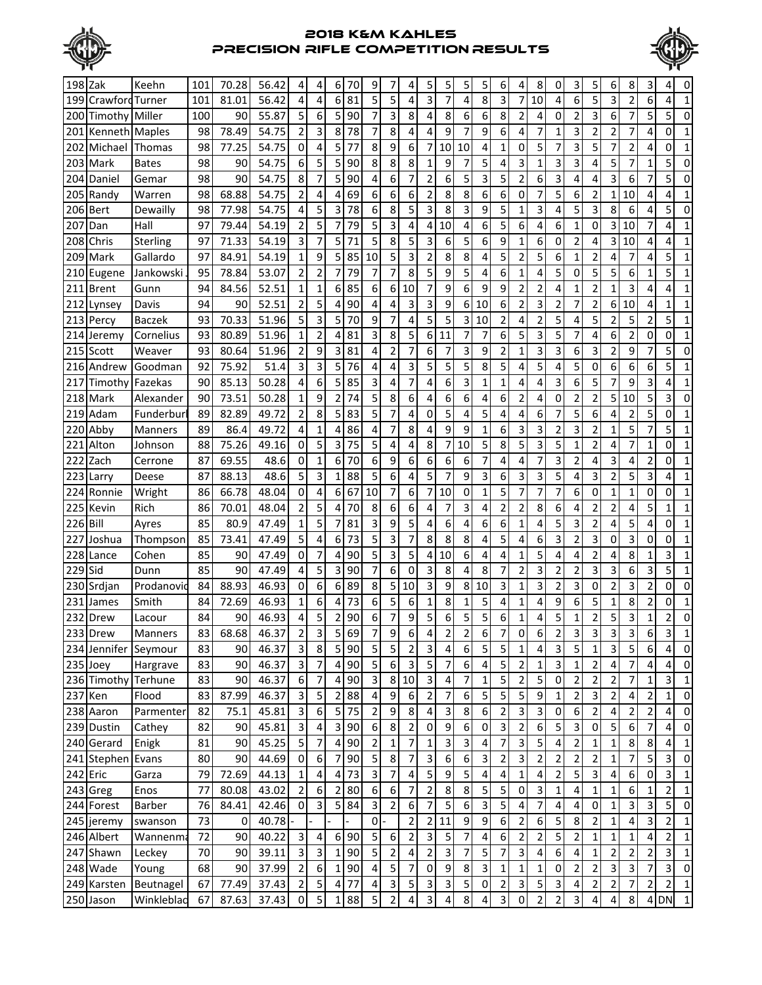



| 5<br>3<br>6<br>8<br>5<br>3<br>$\overline{4}$<br>4<br>81<br>5<br>4<br>3<br>7<br>$\overline{\mathbf{c}}$<br><b>Crawford Turner</b><br>56.42<br>7<br>4<br>10<br>6<br>6<br>199<br>101<br>81.01<br>4<br>1<br>4<br>$\overline{5}$<br>5<br>3<br>6<br>8<br>6<br>7<br>5<br>55.87<br>6<br>90<br>8<br>8<br>6<br>$\overline{2}$<br>0<br>$\overline{2}$<br>3<br>5<br>Timothy Miller<br>100<br>90<br>7<br>4<br>4<br>0<br>200<br>$\overline{2}$<br>8<br>6<br>$\overline{2}$<br>9<br>9<br>7<br>2<br>78.49<br>3<br>8<br>78<br>4<br>4<br>7<br>1<br>3<br>7<br>98<br>54.75<br>7<br>4<br>4<br>0<br>201<br>Kenneth Maples<br>1<br>5<br>$\mathbf 0$<br>9<br>6<br>4<br>5<br>3<br>7<br>98<br>4<br>5<br>77<br>8<br>7<br>10<br>10<br>1<br>0<br>7<br>2<br>77.25<br>54.75<br>0<br>1<br>202<br>Michael<br>Thomas<br>4<br>5<br>6<br>5<br>5<br>8<br>5<br>4<br>5<br>98<br>54.75<br>90<br>8<br>8<br>3<br>3<br>3<br>4<br>7<br>Mark<br>90<br>9<br>1<br>0<br>203<br><b>Bates</b><br>1<br>1<br>5<br>$\overline{c}$<br>3<br>8<br>6<br>7<br>$\overline{\mathbf{c}}$<br>5<br>3<br>6<br>3<br>6<br>5<br>98<br>90<br>54.75<br>7<br>5<br>90<br>6<br>7<br>4<br>4<br>4<br>0<br>204<br>Daniel<br>Gemar<br>$\overline{2}$<br>6<br>98<br>68.88<br>54.75<br>69<br>6<br>6<br>6<br>8<br>8<br>6<br>0<br>5<br>205<br>Randy<br>4<br>2<br>7<br>6<br>2<br>1<br>10<br>4<br>Warren<br>4<br>4<br>1<br>8<br>5<br>3<br>5<br>8<br>98<br>$\overline{4}$<br>5<br>3<br>78<br>3<br>8<br>9<br>3<br>3<br>5<br>77.98<br>54.75<br>6<br>5<br>6<br>206<br><b>Bert</b><br>Dewailly<br>1<br>4<br>4<br>0<br>$\overline{2}$<br>3<br>5<br>97<br>5<br>79<br>5<br>6<br>6<br>0<br>3<br>Hall<br>79.44<br>54.19<br>7<br>4<br>4<br>10<br>4<br>4<br>6<br>1<br>10<br>7<br>4<br>1<br>207<br>Dan<br>$\overline{\mathbf{3}}$<br>8<br>9<br>5<br>71<br>5<br>5<br>3<br>6<br>5<br>6<br>6<br>$\overline{2}$<br>31<br>97<br>71.33<br>54.19<br>7<br>1<br>0<br>4<br>10<br>1<br>208<br><b>Chris</b><br><b>Sterling</b><br>4<br>4<br>5<br>$1\vert$<br>9<br>3<br>5<br>$\overline{2}$<br>Gallardo<br>54.19<br>5<br>85<br>10<br>$\overline{2}$<br>8<br>8<br>4<br>5<br>6<br>2<br>7<br>97<br>84.91<br>1<br>4<br>4<br>5<br>1<br>209<br>Mark<br>$\overline{2}$<br>79<br>7<br>53.07<br>$\overline{2}$<br>7<br>8<br>5<br>9<br>5<br>4<br>6<br>4<br>5<br>5<br>5<br>6<br>5<br>95<br>78.84<br>7<br>1<br>0<br>1<br>1<br>210<br>Jankowski<br>Eugene<br>9<br>$\overline{2}$<br>$\mathbf 1$<br>85<br>6<br>6<br>7<br>9<br>6<br>9<br>$\overline{2}$<br>$\overline{\mathbf{c}}$<br>$\mathbf{1}$<br>3<br>52.51<br>1<br>6<br>10<br>4<br>94<br>1<br>4<br>4<br>1<br>211 Brent<br>Gunn<br>84.56<br>6<br>$\overline{2}$<br>$\overline{2}$<br>3<br>3<br>$\overline{2}$<br>3<br>94<br>52.51<br>5<br>90<br>9<br>$6 \mid$<br>10<br>$\overline{2}$<br>6 <sup>1</sup><br>10<br>90<br>4<br>4<br>7<br>4<br>1<br>1<br>212 Lynsey<br>Davis<br>4<br>5<br>5<br>$\overline{2}$<br>5<br>3<br>9<br>7<br>5<br>$\overline{\mathbf{c}}$<br>5<br>2<br>5<br>5<br>70.33<br>51.96<br>5<br>70<br>4<br>$\overline{3}$<br>10<br>4<br>$\mathbf{1}$<br>93<br>4<br>2<br>213 Percy<br>Baczek<br>8<br>5<br>6<br>5<br>$\mathbf 1$<br>6<br>3<br>5<br>6<br>$\overline{\mathbf{c}}$<br>51.96<br>2<br>81<br>3<br>4<br>93<br>80.89<br>11<br>7<br>7<br>7<br>0<br>0<br>1<br>214<br>Cornelius<br>4<br>Jeremy<br>$\overline{2}$<br>93<br>9<br>81<br>2<br>7<br>3<br>9<br>2<br>3<br>3<br>2<br>9<br>5<br>215 Scott<br>80.64<br>51.96<br>3<br>4<br>6<br>7<br>1<br>6<br>3<br>7<br>0<br>Weaver<br>5<br>3<br>5<br>3<br>5<br>76<br>3<br>5<br>5<br>8<br>5<br>6<br>92<br>75.92<br>51.4<br>5<br>5<br>0<br>6<br>6<br>216<br>Andrew<br>Goodman<br>4<br>4<br>4<br>4<br>1<br>4<br>90<br>50.28<br>6<br>5<br>85<br>3<br>7<br>6<br>3<br>1<br>3<br>5<br>7<br>9<br>3<br>Fazekas<br>85.13<br>4<br>4<br>1<br>4<br>4<br>6<br>4<br>1<br>217<br>Timothv<br>2<br>73.51<br>50.28<br>$\mathbf{1}$<br>9<br>$\overline{2}$<br>74<br>5<br>8<br>6<br>6<br>6<br>2<br>2<br>5<br>5<br>218 Mark<br>90<br>4<br>6<br>4<br>4<br>0<br>10<br>3<br>0<br>Alexander<br>$\overline{2}$<br>8<br>7<br>5<br>6<br>5<br>49.72<br>5<br>83<br>5<br>4<br>0<br>5<br>4<br>4<br>6<br>7<br>5<br>$\overline{2}$<br>219 Adam<br>Funderbur<br>89<br>82.89<br>4<br>4<br>0<br>1<br>89<br>49.72<br>$\overline{4}$<br>86<br>7<br>8<br>9<br>6<br>3<br>3<br>$\overline{2}$<br>3<br>$\overline{2}$<br>5<br>7<br>5<br>86.4<br>1<br>4<br>4<br>4<br>9<br>1<br>1<br>1<br>220<br>Abby<br><b>Manners</b><br>8<br>$\overline{0}$<br>5<br>8<br>5<br>5<br>3<br>5<br>$\overline{2}$<br>88<br>3<br>75<br>5<br>4<br>4<br>7<br>10<br>4<br>7<br>0<br>75.26<br>49.16<br>1<br>1<br>1<br>221<br>Alton<br>Johnson<br>9<br>6<br>3<br>48.6<br>$\Omega$<br>6<br>6<br>6<br>7<br>4<br>7<br>3<br>$\overline{2}$<br>4<br>$\overline{2}$<br>222<br>87<br>69.55<br>1<br>6<br>70<br>6<br>4<br>4<br>0<br>1<br><b>Zach</b><br>Cerrone<br>5 <sup>1</sup><br>6<br>3<br>$\overline{2}$<br>3<br>5<br>6<br>5<br>3<br>87<br>48.6<br>88<br>5<br>9<br>3<br>3<br>5<br>3<br>88.13<br>4<br>4<br>$\mathbf{1}$<br>223 Larry<br>Deese<br>1<br>7<br>4<br>$\overline{0}$<br>10<br>6<br>5<br>0<br>48.04<br>4<br>67<br>7<br>7<br>10<br>7<br>6<br>$\mathbf{1}$<br>$\mathbf{1}$<br>Wright<br>86<br>66.78<br>6<br>0<br>1<br>7<br>7<br>0<br>0<br>1<br>224<br>Ronnie<br>86<br>2<br>70<br>6<br>6<br>3<br>2<br>8<br>2<br>225<br>Kevin<br>Rich<br>70.01<br>48.04<br>5<br>8<br>7<br>4<br>2<br>6<br>2<br>4<br>5<br>4<br>4<br>4<br>1<br>1<br>5<br>9<br>6<br>85<br>$\mathbf{1}$<br>5<br>81<br>6<br>6<br>5<br>3<br>5<br><b>Bill</b><br>80.9<br>47.49<br>7<br>3<br>2<br>4<br>0<br>226<br>Ayres<br>4<br>4<br>1<br>4<br>4<br>1<br>5 <sup>1</sup><br>3<br>5<br>3<br>85<br>73<br>5<br>7<br>8<br>8<br>8<br>4<br>3<br>2<br>3<br>73.41<br>47.49<br>4<br>6<br>4<br>6<br>0<br>0<br>1<br>227<br>Thompson<br>0<br>Joshua<br>3<br>5<br>5<br>5<br>2<br>3<br>85<br>$\overline{0}$<br>7<br>90<br>6<br>4<br>8<br>1<br>228<br>Cohen<br>90<br>47.49<br>4<br>4<br>10<br>4<br>1<br>4<br>4<br>4<br>1<br>Lance<br>5<br>6<br>7<br>$\overline{4}$<br>7<br>0<br>8<br>$\overline{2}$<br>3<br>3<br>3<br>6<br>3<br>5<br>85<br>90<br>47.49<br>3<br>90<br>3<br>4<br>8<br>$\overline{2}$<br>2<br>229<br><b>Sid</b><br>1<br>Dunn<br>3<br>3<br>2<br>84<br>88.93<br>46.93<br>$\overline{0}$<br>6<br>6<br>89<br>8<br>5<br>10<br>9<br>8<br>10<br>$\mathbf{1}$<br>3<br>$\overline{2}$<br>3<br>0<br>3<br>$\overline{2}$<br>0<br>230<br>Srdjan<br>Prodanovid<br>0<br>5<br>8<br>5<br>4<br>5<br>$\overline{c}$<br>84<br>$\mathbf{1}$<br>6<br>73<br>6<br>$\mathbf 1$<br>9<br>6<br>1<br>8<br>0<br>231<br>72.69<br>46.93<br>6<br>1<br>1<br>4<br>1<br>Smith<br>4<br><b>James</b><br>$\overline{4}$<br>5<br>5<br>6<br>5<br>46.93<br>5<br>2<br>90<br>6<br>7<br>9<br>6<br>5<br>$\mathbf{1}$<br>5<br>2<br>3<br>2<br>232 Drew<br>84<br>90<br>4<br>1<br>0<br>1<br>Lacour<br>233 Drew<br>Manners<br>83<br>68.68<br>46.37<br>5 69<br>$\overline{2}$<br>3<br>9<br>6<br>2<br>$\overline{2}$<br>6<br>$\overline{\mathbf{c}}$<br>3<br>3<br>3<br>6<br>3 <sup>1</sup><br>7<br>4<br>6<br>3<br>0<br>$\prime$<br>5<br>5<br>$\vert$<br>$\overline{3}$<br>$\overline{2}$<br>5<br>8<br>$\mathsf S$<br>5<br>3<br>5<br>$\mathbf 1$<br>3<br>90<br>6<br>4<br>5<br>$\mathbf{1}$<br>6<br>$\mathbf 0$<br>234 Jennifer Seymour<br>83<br>46.37<br>4<br>90<br>4<br>6 <sup>1</sup><br>$\overline{3}$<br>$\mathbf{3}$<br>5<br>$\overline{5}$<br>$\mathbf 2$<br>235 Joey<br>83<br>46.37<br>90<br>$\overline{\mathbf{5}}$<br>6<br>4<br>3<br>2<br>4<br>7<br>Hargrave<br>90<br>7<br>4<br>7<br>1<br>4<br>0<br>1<br>4<br>$\overline{5}$<br>$6 \mid$<br>3<br>$\mathbf 2$<br>5<br>$\mathbf{2}$<br>$\overline{2}$<br>83<br>46.37<br>$\mathbf{3}$<br>8 <sup>1</sup><br>10<br>7<br>3<br>Terhune<br>90<br>4<br>90<br>7<br>0<br>2<br>$\mathbf{1}$<br>236 Timothy<br>7<br>4<br>1<br>1<br>$\overline{3}$<br>$\overline{5}$<br>5<br>5<br>$\mathbf{3}$<br>$\mathbf{2}$<br>83<br>87.99<br>46.37<br>5<br>88<br>4<br>9<br>6<br>2<br>6<br>9<br>2<br>237 Ken<br>Flood<br>2<br>7<br>4<br>2<br>1<br>0<br>1<br>$\overline{3}$<br>9<br>$\overline{6}$<br>$\overline{2}$<br>$\overline{2}$<br>$\bf 8$<br>$\mathsf 3$<br>3<br>4<br>$\mathbf 2$<br>45.81<br>6<br>5<br>75<br>4<br>3<br>$\overline{2}$<br>82<br>75.1<br>2<br>8<br>0<br>6<br>$\pmb{0}$<br>238 Aaron<br>Parmenter<br>4<br>$\overline{3}$<br>$\mathbf{8}$<br>$\mathbf 2$<br>$\overline{\mathbf{3}}$<br>$\overline{\mathbf{5}}$<br>$\boldsymbol{6}$<br>$\mathsf 3$<br>9<br>$\overline{0}$<br>$\mathbf 2$<br>6<br>5<br>$\mathsf{O}\xspace$<br>$\overline{7}$<br>45.81<br>4<br>90<br>6<br>0<br>$\boldsymbol{6}$<br>$\pmb{0}$<br>239 Dustin<br>Cathey<br>82<br>90<br>3<br>4<br>$\overline{\mathcal{I}}$<br>$\overline{7}$<br>5 <sub>l</sub><br>$\overline{7}$<br>$\mathsf 3$<br>5<br>8<br>45.25<br>90<br>$\mathbf 1$<br>$\mathbf 1$<br>3<br>3<br>4<br>$\overline{2}$<br>$\mathbf 1$<br>8<br>81<br>90<br>4<br>2<br>4<br>$\mathbf{1}$<br>$\overline{4}$<br>$\mathbf 1$<br>240 Gerard<br>Enigk<br>$\overline{7}$<br>$\overline{7}$<br>$\overline{\mathbf{5}}$<br>8 <sup>1</sup><br>3<br>$\overline{2}$<br>$\mathsf 3$<br>$\overline{c}$<br>$\mathbf 2$<br>$1\vert$<br>5<br>$\overline{0}$<br>6<br>$\overline{7}$<br>90<br>6<br>3<br>$\overline{2}$<br>$\mathbf 2$<br>$\overline{3}$<br>80<br>44.69<br>6<br>Evans<br>90<br>241 Stephen<br>$\overline{\mathbf{3}}$<br>$\overline{7}$<br>4<br>5<br>4<br>$1\vert$<br>4<br>$\mathbf 1$<br>$\vert 4 \vert$<br>6<br>79<br>73<br>3<br>9<br>5<br>4<br>$\overline{2}$<br>5<br>3<br>242 Eric<br>72.69<br>44.13<br>4<br>0<br>Garza<br>4<br>$6 \overline{6}$<br>$\overline{2}$<br>5<br>$\overline{5}$<br>$\boldsymbol{6}$<br>7<br>$\overline{\mathbf{c}}$<br>$\pmb{0}$<br>3<br>$\mathbf{1}$<br>$1\vert$<br>6<br>Enos<br>77<br>43.02<br>6<br>80<br>8<br>$\bf 8$<br>$\mathbf 1$<br>2<br>243 Greg<br>80.08<br>$\overline{2}$<br>4<br>1<br>6<br>$\overline{5}$<br>$\overline{7}$<br>$\overline{0}$<br>$\overline{\mathbf{c}}$<br>$\overline{\mathcal{I}}$<br>3<br>5<br>3<br>4<br>$\mathsf{O}\xspace$<br>$1\vert$<br>3<br>5<br><b>Barber</b><br>76<br>42.46<br>$\overline{3}$<br>5<br>84<br>3<br>6<br>244 Forest<br>84.41<br>4<br>4<br>$\mathbf{2}$<br>$\boldsymbol{6}$<br>73<br>40.78<br>$\mathsf 0$<br>9<br>9<br>$\overline{2}$<br>6<br>5<br>8<br>$1\vert$<br>4<br>3<br>2<br>245 jeremy<br>2<br>11<br>2<br>swanson<br>0<br>$\overline{\mathbf{3}}$<br>$\mathbf{2}$<br>$\overline{2}$<br>72<br>4<br>90<br>5<br>6<br>3<br>7<br>4<br>6<br>2<br>5<br>$\overline{2}$<br>246 Albert<br>Wannenma<br>90<br>40.22<br>6<br>5<br>1<br>1<br>1<br>4<br>2<br>$\overline{3}$<br>3<br>$\overline{2}$<br>5<br>$\overline{\mathbf{c}}$<br>247 Shawn<br>70<br>39.11<br>3<br>90<br>5<br>4<br>2<br>3<br>7<br>4<br>6<br>1<br>2<br>$\overline{2}$<br>3<br>Leckey<br>90<br>1<br>7<br>4<br>$\overline{2}$<br>$\overline{\mathbf{5}}$<br>3<br>$\vert$ 3<br>68<br>7<br>9<br>$\mathbf{1}$<br>$\mathbf 1$<br>$\overline{c}$<br>3<br>7<br>$\mathbf{3}$<br>90<br>37.99<br>6<br>90<br>4<br>0<br>8<br>1<br>0<br>2<br>248 Wade<br>1<br>Young<br>$\overline{2}$<br>5<br>$\mathbf{3}$<br>3<br>$\overline{0}$<br>$\mathbf{2}$<br>$\overline{\mathbf{c}}$<br>$\overline{c}$<br>5<br>3<br>3<br>5<br>7<br>77.49<br>37.43<br>4<br>77<br>5<br>3<br>2<br>$\mathbf{2}$<br>249 Karsten<br>Beutnagel<br>67<br>4<br>4 | 198 Zak | Keehn      | 101 | 70.28 | 56.42 | $\overline{4}$ | 4 | 6 | 70   | 9 |                | 4                       | 5 | 5 | 5              | 5 | 6                       | 4         | 8                       | 0           | 3 | 5 | 6              | 8 | 3 |    | 0            |
|-------------------------------------------------------------------------------------------------------------------------------------------------------------------------------------------------------------------------------------------------------------------------------------------------------------------------------------------------------------------------------------------------------------------------------------------------------------------------------------------------------------------------------------------------------------------------------------------------------------------------------------------------------------------------------------------------------------------------------------------------------------------------------------------------------------------------------------------------------------------------------------------------------------------------------------------------------------------------------------------------------------------------------------------------------------------------------------------------------------------------------------------------------------------------------------------------------------------------------------------------------------------------------------------------------------------------------------------------------------------------------------------------------------------------------------------------------------------------------------------------------------------------------------------------------------------------------------------------------------------------------------------------------------------------------------------------------------------------------------------------------------------------------------------------------------------------------------------------------------------------------------------------------------------------------------------------------------------------------------------------------------------------------------------------------------------------------------------------------------------------------------------------------------------------------------------------------------------------------------------------------------------------------------------------------------------------------------------------------------------------------------------------------------------------------------------------------------------------------------------------------------------------------------------------------------------------------------------------------------------------------------------------------------------------------------------------------------------------------------------------------------------------------------------------------------------------------------------------------------------------------------------------------------------------------------------------------------------------------------------------------------------------------------------------------------------------------------------------------------------------------------------------------------------------------------------------------------------------------------------------------------------------------------------------------------------------------------------------------------------------------------------------------------------------------------------------------------------------------------------------------------------------------------------------------------------------------------------------------------------------------------------------------------------------------------------------------------------------------------------------------------------------------------------------------------------------------------------------------------------------------------------------------------------------------------------------------------------------------------------------------------------------------------------------------------------------------------------------------------------------------------------------------------------------------------------------------------------------------------------------------------------------------------------------------------------------------------------------------------------------------------------------------------------------------------------------------------------------------------------------------------------------------------------------------------------------------------------------------------------------------------------------------------------------------------------------------------------------------------------------------------------------------------------------------------------------------------------------------------------------------------------------------------------------------------------------------------------------------------------------------------------------------------------------------------------------------------------------------------------------------------------------------------------------------------------------------------------------------------------------------------------------------------------------------------------------------------------------------------------------------------------------------------------------------------------------------------------------------------------------------------------------------------------------------------------------------------------------------------------------------------------------------------------------------------------------------------------------------------------------------------------------------------------------------------------------------------------------------------------------------------------------------------------------------------------------------------------------------------------------------------------------------------------------------------------------------------------------------------------------------------------------------------------------------------------------------------------------------------------------------------------------------------------------------------------------------------------------------------------------------------------------------------------------------------------------------------------------------------------------------------------------------------------------------------------------------------------------------------------------------------------------------------------------------------------------------------------------------------------------------------------------------------------------------------------------------------------------------------------------------------------------------------------------------------------------------------------------------------------------------------------------------------------------------------------------------------------------------------------------------------------------------------------------------------------------------------------------------------------------------------------------------------------------------------------------------------------------------------------------------------------------------------------------------------------------------------------------------------------------------------------------------------------------------------------------------------------------------------------------------------------------------------------------------------------------------------------------------------------------------------------------------------------------------------------------------------------------------------------------------------------------------------------------------------------------------------------------------------------------------------------------------------------------------------------------------------------------------------------------------------------------------------------------------------------------------------------------------------------------------------------------------------------------------------------------------------------------------------------------------------------------------------------------------------------------------------------------------------------------------------------------------------------------------------------------------------------------------------------------------------------------------------------------------------------------------------------------------------------------------------------------------------------------------------------------------------------------------------------------------------------------------------------------------------------------------------------------------------------------------------------------------------------------------------------------------------------------------------------------------------------------------------------------------------------------------------------------------------------------------------------------------------------------------------------------------------------------------------------------------------------------------------------------------------------------------------------------------------------------------------------------------------------------------------------------------------------------------------------------------------------------------------------------------------------------------------------------------------------------------------------------------------------------------------------------------------------------------------------------------------------------------------------------------------------------------------------------------------------------------------------------------------------------------------------------------------------------------------------------------------------------------------------------------------------------------------------------------------------------------------------------------------------------------------------------------------------------------------------------------------------------------------------------------------------------------------------------------------------------------------------------------------------------------------------------------------------------------------------------------------------------------------------------------------------------------------------------------------------------------------------------------------------------------------------------------------------------------------------------------------------------------------------------------------------------------------------------------------------------------------------------------------------------------------------------------------------------------------------------------------------|---------|------------|-----|-------|-------|----------------|---|---|------|---|----------------|-------------------------|---|---|----------------|---|-------------------------|-----------|-------------------------|-------------|---|---|----------------|---|---|----|--------------|
|                                                                                                                                                                                                                                                                                                                                                                                                                                                                                                                                                                                                                                                                                                                                                                                                                                                                                                                                                                                                                                                                                                                                                                                                                                                                                                                                                                                                                                                                                                                                                                                                                                                                                                                                                                                                                                                                                                                                                                                                                                                                                                                                                                                                                                                                                                                                                                                                                                                                                                                                                                                                                                                                                                                                                                                                                                                                                                                                                                                                                                                                                                                                                                                                                                                                                                                                                                                                                                                                                                                                                                                                                                                                                                                                                                                                                                                                                                                                                                                                                                                                                                                                                                                                                                                                                                                                                                                                                                                                                                                                                                                                                                                                                                                                                                                                                                                                                                                                                                                                                                                                                                                                                                                                                                                                                                                                                                                                                                                                                                                                                                                                                                                                                                                                                                                                                                                                                                                                                                                                                                                                                                                                                                                                                                                                                                                                                                                                                                                                                                                                                                                                                                                                                                                                                                                                                                                                                                                                                                                                                                                                                                                                                                                                                                                                                                                                                                                                                                                                                                                                                                                                                                                                                                                                                                                                                                                                                                                                                                                                                                                                                                                                                                                                                                                                                                                                                                                                                                                                                                                                                                                                                                                                                                                                                                                                                                                                                                                                                                                                                                                                                                                                                                                                                                                                                                                                                                                                                                                                                                                                                                                                                                                                                                                                                                                                                                                                                                                                                                                                                                                                                                                                                                                                                                                                                                                                                                                                                                                                                                                                                                                                                                                                                                                                                                                                                                                                                                                                                                                                                                                                                                                                           |         |            |     |       |       |                |   |   |      |   |                |                         |   |   |                |   |                         |           |                         |             |   |   |                |   |   |    |              |
|                                                                                                                                                                                                                                                                                                                                                                                                                                                                                                                                                                                                                                                                                                                                                                                                                                                                                                                                                                                                                                                                                                                                                                                                                                                                                                                                                                                                                                                                                                                                                                                                                                                                                                                                                                                                                                                                                                                                                                                                                                                                                                                                                                                                                                                                                                                                                                                                                                                                                                                                                                                                                                                                                                                                                                                                                                                                                                                                                                                                                                                                                                                                                                                                                                                                                                                                                                                                                                                                                                                                                                                                                                                                                                                                                                                                                                                                                                                                                                                                                                                                                                                                                                                                                                                                                                                                                                                                                                                                                                                                                                                                                                                                                                                                                                                                                                                                                                                                                                                                                                                                                                                                                                                                                                                                                                                                                                                                                                                                                                                                                                                                                                                                                                                                                                                                                                                                                                                                                                                                                                                                                                                                                                                                                                                                                                                                                                                                                                                                                                                                                                                                                                                                                                                                                                                                                                                                                                                                                                                                                                                                                                                                                                                                                                                                                                                                                                                                                                                                                                                                                                                                                                                                                                                                                                                                                                                                                                                                                                                                                                                                                                                                                                                                                                                                                                                                                                                                                                                                                                                                                                                                                                                                                                                                                                                                                                                                                                                                                                                                                                                                                                                                                                                                                                                                                                                                                                                                                                                                                                                                                                                                                                                                                                                                                                                                                                                                                                                                                                                                                                                                                                                                                                                                                                                                                                                                                                                                                                                                                                                                                                                                                                                                                                                                                                                                                                                                                                                                                                                                                                                                                                                                           |         |            |     |       |       |                |   |   |      |   |                |                         |   |   |                |   |                         |           |                         |             |   |   |                |   |   |    |              |
|                                                                                                                                                                                                                                                                                                                                                                                                                                                                                                                                                                                                                                                                                                                                                                                                                                                                                                                                                                                                                                                                                                                                                                                                                                                                                                                                                                                                                                                                                                                                                                                                                                                                                                                                                                                                                                                                                                                                                                                                                                                                                                                                                                                                                                                                                                                                                                                                                                                                                                                                                                                                                                                                                                                                                                                                                                                                                                                                                                                                                                                                                                                                                                                                                                                                                                                                                                                                                                                                                                                                                                                                                                                                                                                                                                                                                                                                                                                                                                                                                                                                                                                                                                                                                                                                                                                                                                                                                                                                                                                                                                                                                                                                                                                                                                                                                                                                                                                                                                                                                                                                                                                                                                                                                                                                                                                                                                                                                                                                                                                                                                                                                                                                                                                                                                                                                                                                                                                                                                                                                                                                                                                                                                                                                                                                                                                                                                                                                                                                                                                                                                                                                                                                                                                                                                                                                                                                                                                                                                                                                                                                                                                                                                                                                                                                                                                                                                                                                                                                                                                                                                                                                                                                                                                                                                                                                                                                                                                                                                                                                                                                                                                                                                                                                                                                                                                                                                                                                                                                                                                                                                                                                                                                                                                                                                                                                                                                                                                                                                                                                                                                                                                                                                                                                                                                                                                                                                                                                                                                                                                                                                                                                                                                                                                                                                                                                                                                                                                                                                                                                                                                                                                                                                                                                                                                                                                                                                                                                                                                                                                                                                                                                                                                                                                                                                                                                                                                                                                                                                                                                                                                                                                                           |         |            |     |       |       |                |   |   |      |   |                |                         |   |   |                |   |                         |           |                         |             |   |   |                |   |   |    |              |
|                                                                                                                                                                                                                                                                                                                                                                                                                                                                                                                                                                                                                                                                                                                                                                                                                                                                                                                                                                                                                                                                                                                                                                                                                                                                                                                                                                                                                                                                                                                                                                                                                                                                                                                                                                                                                                                                                                                                                                                                                                                                                                                                                                                                                                                                                                                                                                                                                                                                                                                                                                                                                                                                                                                                                                                                                                                                                                                                                                                                                                                                                                                                                                                                                                                                                                                                                                                                                                                                                                                                                                                                                                                                                                                                                                                                                                                                                                                                                                                                                                                                                                                                                                                                                                                                                                                                                                                                                                                                                                                                                                                                                                                                                                                                                                                                                                                                                                                                                                                                                                                                                                                                                                                                                                                                                                                                                                                                                                                                                                                                                                                                                                                                                                                                                                                                                                                                                                                                                                                                                                                                                                                                                                                                                                                                                                                                                                                                                                                                                                                                                                                                                                                                                                                                                                                                                                                                                                                                                                                                                                                                                                                                                                                                                                                                                                                                                                                                                                                                                                                                                                                                                                                                                                                                                                                                                                                                                                                                                                                                                                                                                                                                                                                                                                                                                                                                                                                                                                                                                                                                                                                                                                                                                                                                                                                                                                                                                                                                                                                                                                                                                                                                                                                                                                                                                                                                                                                                                                                                                                                                                                                                                                                                                                                                                                                                                                                                                                                                                                                                                                                                                                                                                                                                                                                                                                                                                                                                                                                                                                                                                                                                                                                                                                                                                                                                                                                                                                                                                                                                                                                                                                                                           |         |            |     |       |       |                |   |   |      |   |                |                         |   |   |                |   |                         |           |                         |             |   |   |                |   |   |    |              |
|                                                                                                                                                                                                                                                                                                                                                                                                                                                                                                                                                                                                                                                                                                                                                                                                                                                                                                                                                                                                                                                                                                                                                                                                                                                                                                                                                                                                                                                                                                                                                                                                                                                                                                                                                                                                                                                                                                                                                                                                                                                                                                                                                                                                                                                                                                                                                                                                                                                                                                                                                                                                                                                                                                                                                                                                                                                                                                                                                                                                                                                                                                                                                                                                                                                                                                                                                                                                                                                                                                                                                                                                                                                                                                                                                                                                                                                                                                                                                                                                                                                                                                                                                                                                                                                                                                                                                                                                                                                                                                                                                                                                                                                                                                                                                                                                                                                                                                                                                                                                                                                                                                                                                                                                                                                                                                                                                                                                                                                                                                                                                                                                                                                                                                                                                                                                                                                                                                                                                                                                                                                                                                                                                                                                                                                                                                                                                                                                                                                                                                                                                                                                                                                                                                                                                                                                                                                                                                                                                                                                                                                                                                                                                                                                                                                                                                                                                                                                                                                                                                                                                                                                                                                                                                                                                                                                                                                                                                                                                                                                                                                                                                                                                                                                                                                                                                                                                                                                                                                                                                                                                                                                                                                                                                                                                                                                                                                                                                                                                                                                                                                                                                                                                                                                                                                                                                                                                                                                                                                                                                                                                                                                                                                                                                                                                                                                                                                                                                                                                                                                                                                                                                                                                                                                                                                                                                                                                                                                                                                                                                                                                                                                                                                                                                                                                                                                                                                                                                                                                                                                                                                                                                                                           |         |            |     |       |       |                |   |   |      |   |                |                         |   |   |                |   |                         |           |                         |             |   |   |                |   |   |    |              |
|                                                                                                                                                                                                                                                                                                                                                                                                                                                                                                                                                                                                                                                                                                                                                                                                                                                                                                                                                                                                                                                                                                                                                                                                                                                                                                                                                                                                                                                                                                                                                                                                                                                                                                                                                                                                                                                                                                                                                                                                                                                                                                                                                                                                                                                                                                                                                                                                                                                                                                                                                                                                                                                                                                                                                                                                                                                                                                                                                                                                                                                                                                                                                                                                                                                                                                                                                                                                                                                                                                                                                                                                                                                                                                                                                                                                                                                                                                                                                                                                                                                                                                                                                                                                                                                                                                                                                                                                                                                                                                                                                                                                                                                                                                                                                                                                                                                                                                                                                                                                                                                                                                                                                                                                                                                                                                                                                                                                                                                                                                                                                                                                                                                                                                                                                                                                                                                                                                                                                                                                                                                                                                                                                                                                                                                                                                                                                                                                                                                                                                                                                                                                                                                                                                                                                                                                                                                                                                                                                                                                                                                                                                                                                                                                                                                                                                                                                                                                                                                                                                                                                                                                                                                                                                                                                                                                                                                                                                                                                                                                                                                                                                                                                                                                                                                                                                                                                                                                                                                                                                                                                                                                                                                                                                                                                                                                                                                                                                                                                                                                                                                                                                                                                                                                                                                                                                                                                                                                                                                                                                                                                                                                                                                                                                                                                                                                                                                                                                                                                                                                                                                                                                                                                                                                                                                                                                                                                                                                                                                                                                                                                                                                                                                                                                                                                                                                                                                                                                                                                                                                                                                                                                                                           |         |            |     |       |       |                |   |   |      |   |                |                         |   |   |                |   |                         |           |                         |             |   |   |                |   |   |    |              |
|                                                                                                                                                                                                                                                                                                                                                                                                                                                                                                                                                                                                                                                                                                                                                                                                                                                                                                                                                                                                                                                                                                                                                                                                                                                                                                                                                                                                                                                                                                                                                                                                                                                                                                                                                                                                                                                                                                                                                                                                                                                                                                                                                                                                                                                                                                                                                                                                                                                                                                                                                                                                                                                                                                                                                                                                                                                                                                                                                                                                                                                                                                                                                                                                                                                                                                                                                                                                                                                                                                                                                                                                                                                                                                                                                                                                                                                                                                                                                                                                                                                                                                                                                                                                                                                                                                                                                                                                                                                                                                                                                                                                                                                                                                                                                                                                                                                                                                                                                                                                                                                                                                                                                                                                                                                                                                                                                                                                                                                                                                                                                                                                                                                                                                                                                                                                                                                                                                                                                                                                                                                                                                                                                                                                                                                                                                                                                                                                                                                                                                                                                                                                                                                                                                                                                                                                                                                                                                                                                                                                                                                                                                                                                                                                                                                                                                                                                                                                                                                                                                                                                                                                                                                                                                                                                                                                                                                                                                                                                                                                                                                                                                                                                                                                                                                                                                                                                                                                                                                                                                                                                                                                                                                                                                                                                                                                                                                                                                                                                                                                                                                                                                                                                                                                                                                                                                                                                                                                                                                                                                                                                                                                                                                                                                                                                                                                                                                                                                                                                                                                                                                                                                                                                                                                                                                                                                                                                                                                                                                                                                                                                                                                                                                                                                                                                                                                                                                                                                                                                                                                                                                                                                                                           |         |            |     |       |       |                |   |   |      |   |                |                         |   |   |                |   |                         |           |                         |             |   |   |                |   |   |    |              |
|                                                                                                                                                                                                                                                                                                                                                                                                                                                                                                                                                                                                                                                                                                                                                                                                                                                                                                                                                                                                                                                                                                                                                                                                                                                                                                                                                                                                                                                                                                                                                                                                                                                                                                                                                                                                                                                                                                                                                                                                                                                                                                                                                                                                                                                                                                                                                                                                                                                                                                                                                                                                                                                                                                                                                                                                                                                                                                                                                                                                                                                                                                                                                                                                                                                                                                                                                                                                                                                                                                                                                                                                                                                                                                                                                                                                                                                                                                                                                                                                                                                                                                                                                                                                                                                                                                                                                                                                                                                                                                                                                                                                                                                                                                                                                                                                                                                                                                                                                                                                                                                                                                                                                                                                                                                                                                                                                                                                                                                                                                                                                                                                                                                                                                                                                                                                                                                                                                                                                                                                                                                                                                                                                                                                                                                                                                                                                                                                                                                                                                                                                                                                                                                                                                                                                                                                                                                                                                                                                                                                                                                                                                                                                                                                                                                                                                                                                                                                                                                                                                                                                                                                                                                                                                                                                                                                                                                                                                                                                                                                                                                                                                                                                                                                                                                                                                                                                                                                                                                                                                                                                                                                                                                                                                                                                                                                                                                                                                                                                                                                                                                                                                                                                                                                                                                                                                                                                                                                                                                                                                                                                                                                                                                                                                                                                                                                                                                                                                                                                                                                                                                                                                                                                                                                                                                                                                                                                                                                                                                                                                                                                                                                                                                                                                                                                                                                                                                                                                                                                                                                                                                                                                                                           |         |            |     |       |       |                |   |   |      |   |                |                         |   |   |                |   |                         |           |                         |             |   |   |                |   |   |    |              |
|                                                                                                                                                                                                                                                                                                                                                                                                                                                                                                                                                                                                                                                                                                                                                                                                                                                                                                                                                                                                                                                                                                                                                                                                                                                                                                                                                                                                                                                                                                                                                                                                                                                                                                                                                                                                                                                                                                                                                                                                                                                                                                                                                                                                                                                                                                                                                                                                                                                                                                                                                                                                                                                                                                                                                                                                                                                                                                                                                                                                                                                                                                                                                                                                                                                                                                                                                                                                                                                                                                                                                                                                                                                                                                                                                                                                                                                                                                                                                                                                                                                                                                                                                                                                                                                                                                                                                                                                                                                                                                                                                                                                                                                                                                                                                                                                                                                                                                                                                                                                                                                                                                                                                                                                                                                                                                                                                                                                                                                                                                                                                                                                                                                                                                                                                                                                                                                                                                                                                                                                                                                                                                                                                                                                                                                                                                                                                                                                                                                                                                                                                                                                                                                                                                                                                                                                                                                                                                                                                                                                                                                                                                                                                                                                                                                                                                                                                                                                                                                                                                                                                                                                                                                                                                                                                                                                                                                                                                                                                                                                                                                                                                                                                                                                                                                                                                                                                                                                                                                                                                                                                                                                                                                                                                                                                                                                                                                                                                                                                                                                                                                                                                                                                                                                                                                                                                                                                                                                                                                                                                                                                                                                                                                                                                                                                                                                                                                                                                                                                                                                                                                                                                                                                                                                                                                                                                                                                                                                                                                                                                                                                                                                                                                                                                                                                                                                                                                                                                                                                                                                                                                                                                                                           |         |            |     |       |       |                |   |   |      |   |                |                         |   |   |                |   |                         |           |                         |             |   |   |                |   |   |    |              |
|                                                                                                                                                                                                                                                                                                                                                                                                                                                                                                                                                                                                                                                                                                                                                                                                                                                                                                                                                                                                                                                                                                                                                                                                                                                                                                                                                                                                                                                                                                                                                                                                                                                                                                                                                                                                                                                                                                                                                                                                                                                                                                                                                                                                                                                                                                                                                                                                                                                                                                                                                                                                                                                                                                                                                                                                                                                                                                                                                                                                                                                                                                                                                                                                                                                                                                                                                                                                                                                                                                                                                                                                                                                                                                                                                                                                                                                                                                                                                                                                                                                                                                                                                                                                                                                                                                                                                                                                                                                                                                                                                                                                                                                                                                                                                                                                                                                                                                                                                                                                                                                                                                                                                                                                                                                                                                                                                                                                                                                                                                                                                                                                                                                                                                                                                                                                                                                                                                                                                                                                                                                                                                                                                                                                                                                                                                                                                                                                                                                                                                                                                                                                                                                                                                                                                                                                                                                                                                                                                                                                                                                                                                                                                                                                                                                                                                                                                                                                                                                                                                                                                                                                                                                                                                                                                                                                                                                                                                                                                                                                                                                                                                                                                                                                                                                                                                                                                                                                                                                                                                                                                                                                                                                                                                                                                                                                                                                                                                                                                                                                                                                                                                                                                                                                                                                                                                                                                                                                                                                                                                                                                                                                                                                                                                                                                                                                                                                                                                                                                                                                                                                                                                                                                                                                                                                                                                                                                                                                                                                                                                                                                                                                                                                                                                                                                                                                                                                                                                                                                                                                                                                                                                                                           |         |            |     |       |       |                |   |   |      |   |                |                         |   |   |                |   |                         |           |                         |             |   |   |                |   |   |    |              |
|                                                                                                                                                                                                                                                                                                                                                                                                                                                                                                                                                                                                                                                                                                                                                                                                                                                                                                                                                                                                                                                                                                                                                                                                                                                                                                                                                                                                                                                                                                                                                                                                                                                                                                                                                                                                                                                                                                                                                                                                                                                                                                                                                                                                                                                                                                                                                                                                                                                                                                                                                                                                                                                                                                                                                                                                                                                                                                                                                                                                                                                                                                                                                                                                                                                                                                                                                                                                                                                                                                                                                                                                                                                                                                                                                                                                                                                                                                                                                                                                                                                                                                                                                                                                                                                                                                                                                                                                                                                                                                                                                                                                                                                                                                                                                                                                                                                                                                                                                                                                                                                                                                                                                                                                                                                                                                                                                                                                                                                                                                                                                                                                                                                                                                                                                                                                                                                                                                                                                                                                                                                                                                                                                                                                                                                                                                                                                                                                                                                                                                                                                                                                                                                                                                                                                                                                                                                                                                                                                                                                                                                                                                                                                                                                                                                                                                                                                                                                                                                                                                                                                                                                                                                                                                                                                                                                                                                                                                                                                                                                                                                                                                                                                                                                                                                                                                                                                                                                                                                                                                                                                                                                                                                                                                                                                                                                                                                                                                                                                                                                                                                                                                                                                                                                                                                                                                                                                                                                                                                                                                                                                                                                                                                                                                                                                                                                                                                                                                                                                                                                                                                                                                                                                                                                                                                                                                                                                                                                                                                                                                                                                                                                                                                                                                                                                                                                                                                                                                                                                                                                                                                                                                                                           |         |            |     |       |       |                |   |   |      |   |                |                         |   |   |                |   |                         |           |                         |             |   |   |                |   |   |    |              |
|                                                                                                                                                                                                                                                                                                                                                                                                                                                                                                                                                                                                                                                                                                                                                                                                                                                                                                                                                                                                                                                                                                                                                                                                                                                                                                                                                                                                                                                                                                                                                                                                                                                                                                                                                                                                                                                                                                                                                                                                                                                                                                                                                                                                                                                                                                                                                                                                                                                                                                                                                                                                                                                                                                                                                                                                                                                                                                                                                                                                                                                                                                                                                                                                                                                                                                                                                                                                                                                                                                                                                                                                                                                                                                                                                                                                                                                                                                                                                                                                                                                                                                                                                                                                                                                                                                                                                                                                                                                                                                                                                                                                                                                                                                                                                                                                                                                                                                                                                                                                                                                                                                                                                                                                                                                                                                                                                                                                                                                                                                                                                                                                                                                                                                                                                                                                                                                                                                                                                                                                                                                                                                                                                                                                                                                                                                                                                                                                                                                                                                                                                                                                                                                                                                                                                                                                                                                                                                                                                                                                                                                                                                                                                                                                                                                                                                                                                                                                                                                                                                                                                                                                                                                                                                                                                                                                                                                                                                                                                                                                                                                                                                                                                                                                                                                                                                                                                                                                                                                                                                                                                                                                                                                                                                                                                                                                                                                                                                                                                                                                                                                                                                                                                                                                                                                                                                                                                                                                                                                                                                                                                                                                                                                                                                                                                                                                                                                                                                                                                                                                                                                                                                                                                                                                                                                                                                                                                                                                                                                                                                                                                                                                                                                                                                                                                                                                                                                                                                                                                                                                                                                                                                                                           |         |            |     |       |       |                |   |   |      |   |                |                         |   |   |                |   |                         |           |                         |             |   |   |                |   |   |    |              |
|                                                                                                                                                                                                                                                                                                                                                                                                                                                                                                                                                                                                                                                                                                                                                                                                                                                                                                                                                                                                                                                                                                                                                                                                                                                                                                                                                                                                                                                                                                                                                                                                                                                                                                                                                                                                                                                                                                                                                                                                                                                                                                                                                                                                                                                                                                                                                                                                                                                                                                                                                                                                                                                                                                                                                                                                                                                                                                                                                                                                                                                                                                                                                                                                                                                                                                                                                                                                                                                                                                                                                                                                                                                                                                                                                                                                                                                                                                                                                                                                                                                                                                                                                                                                                                                                                                                                                                                                                                                                                                                                                                                                                                                                                                                                                                                                                                                                                                                                                                                                                                                                                                                                                                                                                                                                                                                                                                                                                                                                                                                                                                                                                                                                                                                                                                                                                                                                                                                                                                                                                                                                                                                                                                                                                                                                                                                                                                                                                                                                                                                                                                                                                                                                                                                                                                                                                                                                                                                                                                                                                                                                                                                                                                                                                                                                                                                                                                                                                                                                                                                                                                                                                                                                                                                                                                                                                                                                                                                                                                                                                                                                                                                                                                                                                                                                                                                                                                                                                                                                                                                                                                                                                                                                                                                                                                                                                                                                                                                                                                                                                                                                                                                                                                                                                                                                                                                                                                                                                                                                                                                                                                                                                                                                                                                                                                                                                                                                                                                                                                                                                                                                                                                                                                                                                                                                                                                                                                                                                                                                                                                                                                                                                                                                                                                                                                                                                                                                                                                                                                                                                                                                                                                                           |         |            |     |       |       |                |   |   |      |   |                |                         |   |   |                |   |                         |           |                         |             |   |   |                |   |   |    |              |
|                                                                                                                                                                                                                                                                                                                                                                                                                                                                                                                                                                                                                                                                                                                                                                                                                                                                                                                                                                                                                                                                                                                                                                                                                                                                                                                                                                                                                                                                                                                                                                                                                                                                                                                                                                                                                                                                                                                                                                                                                                                                                                                                                                                                                                                                                                                                                                                                                                                                                                                                                                                                                                                                                                                                                                                                                                                                                                                                                                                                                                                                                                                                                                                                                                                                                                                                                                                                                                                                                                                                                                                                                                                                                                                                                                                                                                                                                                                                                                                                                                                                                                                                                                                                                                                                                                                                                                                                                                                                                                                                                                                                                                                                                                                                                                                                                                                                                                                                                                                                                                                                                                                                                                                                                                                                                                                                                                                                                                                                                                                                                                                                                                                                                                                                                                                                                                                                                                                                                                                                                                                                                                                                                                                                                                                                                                                                                                                                                                                                                                                                                                                                                                                                                                                                                                                                                                                                                                                                                                                                                                                                                                                                                                                                                                                                                                                                                                                                                                                                                                                                                                                                                                                                                                                                                                                                                                                                                                                                                                                                                                                                                                                                                                                                                                                                                                                                                                                                                                                                                                                                                                                                                                                                                                                                                                                                                                                                                                                                                                                                                                                                                                                                                                                                                                                                                                                                                                                                                                                                                                                                                                                                                                                                                                                                                                                                                                                                                                                                                                                                                                                                                                                                                                                                                                                                                                                                                                                                                                                                                                                                                                                                                                                                                                                                                                                                                                                                                                                                                                                                                                                                                                                                           |         |            |     |       |       |                |   |   |      |   |                |                         |   |   |                |   |                         |           |                         |             |   |   |                |   |   |    |              |
|                                                                                                                                                                                                                                                                                                                                                                                                                                                                                                                                                                                                                                                                                                                                                                                                                                                                                                                                                                                                                                                                                                                                                                                                                                                                                                                                                                                                                                                                                                                                                                                                                                                                                                                                                                                                                                                                                                                                                                                                                                                                                                                                                                                                                                                                                                                                                                                                                                                                                                                                                                                                                                                                                                                                                                                                                                                                                                                                                                                                                                                                                                                                                                                                                                                                                                                                                                                                                                                                                                                                                                                                                                                                                                                                                                                                                                                                                                                                                                                                                                                                                                                                                                                                                                                                                                                                                                                                                                                                                                                                                                                                                                                                                                                                                                                                                                                                                                                                                                                                                                                                                                                                                                                                                                                                                                                                                                                                                                                                                                                                                                                                                                                                                                                                                                                                                                                                                                                                                                                                                                                                                                                                                                                                                                                                                                                                                                                                                                                                                                                                                                                                                                                                                                                                                                                                                                                                                                                                                                                                                                                                                                                                                                                                                                                                                                                                                                                                                                                                                                                                                                                                                                                                                                                                                                                                                                                                                                                                                                                                                                                                                                                                                                                                                                                                                                                                                                                                                                                                                                                                                                                                                                                                                                                                                                                                                                                                                                                                                                                                                                                                                                                                                                                                                                                                                                                                                                                                                                                                                                                                                                                                                                                                                                                                                                                                                                                                                                                                                                                                                                                                                                                                                                                                                                                                                                                                                                                                                                                                                                                                                                                                                                                                                                                                                                                                                                                                                                                                                                                                                                                                                                                                           |         |            |     |       |       |                |   |   |      |   |                |                         |   |   |                |   |                         |           |                         |             |   |   |                |   |   |    |              |
|                                                                                                                                                                                                                                                                                                                                                                                                                                                                                                                                                                                                                                                                                                                                                                                                                                                                                                                                                                                                                                                                                                                                                                                                                                                                                                                                                                                                                                                                                                                                                                                                                                                                                                                                                                                                                                                                                                                                                                                                                                                                                                                                                                                                                                                                                                                                                                                                                                                                                                                                                                                                                                                                                                                                                                                                                                                                                                                                                                                                                                                                                                                                                                                                                                                                                                                                                                                                                                                                                                                                                                                                                                                                                                                                                                                                                                                                                                                                                                                                                                                                                                                                                                                                                                                                                                                                                                                                                                                                                                                                                                                                                                                                                                                                                                                                                                                                                                                                                                                                                                                                                                                                                                                                                                                                                                                                                                                                                                                                                                                                                                                                                                                                                                                                                                                                                                                                                                                                                                                                                                                                                                                                                                                                                                                                                                                                                                                                                                                                                                                                                                                                                                                                                                                                                                                                                                                                                                                                                                                                                                                                                                                                                                                                                                                                                                                                                                                                                                                                                                                                                                                                                                                                                                                                                                                                                                                                                                                                                                                                                                                                                                                                                                                                                                                                                                                                                                                                                                                                                                                                                                                                                                                                                                                                                                                                                                                                                                                                                                                                                                                                                                                                                                                                                                                                                                                                                                                                                                                                                                                                                                                                                                                                                                                                                                                                                                                                                                                                                                                                                                                                                                                                                                                                                                                                                                                                                                                                                                                                                                                                                                                                                                                                                                                                                                                                                                                                                                                                                                                                                                                                                                                                           |         |            |     |       |       |                |   |   |      |   |                |                         |   |   |                |   |                         |           |                         |             |   |   |                |   |   |    |              |
|                                                                                                                                                                                                                                                                                                                                                                                                                                                                                                                                                                                                                                                                                                                                                                                                                                                                                                                                                                                                                                                                                                                                                                                                                                                                                                                                                                                                                                                                                                                                                                                                                                                                                                                                                                                                                                                                                                                                                                                                                                                                                                                                                                                                                                                                                                                                                                                                                                                                                                                                                                                                                                                                                                                                                                                                                                                                                                                                                                                                                                                                                                                                                                                                                                                                                                                                                                                                                                                                                                                                                                                                                                                                                                                                                                                                                                                                                                                                                                                                                                                                                                                                                                                                                                                                                                                                                                                                                                                                                                                                                                                                                                                                                                                                                                                                                                                                                                                                                                                                                                                                                                                                                                                                                                                                                                                                                                                                                                                                                                                                                                                                                                                                                                                                                                                                                                                                                                                                                                                                                                                                                                                                                                                                                                                                                                                                                                                                                                                                                                                                                                                                                                                                                                                                                                                                                                                                                                                                                                                                                                                                                                                                                                                                                                                                                                                                                                                                                                                                                                                                                                                                                                                                                                                                                                                                                                                                                                                                                                                                                                                                                                                                                                                                                                                                                                                                                                                                                                                                                                                                                                                                                                                                                                                                                                                                                                                                                                                                                                                                                                                                                                                                                                                                                                                                                                                                                                                                                                                                                                                                                                                                                                                                                                                                                                                                                                                                                                                                                                                                                                                                                                                                                                                                                                                                                                                                                                                                                                                                                                                                                                                                                                                                                                                                                                                                                                                                                                                                                                                                                                                                                                                                           |         |            |     |       |       |                |   |   |      |   |                |                         |   |   |                |   |                         |           |                         |             |   |   |                |   |   |    |              |
|                                                                                                                                                                                                                                                                                                                                                                                                                                                                                                                                                                                                                                                                                                                                                                                                                                                                                                                                                                                                                                                                                                                                                                                                                                                                                                                                                                                                                                                                                                                                                                                                                                                                                                                                                                                                                                                                                                                                                                                                                                                                                                                                                                                                                                                                                                                                                                                                                                                                                                                                                                                                                                                                                                                                                                                                                                                                                                                                                                                                                                                                                                                                                                                                                                                                                                                                                                                                                                                                                                                                                                                                                                                                                                                                                                                                                                                                                                                                                                                                                                                                                                                                                                                                                                                                                                                                                                                                                                                                                                                                                                                                                                                                                                                                                                                                                                                                                                                                                                                                                                                                                                                                                                                                                                                                                                                                                                                                                                                                                                                                                                                                                                                                                                                                                                                                                                                                                                                                                                                                                                                                                                                                                                                                                                                                                                                                                                                                                                                                                                                                                                                                                                                                                                                                                                                                                                                                                                                                                                                                                                                                                                                                                                                                                                                                                                                                                                                                                                                                                                                                                                                                                                                                                                                                                                                                                                                                                                                                                                                                                                                                                                                                                                                                                                                                                                                                                                                                                                                                                                                                                                                                                                                                                                                                                                                                                                                                                                                                                                                                                                                                                                                                                                                                                                                                                                                                                                                                                                                                                                                                                                                                                                                                                                                                                                                                                                                                                                                                                                                                                                                                                                                                                                                                                                                                                                                                                                                                                                                                                                                                                                                                                                                                                                                                                                                                                                                                                                                                                                                                                                                                                                                                           |         |            |     |       |       |                |   |   |      |   |                |                         |   |   |                |   |                         |           |                         |             |   |   |                |   |   |    |              |
|                                                                                                                                                                                                                                                                                                                                                                                                                                                                                                                                                                                                                                                                                                                                                                                                                                                                                                                                                                                                                                                                                                                                                                                                                                                                                                                                                                                                                                                                                                                                                                                                                                                                                                                                                                                                                                                                                                                                                                                                                                                                                                                                                                                                                                                                                                                                                                                                                                                                                                                                                                                                                                                                                                                                                                                                                                                                                                                                                                                                                                                                                                                                                                                                                                                                                                                                                                                                                                                                                                                                                                                                                                                                                                                                                                                                                                                                                                                                                                                                                                                                                                                                                                                                                                                                                                                                                                                                                                                                                                                                                                                                                                                                                                                                                                                                                                                                                                                                                                                                                                                                                                                                                                                                                                                                                                                                                                                                                                                                                                                                                                                                                                                                                                                                                                                                                                                                                                                                                                                                                                                                                                                                                                                                                                                                                                                                                                                                                                                                                                                                                                                                                                                                                                                                                                                                                                                                                                                                                                                                                                                                                                                                                                                                                                                                                                                                                                                                                                                                                                                                                                                                                                                                                                                                                                                                                                                                                                                                                                                                                                                                                                                                                                                                                                                                                                                                                                                                                                                                                                                                                                                                                                                                                                                                                                                                                                                                                                                                                                                                                                                                                                                                                                                                                                                                                                                                                                                                                                                                                                                                                                                                                                                                                                                                                                                                                                                                                                                                                                                                                                                                                                                                                                                                                                                                                                                                                                                                                                                                                                                                                                                                                                                                                                                                                                                                                                                                                                                                                                                                                                                                                                                                           |         |            |     |       |       |                |   |   |      |   |                |                         |   |   |                |   |                         |           |                         |             |   |   |                |   |   |    |              |
|                                                                                                                                                                                                                                                                                                                                                                                                                                                                                                                                                                                                                                                                                                                                                                                                                                                                                                                                                                                                                                                                                                                                                                                                                                                                                                                                                                                                                                                                                                                                                                                                                                                                                                                                                                                                                                                                                                                                                                                                                                                                                                                                                                                                                                                                                                                                                                                                                                                                                                                                                                                                                                                                                                                                                                                                                                                                                                                                                                                                                                                                                                                                                                                                                                                                                                                                                                                                                                                                                                                                                                                                                                                                                                                                                                                                                                                                                                                                                                                                                                                                                                                                                                                                                                                                                                                                                                                                                                                                                                                                                                                                                                                                                                                                                                                                                                                                                                                                                                                                                                                                                                                                                                                                                                                                                                                                                                                                                                                                                                                                                                                                                                                                                                                                                                                                                                                                                                                                                                                                                                                                                                                                                                                                                                                                                                                                                                                                                                                                                                                                                                                                                                                                                                                                                                                                                                                                                                                                                                                                                                                                                                                                                                                                                                                                                                                                                                                                                                                                                                                                                                                                                                                                                                                                                                                                                                                                                                                                                                                                                                                                                                                                                                                                                                                                                                                                                                                                                                                                                                                                                                                                                                                                                                                                                                                                                                                                                                                                                                                                                                                                                                                                                                                                                                                                                                                                                                                                                                                                                                                                                                                                                                                                                                                                                                                                                                                                                                                                                                                                                                                                                                                                                                                                                                                                                                                                                                                                                                                                                                                                                                                                                                                                                                                                                                                                                                                                                                                                                                                                                                                                                                                                           |         |            |     |       |       |                |   |   |      |   |                |                         |   |   |                |   |                         |           |                         |             |   |   |                |   |   |    |              |
|                                                                                                                                                                                                                                                                                                                                                                                                                                                                                                                                                                                                                                                                                                                                                                                                                                                                                                                                                                                                                                                                                                                                                                                                                                                                                                                                                                                                                                                                                                                                                                                                                                                                                                                                                                                                                                                                                                                                                                                                                                                                                                                                                                                                                                                                                                                                                                                                                                                                                                                                                                                                                                                                                                                                                                                                                                                                                                                                                                                                                                                                                                                                                                                                                                                                                                                                                                                                                                                                                                                                                                                                                                                                                                                                                                                                                                                                                                                                                                                                                                                                                                                                                                                                                                                                                                                                                                                                                                                                                                                                                                                                                                                                                                                                                                                                                                                                                                                                                                                                                                                                                                                                                                                                                                                                                                                                                                                                                                                                                                                                                                                                                                                                                                                                                                                                                                                                                                                                                                                                                                                                                                                                                                                                                                                                                                                                                                                                                                                                                                                                                                                                                                                                                                                                                                                                                                                                                                                                                                                                                                                                                                                                                                                                                                                                                                                                                                                                                                                                                                                                                                                                                                                                                                                                                                                                                                                                                                                                                                                                                                                                                                                                                                                                                                                                                                                                                                                                                                                                                                                                                                                                                                                                                                                                                                                                                                                                                                                                                                                                                                                                                                                                                                                                                                                                                                                                                                                                                                                                                                                                                                                                                                                                                                                                                                                                                                                                                                                                                                                                                                                                                                                                                                                                                                                                                                                                                                                                                                                                                                                                                                                                                                                                                                                                                                                                                                                                                                                                                                                                                                                                                                                                           |         |            |     |       |       |                |   |   |      |   |                |                         |   |   |                |   |                         |           |                         |             |   |   |                |   |   |    |              |
|                                                                                                                                                                                                                                                                                                                                                                                                                                                                                                                                                                                                                                                                                                                                                                                                                                                                                                                                                                                                                                                                                                                                                                                                                                                                                                                                                                                                                                                                                                                                                                                                                                                                                                                                                                                                                                                                                                                                                                                                                                                                                                                                                                                                                                                                                                                                                                                                                                                                                                                                                                                                                                                                                                                                                                                                                                                                                                                                                                                                                                                                                                                                                                                                                                                                                                                                                                                                                                                                                                                                                                                                                                                                                                                                                                                                                                                                                                                                                                                                                                                                                                                                                                                                                                                                                                                                                                                                                                                                                                                                                                                                                                                                                                                                                                                                                                                                                                                                                                                                                                                                                                                                                                                                                                                                                                                                                                                                                                                                                                                                                                                                                                                                                                                                                                                                                                                                                                                                                                                                                                                                                                                                                                                                                                                                                                                                                                                                                                                                                                                                                                                                                                                                                                                                                                                                                                                                                                                                                                                                                                                                                                                                                                                                                                                                                                                                                                                                                                                                                                                                                                                                                                                                                                                                                                                                                                                                                                                                                                                                                                                                                                                                                                                                                                                                                                                                                                                                                                                                                                                                                                                                                                                                                                                                                                                                                                                                                                                                                                                                                                                                                                                                                                                                                                                                                                                                                                                                                                                                                                                                                                                                                                                                                                                                                                                                                                                                                                                                                                                                                                                                                                                                                                                                                                                                                                                                                                                                                                                                                                                                                                                                                                                                                                                                                                                                                                                                                                                                                                                                                                                                                                                                           |         |            |     |       |       |                |   |   |      |   |                |                         |   |   |                |   |                         |           |                         |             |   |   |                |   |   |    |              |
|                                                                                                                                                                                                                                                                                                                                                                                                                                                                                                                                                                                                                                                                                                                                                                                                                                                                                                                                                                                                                                                                                                                                                                                                                                                                                                                                                                                                                                                                                                                                                                                                                                                                                                                                                                                                                                                                                                                                                                                                                                                                                                                                                                                                                                                                                                                                                                                                                                                                                                                                                                                                                                                                                                                                                                                                                                                                                                                                                                                                                                                                                                                                                                                                                                                                                                                                                                                                                                                                                                                                                                                                                                                                                                                                                                                                                                                                                                                                                                                                                                                                                                                                                                                                                                                                                                                                                                                                                                                                                                                                                                                                                                                                                                                                                                                                                                                                                                                                                                                                                                                                                                                                                                                                                                                                                                                                                                                                                                                                                                                                                                                                                                                                                                                                                                                                                                                                                                                                                                                                                                                                                                                                                                                                                                                                                                                                                                                                                                                                                                                                                                                                                                                                                                                                                                                                                                                                                                                                                                                                                                                                                                                                                                                                                                                                                                                                                                                                                                                                                                                                                                                                                                                                                                                                                                                                                                                                                                                                                                                                                                                                                                                                                                                                                                                                                                                                                                                                                                                                                                                                                                                                                                                                                                                                                                                                                                                                                                                                                                                                                                                                                                                                                                                                                                                                                                                                                                                                                                                                                                                                                                                                                                                                                                                                                                                                                                                                                                                                                                                                                                                                                                                                                                                                                                                                                                                                                                                                                                                                                                                                                                                                                                                                                                                                                                                                                                                                                                                                                                                                                                                                                                                                           |         |            |     |       |       |                |   |   |      |   |                |                         |   |   |                |   |                         |           |                         |             |   |   |                |   |   |    |              |
|                                                                                                                                                                                                                                                                                                                                                                                                                                                                                                                                                                                                                                                                                                                                                                                                                                                                                                                                                                                                                                                                                                                                                                                                                                                                                                                                                                                                                                                                                                                                                                                                                                                                                                                                                                                                                                                                                                                                                                                                                                                                                                                                                                                                                                                                                                                                                                                                                                                                                                                                                                                                                                                                                                                                                                                                                                                                                                                                                                                                                                                                                                                                                                                                                                                                                                                                                                                                                                                                                                                                                                                                                                                                                                                                                                                                                                                                                                                                                                                                                                                                                                                                                                                                                                                                                                                                                                                                                                                                                                                                                                                                                                                                                                                                                                                                                                                                                                                                                                                                                                                                                                                                                                                                                                                                                                                                                                                                                                                                                                                                                                                                                                                                                                                                                                                                                                                                                                                                                                                                                                                                                                                                                                                                                                                                                                                                                                                                                                                                                                                                                                                                                                                                                                                                                                                                                                                                                                                                                                                                                                                                                                                                                                                                                                                                                                                                                                                                                                                                                                                                                                                                                                                                                                                                                                                                                                                                                                                                                                                                                                                                                                                                                                                                                                                                                                                                                                                                                                                                                                                                                                                                                                                                                                                                                                                                                                                                                                                                                                                                                                                                                                                                                                                                                                                                                                                                                                                                                                                                                                                                                                                                                                                                                                                                                                                                                                                                                                                                                                                                                                                                                                                                                                                                                                                                                                                                                                                                                                                                                                                                                                                                                                                                                                                                                                                                                                                                                                                                                                                                                                                                                                                                           |         |            |     |       |       |                |   |   |      |   |                |                         |   |   |                |   |                         |           |                         |             |   |   |                |   |   |    |              |
|                                                                                                                                                                                                                                                                                                                                                                                                                                                                                                                                                                                                                                                                                                                                                                                                                                                                                                                                                                                                                                                                                                                                                                                                                                                                                                                                                                                                                                                                                                                                                                                                                                                                                                                                                                                                                                                                                                                                                                                                                                                                                                                                                                                                                                                                                                                                                                                                                                                                                                                                                                                                                                                                                                                                                                                                                                                                                                                                                                                                                                                                                                                                                                                                                                                                                                                                                                                                                                                                                                                                                                                                                                                                                                                                                                                                                                                                                                                                                                                                                                                                                                                                                                                                                                                                                                                                                                                                                                                                                                                                                                                                                                                                                                                                                                                                                                                                                                                                                                                                                                                                                                                                                                                                                                                                                                                                                                                                                                                                                                                                                                                                                                                                                                                                                                                                                                                                                                                                                                                                                                                                                                                                                                                                                                                                                                                                                                                                                                                                                                                                                                                                                                                                                                                                                                                                                                                                                                                                                                                                                                                                                                                                                                                                                                                                                                                                                                                                                                                                                                                                                                                                                                                                                                                                                                                                                                                                                                                                                                                                                                                                                                                                                                                                                                                                                                                                                                                                                                                                                                                                                                                                                                                                                                                                                                                                                                                                                                                                                                                                                                                                                                                                                                                                                                                                                                                                                                                                                                                                                                                                                                                                                                                                                                                                                                                                                                                                                                                                                                                                                                                                                                                                                                                                                                                                                                                                                                                                                                                                                                                                                                                                                                                                                                                                                                                                                                                                                                                                                                                                                                                                                                                                           |         |            |     |       |       |                |   |   |      |   |                |                         |   |   |                |   |                         |           |                         |             |   |   |                |   |   |    |              |
|                                                                                                                                                                                                                                                                                                                                                                                                                                                                                                                                                                                                                                                                                                                                                                                                                                                                                                                                                                                                                                                                                                                                                                                                                                                                                                                                                                                                                                                                                                                                                                                                                                                                                                                                                                                                                                                                                                                                                                                                                                                                                                                                                                                                                                                                                                                                                                                                                                                                                                                                                                                                                                                                                                                                                                                                                                                                                                                                                                                                                                                                                                                                                                                                                                                                                                                                                                                                                                                                                                                                                                                                                                                                                                                                                                                                                                                                                                                                                                                                                                                                                                                                                                                                                                                                                                                                                                                                                                                                                                                                                                                                                                                                                                                                                                                                                                                                                                                                                                                                                                                                                                                                                                                                                                                                                                                                                                                                                                                                                                                                                                                                                                                                                                                                                                                                                                                                                                                                                                                                                                                                                                                                                                                                                                                                                                                                                                                                                                                                                                                                                                                                                                                                                                                                                                                                                                                                                                                                                                                                                                                                                                                                                                                                                                                                                                                                                                                                                                                                                                                                                                                                                                                                                                                                                                                                                                                                                                                                                                                                                                                                                                                                                                                                                                                                                                                                                                                                                                                                                                                                                                                                                                                                                                                                                                                                                                                                                                                                                                                                                                                                                                                                                                                                                                                                                                                                                                                                                                                                                                                                                                                                                                                                                                                                                                                                                                                                                                                                                                                                                                                                                                                                                                                                                                                                                                                                                                                                                                                                                                                                                                                                                                                                                                                                                                                                                                                                                                                                                                                                                                                                                                                                           |         |            |     |       |       |                |   |   |      |   |                |                         |   |   |                |   |                         |           |                         |             |   |   |                |   |   |    |              |
|                                                                                                                                                                                                                                                                                                                                                                                                                                                                                                                                                                                                                                                                                                                                                                                                                                                                                                                                                                                                                                                                                                                                                                                                                                                                                                                                                                                                                                                                                                                                                                                                                                                                                                                                                                                                                                                                                                                                                                                                                                                                                                                                                                                                                                                                                                                                                                                                                                                                                                                                                                                                                                                                                                                                                                                                                                                                                                                                                                                                                                                                                                                                                                                                                                                                                                                                                                                                                                                                                                                                                                                                                                                                                                                                                                                                                                                                                                                                                                                                                                                                                                                                                                                                                                                                                                                                                                                                                                                                                                                                                                                                                                                                                                                                                                                                                                                                                                                                                                                                                                                                                                                                                                                                                                                                                                                                                                                                                                                                                                                                                                                                                                                                                                                                                                                                                                                                                                                                                                                                                                                                                                                                                                                                                                                                                                                                                                                                                                                                                                                                                                                                                                                                                                                                                                                                                                                                                                                                                                                                                                                                                                                                                                                                                                                                                                                                                                                                                                                                                                                                                                                                                                                                                                                                                                                                                                                                                                                                                                                                                                                                                                                                                                                                                                                                                                                                                                                                                                                                                                                                                                                                                                                                                                                                                                                                                                                                                                                                                                                                                                                                                                                                                                                                                                                                                                                                                                                                                                                                                                                                                                                                                                                                                                                                                                                                                                                                                                                                                                                                                                                                                                                                                                                                                                                                                                                                                                                                                                                                                                                                                                                                                                                                                                                                                                                                                                                                                                                                                                                                                                                                                                                                           |         |            |     |       |       |                |   |   |      |   |                |                         |   |   |                |   |                         |           |                         |             |   |   |                |   |   |    |              |
|                                                                                                                                                                                                                                                                                                                                                                                                                                                                                                                                                                                                                                                                                                                                                                                                                                                                                                                                                                                                                                                                                                                                                                                                                                                                                                                                                                                                                                                                                                                                                                                                                                                                                                                                                                                                                                                                                                                                                                                                                                                                                                                                                                                                                                                                                                                                                                                                                                                                                                                                                                                                                                                                                                                                                                                                                                                                                                                                                                                                                                                                                                                                                                                                                                                                                                                                                                                                                                                                                                                                                                                                                                                                                                                                                                                                                                                                                                                                                                                                                                                                                                                                                                                                                                                                                                                                                                                                                                                                                                                                                                                                                                                                                                                                                                                                                                                                                                                                                                                                                                                                                                                                                                                                                                                                                                                                                                                                                                                                                                                                                                                                                                                                                                                                                                                                                                                                                                                                                                                                                                                                                                                                                                                                                                                                                                                                                                                                                                                                                                                                                                                                                                                                                                                                                                                                                                                                                                                                                                                                                                                                                                                                                                                                                                                                                                                                                                                                                                                                                                                                                                                                                                                                                                                                                                                                                                                                                                                                                                                                                                                                                                                                                                                                                                                                                                                                                                                                                                                                                                                                                                                                                                                                                                                                                                                                                                                                                                                                                                                                                                                                                                                                                                                                                                                                                                                                                                                                                                                                                                                                                                                                                                                                                                                                                                                                                                                                                                                                                                                                                                                                                                                                                                                                                                                                                                                                                                                                                                                                                                                                                                                                                                                                                                                                                                                                                                                                                                                                                                                                                                                                                                                                           |         |            |     |       |       |                |   |   |      |   |                |                         |   |   |                |   |                         |           |                         |             |   |   |                |   |   |    |              |
|                                                                                                                                                                                                                                                                                                                                                                                                                                                                                                                                                                                                                                                                                                                                                                                                                                                                                                                                                                                                                                                                                                                                                                                                                                                                                                                                                                                                                                                                                                                                                                                                                                                                                                                                                                                                                                                                                                                                                                                                                                                                                                                                                                                                                                                                                                                                                                                                                                                                                                                                                                                                                                                                                                                                                                                                                                                                                                                                                                                                                                                                                                                                                                                                                                                                                                                                                                                                                                                                                                                                                                                                                                                                                                                                                                                                                                                                                                                                                                                                                                                                                                                                                                                                                                                                                                                                                                                                                                                                                                                                                                                                                                                                                                                                                                                                                                                                                                                                                                                                                                                                                                                                                                                                                                                                                                                                                                                                                                                                                                                                                                                                                                                                                                                                                                                                                                                                                                                                                                                                                                                                                                                                                                                                                                                                                                                                                                                                                                                                                                                                                                                                                                                                                                                                                                                                                                                                                                                                                                                                                                                                                                                                                                                                                                                                                                                                                                                                                                                                                                                                                                                                                                                                                                                                                                                                                                                                                                                                                                                                                                                                                                                                                                                                                                                                                                                                                                                                                                                                                                                                                                                                                                                                                                                                                                                                                                                                                                                                                                                                                                                                                                                                                                                                                                                                                                                                                                                                                                                                                                                                                                                                                                                                                                                                                                                                                                                                                                                                                                                                                                                                                                                                                                                                                                                                                                                                                                                                                                                                                                                                                                                                                                                                                                                                                                                                                                                                                                                                                                                                                                                                                                                                           |         |            |     |       |       |                |   |   |      |   |                |                         |   |   |                |   |                         |           |                         |             |   |   |                |   |   |    |              |
|                                                                                                                                                                                                                                                                                                                                                                                                                                                                                                                                                                                                                                                                                                                                                                                                                                                                                                                                                                                                                                                                                                                                                                                                                                                                                                                                                                                                                                                                                                                                                                                                                                                                                                                                                                                                                                                                                                                                                                                                                                                                                                                                                                                                                                                                                                                                                                                                                                                                                                                                                                                                                                                                                                                                                                                                                                                                                                                                                                                                                                                                                                                                                                                                                                                                                                                                                                                                                                                                                                                                                                                                                                                                                                                                                                                                                                                                                                                                                                                                                                                                                                                                                                                                                                                                                                                                                                                                                                                                                                                                                                                                                                                                                                                                                                                                                                                                                                                                                                                                                                                                                                                                                                                                                                                                                                                                                                                                                                                                                                                                                                                                                                                                                                                                                                                                                                                                                                                                                                                                                                                                                                                                                                                                                                                                                                                                                                                                                                                                                                                                                                                                                                                                                                                                                                                                                                                                                                                                                                                                                                                                                                                                                                                                                                                                                                                                                                                                                                                                                                                                                                                                                                                                                                                                                                                                                                                                                                                                                                                                                                                                                                                                                                                                                                                                                                                                                                                                                                                                                                                                                                                                                                                                                                                                                                                                                                                                                                                                                                                                                                                                                                                                                                                                                                                                                                                                                                                                                                                                                                                                                                                                                                                                                                                                                                                                                                                                                                                                                                                                                                                                                                                                                                                                                                                                                                                                                                                                                                                                                                                                                                                                                                                                                                                                                                                                                                                                                                                                                                                                                                                                                                                                           |         |            |     |       |       |                |   |   |      |   |                |                         |   |   |                |   |                         |           |                         |             |   |   |                |   |   |    |              |
|                                                                                                                                                                                                                                                                                                                                                                                                                                                                                                                                                                                                                                                                                                                                                                                                                                                                                                                                                                                                                                                                                                                                                                                                                                                                                                                                                                                                                                                                                                                                                                                                                                                                                                                                                                                                                                                                                                                                                                                                                                                                                                                                                                                                                                                                                                                                                                                                                                                                                                                                                                                                                                                                                                                                                                                                                                                                                                                                                                                                                                                                                                                                                                                                                                                                                                                                                                                                                                                                                                                                                                                                                                                                                                                                                                                                                                                                                                                                                                                                                                                                                                                                                                                                                                                                                                                                                                                                                                                                                                                                                                                                                                                                                                                                                                                                                                                                                                                                                                                                                                                                                                                                                                                                                                                                                                                                                                                                                                                                                                                                                                                                                                                                                                                                                                                                                                                                                                                                                                                                                                                                                                                                                                                                                                                                                                                                                                                                                                                                                                                                                                                                                                                                                                                                                                                                                                                                                                                                                                                                                                                                                                                                                                                                                                                                                                                                                                                                                                                                                                                                                                                                                                                                                                                                                                                                                                                                                                                                                                                                                                                                                                                                                                                                                                                                                                                                                                                                                                                                                                                                                                                                                                                                                                                                                                                                                                                                                                                                                                                                                                                                                                                                                                                                                                                                                                                                                                                                                                                                                                                                                                                                                                                                                                                                                                                                                                                                                                                                                                                                                                                                                                                                                                                                                                                                                                                                                                                                                                                                                                                                                                                                                                                                                                                                                                                                                                                                                                                                                                                                                                                                                                                                           |         |            |     |       |       |                |   |   |      |   |                |                         |   |   |                |   |                         |           |                         |             |   |   |                |   |   |    |              |
|                                                                                                                                                                                                                                                                                                                                                                                                                                                                                                                                                                                                                                                                                                                                                                                                                                                                                                                                                                                                                                                                                                                                                                                                                                                                                                                                                                                                                                                                                                                                                                                                                                                                                                                                                                                                                                                                                                                                                                                                                                                                                                                                                                                                                                                                                                                                                                                                                                                                                                                                                                                                                                                                                                                                                                                                                                                                                                                                                                                                                                                                                                                                                                                                                                                                                                                                                                                                                                                                                                                                                                                                                                                                                                                                                                                                                                                                                                                                                                                                                                                                                                                                                                                                                                                                                                                                                                                                                                                                                                                                                                                                                                                                                                                                                                                                                                                                                                                                                                                                                                                                                                                                                                                                                                                                                                                                                                                                                                                                                                                                                                                                                                                                                                                                                                                                                                                                                                                                                                                                                                                                                                                                                                                                                                                                                                                                                                                                                                                                                                                                                                                                                                                                                                                                                                                                                                                                                                                                                                                                                                                                                                                                                                                                                                                                                                                                                                                                                                                                                                                                                                                                                                                                                                                                                                                                                                                                                                                                                                                                                                                                                                                                                                                                                                                                                                                                                                                                                                                                                                                                                                                                                                                                                                                                                                                                                                                                                                                                                                                                                                                                                                                                                                                                                                                                                                                                                                                                                                                                                                                                                                                                                                                                                                                                                                                                                                                                                                                                                                                                                                                                                                                                                                                                                                                                                                                                                                                                                                                                                                                                                                                                                                                                                                                                                                                                                                                                                                                                                                                                                                                                                                                                           |         |            |     |       |       |                |   |   |      |   |                |                         |   |   |                |   |                         |           |                         |             |   |   |                |   |   |    |              |
|                                                                                                                                                                                                                                                                                                                                                                                                                                                                                                                                                                                                                                                                                                                                                                                                                                                                                                                                                                                                                                                                                                                                                                                                                                                                                                                                                                                                                                                                                                                                                                                                                                                                                                                                                                                                                                                                                                                                                                                                                                                                                                                                                                                                                                                                                                                                                                                                                                                                                                                                                                                                                                                                                                                                                                                                                                                                                                                                                                                                                                                                                                                                                                                                                                                                                                                                                                                                                                                                                                                                                                                                                                                                                                                                                                                                                                                                                                                                                                                                                                                                                                                                                                                                                                                                                                                                                                                                                                                                                                                                                                                                                                                                                                                                                                                                                                                                                                                                                                                                                                                                                                                                                                                                                                                                                                                                                                                                                                                                                                                                                                                                                                                                                                                                                                                                                                                                                                                                                                                                                                                                                                                                                                                                                                                                                                                                                                                                                                                                                                                                                                                                                                                                                                                                                                                                                                                                                                                                                                                                                                                                                                                                                                                                                                                                                                                                                                                                                                                                                                                                                                                                                                                                                                                                                                                                                                                                                                                                                                                                                                                                                                                                                                                                                                                                                                                                                                                                                                                                                                                                                                                                                                                                                                                                                                                                                                                                                                                                                                                                                                                                                                                                                                                                                                                                                                                                                                                                                                                                                                                                                                                                                                                                                                                                                                                                                                                                                                                                                                                                                                                                                                                                                                                                                                                                                                                                                                                                                                                                                                                                                                                                                                                                                                                                                                                                                                                                                                                                                                                                                                                                                                                                           |         |            |     |       |       |                |   |   |      |   |                |                         |   |   |                |   |                         |           |                         |             |   |   |                |   |   |    |              |
|                                                                                                                                                                                                                                                                                                                                                                                                                                                                                                                                                                                                                                                                                                                                                                                                                                                                                                                                                                                                                                                                                                                                                                                                                                                                                                                                                                                                                                                                                                                                                                                                                                                                                                                                                                                                                                                                                                                                                                                                                                                                                                                                                                                                                                                                                                                                                                                                                                                                                                                                                                                                                                                                                                                                                                                                                                                                                                                                                                                                                                                                                                                                                                                                                                                                                                                                                                                                                                                                                                                                                                                                                                                                                                                                                                                                                                                                                                                                                                                                                                                                                                                                                                                                                                                                                                                                                                                                                                                                                                                                                                                                                                                                                                                                                                                                                                                                                                                                                                                                                                                                                                                                                                                                                                                                                                                                                                                                                                                                                                                                                                                                                                                                                                                                                                                                                                                                                                                                                                                                                                                                                                                                                                                                                                                                                                                                                                                                                                                                                                                                                                                                                                                                                                                                                                                                                                                                                                                                                                                                                                                                                                                                                                                                                                                                                                                                                                                                                                                                                                                                                                                                                                                                                                                                                                                                                                                                                                                                                                                                                                                                                                                                                                                                                                                                                                                                                                                                                                                                                                                                                                                                                                                                                                                                                                                                                                                                                                                                                                                                                                                                                                                                                                                                                                                                                                                                                                                                                                                                                                                                                                                                                                                                                                                                                                                                                                                                                                                                                                                                                                                                                                                                                                                                                                                                                                                                                                                                                                                                                                                                                                                                                                                                                                                                                                                                                                                                                                                                                                                                                                                                                                                                           |         |            |     |       |       |                |   |   |      |   |                |                         |   |   |                |   |                         |           |                         |             |   |   |                |   |   |    |              |
|                                                                                                                                                                                                                                                                                                                                                                                                                                                                                                                                                                                                                                                                                                                                                                                                                                                                                                                                                                                                                                                                                                                                                                                                                                                                                                                                                                                                                                                                                                                                                                                                                                                                                                                                                                                                                                                                                                                                                                                                                                                                                                                                                                                                                                                                                                                                                                                                                                                                                                                                                                                                                                                                                                                                                                                                                                                                                                                                                                                                                                                                                                                                                                                                                                                                                                                                                                                                                                                                                                                                                                                                                                                                                                                                                                                                                                                                                                                                                                                                                                                                                                                                                                                                                                                                                                                                                                                                                                                                                                                                                                                                                                                                                                                                                                                                                                                                                                                                                                                                                                                                                                                                                                                                                                                                                                                                                                                                                                                                                                                                                                                                                                                                                                                                                                                                                                                                                                                                                                                                                                                                                                                                                                                                                                                                                                                                                                                                                                                                                                                                                                                                                                                                                                                                                                                                                                                                                                                                                                                                                                                                                                                                                                                                                                                                                                                                                                                                                                                                                                                                                                                                                                                                                                                                                                                                                                                                                                                                                                                                                                                                                                                                                                                                                                                                                                                                                                                                                                                                                                                                                                                                                                                                                                                                                                                                                                                                                                                                                                                                                                                                                                                                                                                                                                                                                                                                                                                                                                                                                                                                                                                                                                                                                                                                                                                                                                                                                                                                                                                                                                                                                                                                                                                                                                                                                                                                                                                                                                                                                                                                                                                                                                                                                                                                                                                                                                                                                                                                                                                                                                                                                                                                           |         |            |     |       |       |                |   |   |      |   |                |                         |   |   |                |   |                         |           |                         |             |   |   |                |   |   |    |              |
|                                                                                                                                                                                                                                                                                                                                                                                                                                                                                                                                                                                                                                                                                                                                                                                                                                                                                                                                                                                                                                                                                                                                                                                                                                                                                                                                                                                                                                                                                                                                                                                                                                                                                                                                                                                                                                                                                                                                                                                                                                                                                                                                                                                                                                                                                                                                                                                                                                                                                                                                                                                                                                                                                                                                                                                                                                                                                                                                                                                                                                                                                                                                                                                                                                                                                                                                                                                                                                                                                                                                                                                                                                                                                                                                                                                                                                                                                                                                                                                                                                                                                                                                                                                                                                                                                                                                                                                                                                                                                                                                                                                                                                                                                                                                                                                                                                                                                                                                                                                                                                                                                                                                                                                                                                                                                                                                                                                                                                                                                                                                                                                                                                                                                                                                                                                                                                                                                                                                                                                                                                                                                                                                                                                                                                                                                                                                                                                                                                                                                                                                                                                                                                                                                                                                                                                                                                                                                                                                                                                                                                                                                                                                                                                                                                                                                                                                                                                                                                                                                                                                                                                                                                                                                                                                                                                                                                                                                                                                                                                                                                                                                                                                                                                                                                                                                                                                                                                                                                                                                                                                                                                                                                                                                                                                                                                                                                                                                                                                                                                                                                                                                                                                                                                                                                                                                                                                                                                                                                                                                                                                                                                                                                                                                                                                                                                                                                                                                                                                                                                                                                                                                                                                                                                                                                                                                                                                                                                                                                                                                                                                                                                                                                                                                                                                                                                                                                                                                                                                                                                                                                                                                                                                           |         |            |     |       |       |                |   |   |      |   |                |                         |   |   |                |   |                         |           |                         |             |   |   |                |   |   |    |              |
|                                                                                                                                                                                                                                                                                                                                                                                                                                                                                                                                                                                                                                                                                                                                                                                                                                                                                                                                                                                                                                                                                                                                                                                                                                                                                                                                                                                                                                                                                                                                                                                                                                                                                                                                                                                                                                                                                                                                                                                                                                                                                                                                                                                                                                                                                                                                                                                                                                                                                                                                                                                                                                                                                                                                                                                                                                                                                                                                                                                                                                                                                                                                                                                                                                                                                                                                                                                                                                                                                                                                                                                                                                                                                                                                                                                                                                                                                                                                                                                                                                                                                                                                                                                                                                                                                                                                                                                                                                                                                                                                                                                                                                                                                                                                                                                                                                                                                                                                                                                                                                                                                                                                                                                                                                                                                                                                                                                                                                                                                                                                                                                                                                                                                                                                                                                                                                                                                                                                                                                                                                                                                                                                                                                                                                                                                                                                                                                                                                                                                                                                                                                                                                                                                                                                                                                                                                                                                                                                                                                                                                                                                                                                                                                                                                                                                                                                                                                                                                                                                                                                                                                                                                                                                                                                                                                                                                                                                                                                                                                                                                                                                                                                                                                                                                                                                                                                                                                                                                                                                                                                                                                                                                                                                                                                                                                                                                                                                                                                                                                                                                                                                                                                                                                                                                                                                                                                                                                                                                                                                                                                                                                                                                                                                                                                                                                                                                                                                                                                                                                                                                                                                                                                                                                                                                                                                                                                                                                                                                                                                                                                                                                                                                                                                                                                                                                                                                                                                                                                                                                                                                                                                                                                           |         |            |     |       |       |                |   |   |      |   |                |                         |   |   |                |   |                         |           |                         |             |   |   |                |   |   |    |              |
|                                                                                                                                                                                                                                                                                                                                                                                                                                                                                                                                                                                                                                                                                                                                                                                                                                                                                                                                                                                                                                                                                                                                                                                                                                                                                                                                                                                                                                                                                                                                                                                                                                                                                                                                                                                                                                                                                                                                                                                                                                                                                                                                                                                                                                                                                                                                                                                                                                                                                                                                                                                                                                                                                                                                                                                                                                                                                                                                                                                                                                                                                                                                                                                                                                                                                                                                                                                                                                                                                                                                                                                                                                                                                                                                                                                                                                                                                                                                                                                                                                                                                                                                                                                                                                                                                                                                                                                                                                                                                                                                                                                                                                                                                                                                                                                                                                                                                                                                                                                                                                                                                                                                                                                                                                                                                                                                                                                                                                                                                                                                                                                                                                                                                                                                                                                                                                                                                                                                                                                                                                                                                                                                                                                                                                                                                                                                                                                                                                                                                                                                                                                                                                                                                                                                                                                                                                                                                                                                                                                                                                                                                                                                                                                                                                                                                                                                                                                                                                                                                                                                                                                                                                                                                                                                                                                                                                                                                                                                                                                                                                                                                                                                                                                                                                                                                                                                                                                                                                                                                                                                                                                                                                                                                                                                                                                                                                                                                                                                                                                                                                                                                                                                                                                                                                                                                                                                                                                                                                                                                                                                                                                                                                                                                                                                                                                                                                                                                                                                                                                                                                                                                                                                                                                                                                                                                                                                                                                                                                                                                                                                                                                                                                                                                                                                                                                                                                                                                                                                                                                                                                                                                                                                           |         |            |     |       |       |                |   |   |      |   |                |                         |   |   |                |   |                         |           |                         |             |   |   |                |   |   |    |              |
|                                                                                                                                                                                                                                                                                                                                                                                                                                                                                                                                                                                                                                                                                                                                                                                                                                                                                                                                                                                                                                                                                                                                                                                                                                                                                                                                                                                                                                                                                                                                                                                                                                                                                                                                                                                                                                                                                                                                                                                                                                                                                                                                                                                                                                                                                                                                                                                                                                                                                                                                                                                                                                                                                                                                                                                                                                                                                                                                                                                                                                                                                                                                                                                                                                                                                                                                                                                                                                                                                                                                                                                                                                                                                                                                                                                                                                                                                                                                                                                                                                                                                                                                                                                                                                                                                                                                                                                                                                                                                                                                                                                                                                                                                                                                                                                                                                                                                                                                                                                                                                                                                                                                                                                                                                                                                                                                                                                                                                                                                                                                                                                                                                                                                                                                                                                                                                                                                                                                                                                                                                                                                                                                                                                                                                                                                                                                                                                                                                                                                                                                                                                                                                                                                                                                                                                                                                                                                                                                                                                                                                                                                                                                                                                                                                                                                                                                                                                                                                                                                                                                                                                                                                                                                                                                                                                                                                                                                                                                                                                                                                                                                                                                                                                                                                                                                                                                                                                                                                                                                                                                                                                                                                                                                                                                                                                                                                                                                                                                                                                                                                                                                                                                                                                                                                                                                                                                                                                                                                                                                                                                                                                                                                                                                                                                                                                                                                                                                                                                                                                                                                                                                                                                                                                                                                                                                                                                                                                                                                                                                                                                                                                                                                                                                                                                                                                                                                                                                                                                                                                                                                                                                                                                           |         |            |     |       |       |                |   |   |      |   |                |                         |   |   |                |   |                         |           |                         |             |   |   |                |   |   |    |              |
|                                                                                                                                                                                                                                                                                                                                                                                                                                                                                                                                                                                                                                                                                                                                                                                                                                                                                                                                                                                                                                                                                                                                                                                                                                                                                                                                                                                                                                                                                                                                                                                                                                                                                                                                                                                                                                                                                                                                                                                                                                                                                                                                                                                                                                                                                                                                                                                                                                                                                                                                                                                                                                                                                                                                                                                                                                                                                                                                                                                                                                                                                                                                                                                                                                                                                                                                                                                                                                                                                                                                                                                                                                                                                                                                                                                                                                                                                                                                                                                                                                                                                                                                                                                                                                                                                                                                                                                                                                                                                                                                                                                                                                                                                                                                                                                                                                                                                                                                                                                                                                                                                                                                                                                                                                                                                                                                                                                                                                                                                                                                                                                                                                                                                                                                                                                                                                                                                                                                                                                                                                                                                                                                                                                                                                                                                                                                                                                                                                                                                                                                                                                                                                                                                                                                                                                                                                                                                                                                                                                                                                                                                                                                                                                                                                                                                                                                                                                                                                                                                                                                                                                                                                                                                                                                                                                                                                                                                                                                                                                                                                                                                                                                                                                                                                                                                                                                                                                                                                                                                                                                                                                                                                                                                                                                                                                                                                                                                                                                                                                                                                                                                                                                                                                                                                                                                                                                                                                                                                                                                                                                                                                                                                                                                                                                                                                                                                                                                                                                                                                                                                                                                                                                                                                                                                                                                                                                                                                                                                                                                                                                                                                                                                                                                                                                                                                                                                                                                                                                                                                                                                                                                                                                           |         |            |     |       |       |                |   |   |      |   |                |                         |   |   |                |   |                         |           |                         |             |   |   |                |   |   |    |              |
|                                                                                                                                                                                                                                                                                                                                                                                                                                                                                                                                                                                                                                                                                                                                                                                                                                                                                                                                                                                                                                                                                                                                                                                                                                                                                                                                                                                                                                                                                                                                                                                                                                                                                                                                                                                                                                                                                                                                                                                                                                                                                                                                                                                                                                                                                                                                                                                                                                                                                                                                                                                                                                                                                                                                                                                                                                                                                                                                                                                                                                                                                                                                                                                                                                                                                                                                                                                                                                                                                                                                                                                                                                                                                                                                                                                                                                                                                                                                                                                                                                                                                                                                                                                                                                                                                                                                                                                                                                                                                                                                                                                                                                                                                                                                                                                                                                                                                                                                                                                                                                                                                                                                                                                                                                                                                                                                                                                                                                                                                                                                                                                                                                                                                                                                                                                                                                                                                                                                                                                                                                                                                                                                                                                                                                                                                                                                                                                                                                                                                                                                                                                                                                                                                                                                                                                                                                                                                                                                                                                                                                                                                                                                                                                                                                                                                                                                                                                                                                                                                                                                                                                                                                                                                                                                                                                                                                                                                                                                                                                                                                                                                                                                                                                                                                                                                                                                                                                                                                                                                                                                                                                                                                                                                                                                                                                                                                                                                                                                                                                                                                                                                                                                                                                                                                                                                                                                                                                                                                                                                                                                                                                                                                                                                                                                                                                                                                                                                                                                                                                                                                                                                                                                                                                                                                                                                                                                                                                                                                                                                                                                                                                                                                                                                                                                                                                                                                                                                                                                                                                                                                                                                                                                           |         |            |     |       |       |                |   |   |      |   |                |                         |   |   |                |   |                         |           |                         |             |   |   |                |   |   |    |              |
|                                                                                                                                                                                                                                                                                                                                                                                                                                                                                                                                                                                                                                                                                                                                                                                                                                                                                                                                                                                                                                                                                                                                                                                                                                                                                                                                                                                                                                                                                                                                                                                                                                                                                                                                                                                                                                                                                                                                                                                                                                                                                                                                                                                                                                                                                                                                                                                                                                                                                                                                                                                                                                                                                                                                                                                                                                                                                                                                                                                                                                                                                                                                                                                                                                                                                                                                                                                                                                                                                                                                                                                                                                                                                                                                                                                                                                                                                                                                                                                                                                                                                                                                                                                                                                                                                                                                                                                                                                                                                                                                                                                                                                                                                                                                                                                                                                                                                                                                                                                                                                                                                                                                                                                                                                                                                                                                                                                                                                                                                                                                                                                                                                                                                                                                                                                                                                                                                                                                                                                                                                                                                                                                                                                                                                                                                                                                                                                                                                                                                                                                                                                                                                                                                                                                                                                                                                                                                                                                                                                                                                                                                                                                                                                                                                                                                                                                                                                                                                                                                                                                                                                                                                                                                                                                                                                                                                                                                                                                                                                                                                                                                                                                                                                                                                                                                                                                                                                                                                                                                                                                                                                                                                                                                                                                                                                                                                                                                                                                                                                                                                                                                                                                                                                                                                                                                                                                                                                                                                                                                                                                                                                                                                                                                                                                                                                                                                                                                                                                                                                                                                                                                                                                                                                                                                                                                                                                                                                                                                                                                                                                                                                                                                                                                                                                                                                                                                                                                                                                                                                                                                                                                                                                           |         |            |     |       |       |                |   |   |      |   |                |                         |   |   |                |   |                         |           |                         |             |   |   |                |   |   |    |              |
|                                                                                                                                                                                                                                                                                                                                                                                                                                                                                                                                                                                                                                                                                                                                                                                                                                                                                                                                                                                                                                                                                                                                                                                                                                                                                                                                                                                                                                                                                                                                                                                                                                                                                                                                                                                                                                                                                                                                                                                                                                                                                                                                                                                                                                                                                                                                                                                                                                                                                                                                                                                                                                                                                                                                                                                                                                                                                                                                                                                                                                                                                                                                                                                                                                                                                                                                                                                                                                                                                                                                                                                                                                                                                                                                                                                                                                                                                                                                                                                                                                                                                                                                                                                                                                                                                                                                                                                                                                                                                                                                                                                                                                                                                                                                                                                                                                                                                                                                                                                                                                                                                                                                                                                                                                                                                                                                                                                                                                                                                                                                                                                                                                                                                                                                                                                                                                                                                                                                                                                                                                                                                                                                                                                                                                                                                                                                                                                                                                                                                                                                                                                                                                                                                                                                                                                                                                                                                                                                                                                                                                                                                                                                                                                                                                                                                                                                                                                                                                                                                                                                                                                                                                                                                                                                                                                                                                                                                                                                                                                                                                                                                                                                                                                                                                                                                                                                                                                                                                                                                                                                                                                                                                                                                                                                                                                                                                                                                                                                                                                                                                                                                                                                                                                                                                                                                                                                                                                                                                                                                                                                                                                                                                                                                                                                                                                                                                                                                                                                                                                                                                                                                                                                                                                                                                                                                                                                                                                                                                                                                                                                                                                                                                                                                                                                                                                                                                                                                                                                                                                                                                                                                                                                           |         |            |     |       |       |                |   |   |      |   |                |                         |   |   |                |   |                         |           |                         |             |   |   |                |   |   |    |              |
|                                                                                                                                                                                                                                                                                                                                                                                                                                                                                                                                                                                                                                                                                                                                                                                                                                                                                                                                                                                                                                                                                                                                                                                                                                                                                                                                                                                                                                                                                                                                                                                                                                                                                                                                                                                                                                                                                                                                                                                                                                                                                                                                                                                                                                                                                                                                                                                                                                                                                                                                                                                                                                                                                                                                                                                                                                                                                                                                                                                                                                                                                                                                                                                                                                                                                                                                                                                                                                                                                                                                                                                                                                                                                                                                                                                                                                                                                                                                                                                                                                                                                                                                                                                                                                                                                                                                                                                                                                                                                                                                                                                                                                                                                                                                                                                                                                                                                                                                                                                                                                                                                                                                                                                                                                                                                                                                                                                                                                                                                                                                                                                                                                                                                                                                                                                                                                                                                                                                                                                                                                                                                                                                                                                                                                                                                                                                                                                                                                                                                                                                                                                                                                                                                                                                                                                                                                                                                                                                                                                                                                                                                                                                                                                                                                                                                                                                                                                                                                                                                                                                                                                                                                                                                                                                                                                                                                                                                                                                                                                                                                                                                                                                                                                                                                                                                                                                                                                                                                                                                                                                                                                                                                                                                                                                                                                                                                                                                                                                                                                                                                                                                                                                                                                                                                                                                                                                                                                                                                                                                                                                                                                                                                                                                                                                                                                                                                                                                                                                                                                                                                                                                                                                                                                                                                                                                                                                                                                                                                                                                                                                                                                                                                                                                                                                                                                                                                                                                                                                                                                                                                                                                                                                           |         |            |     |       |       |                |   |   |      |   |                |                         |   |   |                |   |                         |           |                         |             |   |   |                |   |   |    |              |
|                                                                                                                                                                                                                                                                                                                                                                                                                                                                                                                                                                                                                                                                                                                                                                                                                                                                                                                                                                                                                                                                                                                                                                                                                                                                                                                                                                                                                                                                                                                                                                                                                                                                                                                                                                                                                                                                                                                                                                                                                                                                                                                                                                                                                                                                                                                                                                                                                                                                                                                                                                                                                                                                                                                                                                                                                                                                                                                                                                                                                                                                                                                                                                                                                                                                                                                                                                                                                                                                                                                                                                                                                                                                                                                                                                                                                                                                                                                                                                                                                                                                                                                                                                                                                                                                                                                                                                                                                                                                                                                                                                                                                                                                                                                                                                                                                                                                                                                                                                                                                                                                                                                                                                                                                                                                                                                                                                                                                                                                                                                                                                                                                                                                                                                                                                                                                                                                                                                                                                                                                                                                                                                                                                                                                                                                                                                                                                                                                                                                                                                                                                                                                                                                                                                                                                                                                                                                                                                                                                                                                                                                                                                                                                                                                                                                                                                                                                                                                                                                                                                                                                                                                                                                                                                                                                                                                                                                                                                                                                                                                                                                                                                                                                                                                                                                                                                                                                                                                                                                                                                                                                                                                                                                                                                                                                                                                                                                                                                                                                                                                                                                                                                                                                                                                                                                                                                                                                                                                                                                                                                                                                                                                                                                                                                                                                                                                                                                                                                                                                                                                                                                                                                                                                                                                                                                                                                                                                                                                                                                                                                                                                                                                                                                                                                                                                                                                                                                                                                                                                                                                                                                                                                                           |         |            |     |       |       |                |   |   |      |   |                |                         |   |   |                |   |                         |           |                         |             |   |   |                |   |   |    | 0            |
|                                                                                                                                                                                                                                                                                                                                                                                                                                                                                                                                                                                                                                                                                                                                                                                                                                                                                                                                                                                                                                                                                                                                                                                                                                                                                                                                                                                                                                                                                                                                                                                                                                                                                                                                                                                                                                                                                                                                                                                                                                                                                                                                                                                                                                                                                                                                                                                                                                                                                                                                                                                                                                                                                                                                                                                                                                                                                                                                                                                                                                                                                                                                                                                                                                                                                                                                                                                                                                                                                                                                                                                                                                                                                                                                                                                                                                                                                                                                                                                                                                                                                                                                                                                                                                                                                                                                                                                                                                                                                                                                                                                                                                                                                                                                                                                                                                                                                                                                                                                                                                                                                                                                                                                                                                                                                                                                                                                                                                                                                                                                                                                                                                                                                                                                                                                                                                                                                                                                                                                                                                                                                                                                                                                                                                                                                                                                                                                                                                                                                                                                                                                                                                                                                                                                                                                                                                                                                                                                                                                                                                                                                                                                                                                                                                                                                                                                                                                                                                                                                                                                                                                                                                                                                                                                                                                                                                                                                                                                                                                                                                                                                                                                                                                                                                                                                                                                                                                                                                                                                                                                                                                                                                                                                                                                                                                                                                                                                                                                                                                                                                                                                                                                                                                                                                                                                                                                                                                                                                                                                                                                                                                                                                                                                                                                                                                                                                                                                                                                                                                                                                                                                                                                                                                                                                                                                                                                                                                                                                                                                                                                                                                                                                                                                                                                                                                                                                                                                                                                                                                                                                                                                                                                           |         |            |     |       |       |                |   |   |      |   |                |                         |   |   |                |   |                         |           |                         |             |   |   |                |   |   |    | $\mathbf 1$  |
|                                                                                                                                                                                                                                                                                                                                                                                                                                                                                                                                                                                                                                                                                                                                                                                                                                                                                                                                                                                                                                                                                                                                                                                                                                                                                                                                                                                                                                                                                                                                                                                                                                                                                                                                                                                                                                                                                                                                                                                                                                                                                                                                                                                                                                                                                                                                                                                                                                                                                                                                                                                                                                                                                                                                                                                                                                                                                                                                                                                                                                                                                                                                                                                                                                                                                                                                                                                                                                                                                                                                                                                                                                                                                                                                                                                                                                                                                                                                                                                                                                                                                                                                                                                                                                                                                                                                                                                                                                                                                                                                                                                                                                                                                                                                                                                                                                                                                                                                                                                                                                                                                                                                                                                                                                                                                                                                                                                                                                                                                                                                                                                                                                                                                                                                                                                                                                                                                                                                                                                                                                                                                                                                                                                                                                                                                                                                                                                                                                                                                                                                                                                                                                                                                                                                                                                                                                                                                                                                                                                                                                                                                                                                                                                                                                                                                                                                                                                                                                                                                                                                                                                                                                                                                                                                                                                                                                                                                                                                                                                                                                                                                                                                                                                                                                                                                                                                                                                                                                                                                                                                                                                                                                                                                                                                                                                                                                                                                                                                                                                                                                                                                                                                                                                                                                                                                                                                                                                                                                                                                                                                                                                                                                                                                                                                                                                                                                                                                                                                                                                                                                                                                                                                                                                                                                                                                                                                                                                                                                                                                                                                                                                                                                                                                                                                                                                                                                                                                                                                                                                                                                                                                                                                           |         |            |     |       |       |                |   |   |      |   |                |                         |   |   |                |   |                         |           |                         |             |   |   |                |   |   |    | $\mathbf{1}$ |
|                                                                                                                                                                                                                                                                                                                                                                                                                                                                                                                                                                                                                                                                                                                                                                                                                                                                                                                                                                                                                                                                                                                                                                                                                                                                                                                                                                                                                                                                                                                                                                                                                                                                                                                                                                                                                                                                                                                                                                                                                                                                                                                                                                                                                                                                                                                                                                                                                                                                                                                                                                                                                                                                                                                                                                                                                                                                                                                                                                                                                                                                                                                                                                                                                                                                                                                                                                                                                                                                                                                                                                                                                                                                                                                                                                                                                                                                                                                                                                                                                                                                                                                                                                                                                                                                                                                                                                                                                                                                                                                                                                                                                                                                                                                                                                                                                                                                                                                                                                                                                                                                                                                                                                                                                                                                                                                                                                                                                                                                                                                                                                                                                                                                                                                                                                                                                                                                                                                                                                                                                                                                                                                                                                                                                                                                                                                                                                                                                                                                                                                                                                                                                                                                                                                                                                                                                                                                                                                                                                                                                                                                                                                                                                                                                                                                                                                                                                                                                                                                                                                                                                                                                                                                                                                                                                                                                                                                                                                                                                                                                                                                                                                                                                                                                                                                                                                                                                                                                                                                                                                                                                                                                                                                                                                                                                                                                                                                                                                                                                                                                                                                                                                                                                                                                                                                                                                                                                                                                                                                                                                                                                                                                                                                                                                                                                                                                                                                                                                                                                                                                                                                                                                                                                                                                                                                                                                                                                                                                                                                                                                                                                                                                                                                                                                                                                                                                                                                                                                                                                                                                                                                                                                                           |         |            |     |       |       |                |   |   |      |   |                |                         |   |   |                |   |                         |           |                         |             |   |   |                |   |   |    | $\pmb{0}$    |
|                                                                                                                                                                                                                                                                                                                                                                                                                                                                                                                                                                                                                                                                                                                                                                                                                                                                                                                                                                                                                                                                                                                                                                                                                                                                                                                                                                                                                                                                                                                                                                                                                                                                                                                                                                                                                                                                                                                                                                                                                                                                                                                                                                                                                                                                                                                                                                                                                                                                                                                                                                                                                                                                                                                                                                                                                                                                                                                                                                                                                                                                                                                                                                                                                                                                                                                                                                                                                                                                                                                                                                                                                                                                                                                                                                                                                                                                                                                                                                                                                                                                                                                                                                                                                                                                                                                                                                                                                                                                                                                                                                                                                                                                                                                                                                                                                                                                                                                                                                                                                                                                                                                                                                                                                                                                                                                                                                                                                                                                                                                                                                                                                                                                                                                                                                                                                                                                                                                                                                                                                                                                                                                                                                                                                                                                                                                                                                                                                                                                                                                                                                                                                                                                                                                                                                                                                                                                                                                                                                                                                                                                                                                                                                                                                                                                                                                                                                                                                                                                                                                                                                                                                                                                                                                                                                                                                                                                                                                                                                                                                                                                                                                                                                                                                                                                                                                                                                                                                                                                                                                                                                                                                                                                                                                                                                                                                                                                                                                                                                                                                                                                                                                                                                                                                                                                                                                                                                                                                                                                                                                                                                                                                                                                                                                                                                                                                                                                                                                                                                                                                                                                                                                                                                                                                                                                                                                                                                                                                                                                                                                                                                                                                                                                                                                                                                                                                                                                                                                                                                                                                                                                                                                                           |         |            |     |       |       |                |   |   |      |   |                |                         |   |   |                |   |                         |           |                         |             |   |   |                |   |   |    | $\mathbf{1}$ |
|                                                                                                                                                                                                                                                                                                                                                                                                                                                                                                                                                                                                                                                                                                                                                                                                                                                                                                                                                                                                                                                                                                                                                                                                                                                                                                                                                                                                                                                                                                                                                                                                                                                                                                                                                                                                                                                                                                                                                                                                                                                                                                                                                                                                                                                                                                                                                                                                                                                                                                                                                                                                                                                                                                                                                                                                                                                                                                                                                                                                                                                                                                                                                                                                                                                                                                                                                                                                                                                                                                                                                                                                                                                                                                                                                                                                                                                                                                                                                                                                                                                                                                                                                                                                                                                                                                                                                                                                                                                                                                                                                                                                                                                                                                                                                                                                                                                                                                                                                                                                                                                                                                                                                                                                                                                                                                                                                                                                                                                                                                                                                                                                                                                                                                                                                                                                                                                                                                                                                                                                                                                                                                                                                                                                                                                                                                                                                                                                                                                                                                                                                                                                                                                                                                                                                                                                                                                                                                                                                                                                                                                                                                                                                                                                                                                                                                                                                                                                                                                                                                                                                                                                                                                                                                                                                                                                                                                                                                                                                                                                                                                                                                                                                                                                                                                                                                                                                                                                                                                                                                                                                                                                                                                                                                                                                                                                                                                                                                                                                                                                                                                                                                                                                                                                                                                                                                                                                                                                                                                                                                                                                                                                                                                                                                                                                                                                                                                                                                                                                                                                                                                                                                                                                                                                                                                                                                                                                                                                                                                                                                                                                                                                                                                                                                                                                                                                                                                                                                                                                                                                                                                                                                                                           |         |            |     |       |       |                |   |   |      |   |                |                         |   |   |                |   |                         |           |                         |             |   |   |                |   |   |    | $\mathbf{1}$ |
|                                                                                                                                                                                                                                                                                                                                                                                                                                                                                                                                                                                                                                                                                                                                                                                                                                                                                                                                                                                                                                                                                                                                                                                                                                                                                                                                                                                                                                                                                                                                                                                                                                                                                                                                                                                                                                                                                                                                                                                                                                                                                                                                                                                                                                                                                                                                                                                                                                                                                                                                                                                                                                                                                                                                                                                                                                                                                                                                                                                                                                                                                                                                                                                                                                                                                                                                                                                                                                                                                                                                                                                                                                                                                                                                                                                                                                                                                                                                                                                                                                                                                                                                                                                                                                                                                                                                                                                                                                                                                                                                                                                                                                                                                                                                                                                                                                                                                                                                                                                                                                                                                                                                                                                                                                                                                                                                                                                                                                                                                                                                                                                                                                                                                                                                                                                                                                                                                                                                                                                                                                                                                                                                                                                                                                                                                                                                                                                                                                                                                                                                                                                                                                                                                                                                                                                                                                                                                                                                                                                                                                                                                                                                                                                                                                                                                                                                                                                                                                                                                                                                                                                                                                                                                                                                                                                                                                                                                                                                                                                                                                                                                                                                                                                                                                                                                                                                                                                                                                                                                                                                                                                                                                                                                                                                                                                                                                                                                                                                                                                                                                                                                                                                                                                                                                                                                                                                                                                                                                                                                                                                                                                                                                                                                                                                                                                                                                                                                                                                                                                                                                                                                                                                                                                                                                                                                                                                                                                                                                                                                                                                                                                                                                                                                                                                                                                                                                                                                                                                                                                                                                                                                                                                           |         |            |     |       |       |                |   |   |      |   |                |                         |   |   |                |   |                         |           |                         |             |   |   |                |   |   |    | 1            |
|                                                                                                                                                                                                                                                                                                                                                                                                                                                                                                                                                                                                                                                                                                                                                                                                                                                                                                                                                                                                                                                                                                                                                                                                                                                                                                                                                                                                                                                                                                                                                                                                                                                                                                                                                                                                                                                                                                                                                                                                                                                                                                                                                                                                                                                                                                                                                                                                                                                                                                                                                                                                                                                                                                                                                                                                                                                                                                                                                                                                                                                                                                                                                                                                                                                                                                                                                                                                                                                                                                                                                                                                                                                                                                                                                                                                                                                                                                                                                                                                                                                                                                                                                                                                                                                                                                                                                                                                                                                                                                                                                                                                                                                                                                                                                                                                                                                                                                                                                                                                                                                                                                                                                                                                                                                                                                                                                                                                                                                                                                                                                                                                                                                                                                                                                                                                                                                                                                                                                                                                                                                                                                                                                                                                                                                                                                                                                                                                                                                                                                                                                                                                                                                                                                                                                                                                                                                                                                                                                                                                                                                                                                                                                                                                                                                                                                                                                                                                                                                                                                                                                                                                                                                                                                                                                                                                                                                                                                                                                                                                                                                                                                                                                                                                                                                                                                                                                                                                                                                                                                                                                                                                                                                                                                                                                                                                                                                                                                                                                                                                                                                                                                                                                                                                                                                                                                                                                                                                                                                                                                                                                                                                                                                                                                                                                                                                                                                                                                                                                                                                                                                                                                                                                                                                                                                                                                                                                                                                                                                                                                                                                                                                                                                                                                                                                                                                                                                                                                                                                                                                                                                                                                                                           |         |            |     |       |       |                |   |   |      |   |                |                         |   |   |                |   |                         |           |                         |             |   |   |                |   |   |    | $\pmb{0}$    |
|                                                                                                                                                                                                                                                                                                                                                                                                                                                                                                                                                                                                                                                                                                                                                                                                                                                                                                                                                                                                                                                                                                                                                                                                                                                                                                                                                                                                                                                                                                                                                                                                                                                                                                                                                                                                                                                                                                                                                                                                                                                                                                                                                                                                                                                                                                                                                                                                                                                                                                                                                                                                                                                                                                                                                                                                                                                                                                                                                                                                                                                                                                                                                                                                                                                                                                                                                                                                                                                                                                                                                                                                                                                                                                                                                                                                                                                                                                                                                                                                                                                                                                                                                                                                                                                                                                                                                                                                                                                                                                                                                                                                                                                                                                                                                                                                                                                                                                                                                                                                                                                                                                                                                                                                                                                                                                                                                                                                                                                                                                                                                                                                                                                                                                                                                                                                                                                                                                                                                                                                                                                                                                                                                                                                                                                                                                                                                                                                                                                                                                                                                                                                                                                                                                                                                                                                                                                                                                                                                                                                                                                                                                                                                                                                                                                                                                                                                                                                                                                                                                                                                                                                                                                                                                                                                                                                                                                                                                                                                                                                                                                                                                                                                                                                                                                                                                                                                                                                                                                                                                                                                                                                                                                                                                                                                                                                                                                                                                                                                                                                                                                                                                                                                                                                                                                                                                                                                                                                                                                                                                                                                                                                                                                                                                                                                                                                                                                                                                                                                                                                                                                                                                                                                                                                                                                                                                                                                                                                                                                                                                                                                                                                                                                                                                                                                                                                                                                                                                                                                                                                                                                                                                                                           |         |            |     |       |       |                |   |   |      |   |                |                         |   |   |                |   |                         |           |                         |             |   |   |                |   |   |    | $\mathbf{1}$ |
| 250 Jason                                                                                                                                                                                                                                                                                                                                                                                                                                                                                                                                                                                                                                                                                                                                                                                                                                                                                                                                                                                                                                                                                                                                                                                                                                                                                                                                                                                                                                                                                                                                                                                                                                                                                                                                                                                                                                                                                                                                                                                                                                                                                                                                                                                                                                                                                                                                                                                                                                                                                                                                                                                                                                                                                                                                                                                                                                                                                                                                                                                                                                                                                                                                                                                                                                                                                                                                                                                                                                                                                                                                                                                                                                                                                                                                                                                                                                                                                                                                                                                                                                                                                                                                                                                                                                                                                                                                                                                                                                                                                                                                                                                                                                                                                                                                                                                                                                                                                                                                                                                                                                                                                                                                                                                                                                                                                                                                                                                                                                                                                                                                                                                                                                                                                                                                                                                                                                                                                                                                                                                                                                                                                                                                                                                                                                                                                                                                                                                                                                                                                                                                                                                                                                                                                                                                                                                                                                                                                                                                                                                                                                                                                                                                                                                                                                                                                                                                                                                                                                                                                                                                                                                                                                                                                                                                                                                                                                                                                                                                                                                                                                                                                                                                                                                                                                                                                                                                                                                                                                                                                                                                                                                                                                                                                                                                                                                                                                                                                                                                                                                                                                                                                                                                                                                                                                                                                                                                                                                                                                                                                                                                                                                                                                                                                                                                                                                                                                                                                                                                                                                                                                                                                                                                                                                                                                                                                                                                                                                                                                                                                                                                                                                                                                                                                                                                                                                                                                                                                                                                                                                                                                                                                                                                 |         | Winkleblac | 67  | 87.63 | 37.43 | $\overline{0}$ | 5 |   | 1 88 | 5 | $\overline{2}$ | $\overline{\mathbf{4}}$ | 3 | 4 | 8 <sup>1</sup> | 4 | $\overline{\mathbf{3}}$ | $\pmb{0}$ | $\overline{\mathbf{c}}$ | $\mathbf 2$ | 3 | 4 | $\overline{4}$ | 8 | 4 | DN | $\mathbf 1$  |